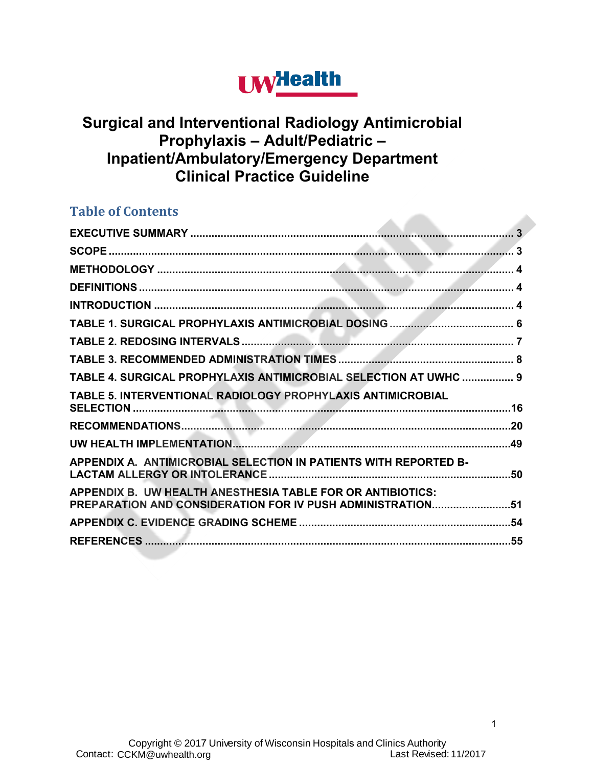# **UW**Health

**Contract Contract** 

### **Surgical and Interventional Radiology Antimicrobial Prophylaxis – Adult/Pediatric – Inpatient/Ambulatory/Emergency Department Clinical Practice Guideline**

### **Table of Contents**

| TABLE 4. SURGICAL PROPHYLAXIS ANTIMICROBIAL SELECTION AT UWHC  9                                                         |
|--------------------------------------------------------------------------------------------------------------------------|
| TABLE 5. INTERVENTIONAL RADIOLOGY PROPHYLAXIS ANTIMICROBIAL                                                              |
|                                                                                                                          |
|                                                                                                                          |
| APPENDIX A. ANTIMICROBIAL SELECTION IN PATIENTS WITH REPORTED B-                                                         |
| APPENDIX B. UW HEALTH ANESTHESIA TABLE FOR OR ANTIBIOTICS:<br>PREPARATION AND CONSIDERATION FOR IV PUSH ADMINISTRATION51 |
|                                                                                                                          |
|                                                                                                                          |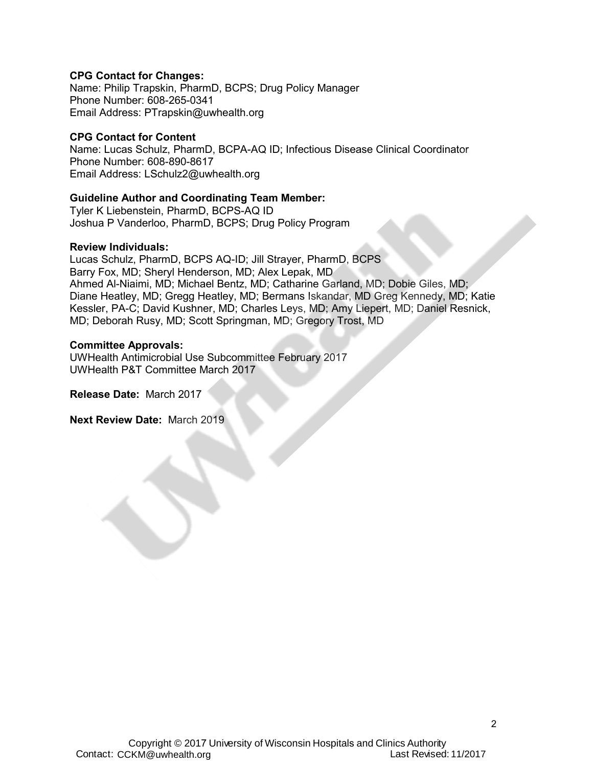#### **CPG Contact for Changes:**

Name: Philip Trapskin, PharmD, BCPS; Drug Policy Manager Phone Number: 608-265-0341 Email Address: PTrapskin@uwhealth.org

#### **CPG Contact for Content**

Name: Lucas Schulz, PharmD, BCPA-AQ ID; Infectious Disease Clinical Coordinator Phone Number: 608-890-8617 Email Address: LSchulz2@uwhealth.org

#### **Guideline Author and Coordinating Team Member:**

Tyler K Liebenstein, PharmD, BCPS-AQ ID Joshua P Vanderloo, PharmD, BCPS; Drug Policy Program

#### **Review Individuals:**

Lucas Schulz, PharmD, BCPS AQ-ID; Jill Strayer, PharmD, BCPS Barry Fox, MD; Sheryl Henderson, MD; Alex Lepak, MD Ahmed Al-Niaimi, MD; Michael Bentz, MD; Catharine Garland, MD; Dobie Giles, MD; Diane Heatley, MD; Gregg Heatley, MD; Bermans Iskandar, MD Greg Kennedy, MD; Katie Kessler, PA-C; David Kushner, MD; Charles Leys, MD; Amy Liepert, MD; Daniel Resnick, MD; Deborah Rusy, MD; Scott Springman, MD; Gregory Trost, MD

#### **Committee Approvals:**

UWHealth Antimicrobial Use Subcommittee February 2017 UWHealth P&T Committee March 2017

**Release Date:** March 2017

**Next Review Date:** March 2019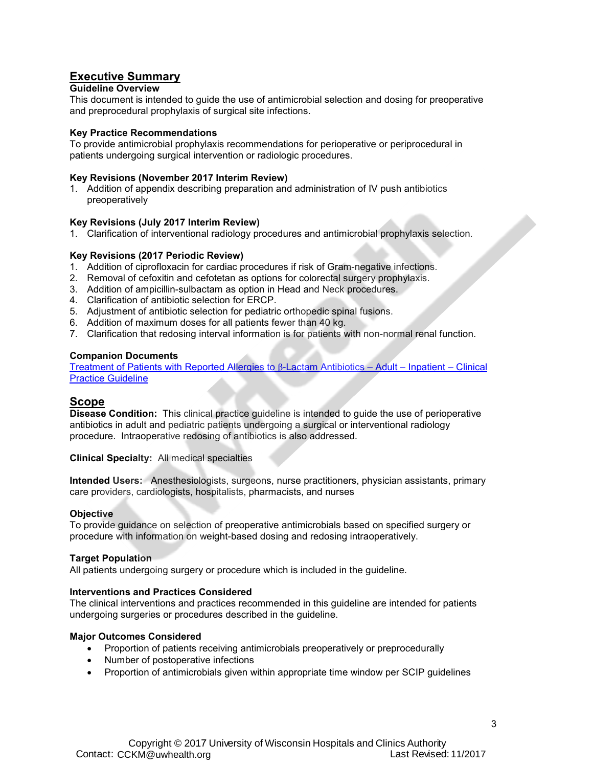### <span id="page-2-0"></span>**Executive Summary**

#### **Guideline Overview**

This document is intended to guide the use of antimicrobial selection and dosing for preoperative and preprocedural prophylaxis of surgical site infections.

#### **Key Practice Recommendations**

To provide antimicrobial prophylaxis recommendations for perioperative or periprocedural in patients undergoing surgical intervention or radiologic procedures.

#### **Key Revisions (November 2017 Interim Review)**

1. Addition of appendix describing preparation and administration of IV push antibiotics preoperatively

#### **Key Revisions (July 2017 Interim Review)**

1. Clarification of interventional radiology procedures and antimicrobial prophylaxis selection.

#### **Key Revisions (2017 Periodic Review)**

- 1. Addition of ciprofloxacin for cardiac procedures if risk of Gram-negative infections.
- 2. Removal of cefoxitin and cefotetan as options for colorectal surgery prophylaxis.
- 3. Addition of ampicillin-sulbactam as option in Head and Neck procedures.
- 4. Clarification of antibiotic selection for ERCP.
- 5. Adjustment of antibiotic selection for pediatric orthopedic spinal fusions.
- 6. Addition of maximum doses for all patients fewer than 40 kg.
- 7. Clarification that redosing interval information is for patients with non-normal renal function.

#### **Companion Documents**

Treatment of Patients with Reported Allergies to β-Lactam Antibiotics – Adult – Inpatient – Clinical Practice Guideline

#### <span id="page-2-1"></span>**Scope**

**Disease Condition:** This clinical practice guideline is intended to guide the use of perioperative antibiotics in adult and pediatric patients undergoing a surgical or interventional radiology procedure. Intraoperative redosing of antibiotics is also addressed.

**Clinical Specialty:** All medical specialties

**Intended Users:** Anesthesiologists, surgeons, nurse practitioners, physician assistants, primary care providers, cardiologists, hospitalists, pharmacists, and nurses

#### **Objective**

To provide guidance on selection of preoperative antimicrobials based on specified surgery or procedure with information on weight-based dosing and redosing intraoperatively.

#### **Target Population**

All patients undergoing surgery or procedure which is included in the guideline.

#### **Interventions and Practices Considered**

The clinical interventions and practices recommended in this guideline are intended for patients undergoing surgeries or procedures described in the guideline.

#### **Major Outcomes Considered**

- Proportion of patients receiving antimicrobials preoperatively or preprocedurally
- Number of postoperative infections
- Proportion of antimicrobials given within appropriate time window per SCIP guidelines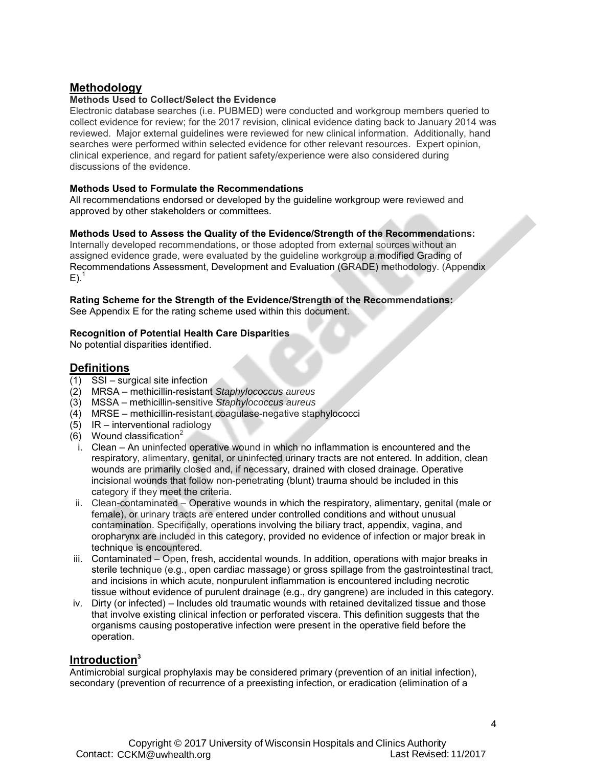#### <span id="page-3-0"></span>**Methodology**

#### **Methods Used to Collect/Select the Evidence**

Electronic database searches (i.e. PUBMED) were conducted and workgroup members queried to collect evidence for review; for the 2017 revision, clinical evidence dating back to January 2014 was reviewed. Major external guidelines were reviewed for new clinical information. Additionally, hand searches were performed within selected evidence for other relevant resources. Expert opinion, clinical experience, and regard for patient safety/experience were also considered during discussions of the evidence.

#### **Methods Used to Formulate the Recommendations**

All recommendations endorsed or developed by the guideline workgroup were reviewed and approved by other stakeholders or committees.

#### **Methods Used to Assess the Quality of the Evidence/Strength of the Recommendations:**

Internally developed recommendations, or those adopted from external sources without an assigned evidence grade, were evaluated by the guideline workgroup a modified Grading of Recommendations Assessment, Development and Evaluation (GRADE) methodology. (Appendix  $E$ ).<sup>1</sup>

#### **Rating Scheme for the Strength of the Evidence/Strength of the Recommendations:**

See Appendix E for the rating scheme used within this document.

#### **Recognition of Potential Health Care Disparities**

No potential disparities identified.

#### <span id="page-3-1"></span>**Definitions**

- (1) SSI surgical site infection
- (2) MRSA methicillin-resistant *Staphylococcus aureus*
- (3) MSSA methicillin-sensitive *Staphylococcus aureus*
- (4) MRSE methicillin-resistant coagulase-negative staphylococci
- (5) IR interventional radiology
- (6) Wound classification<sup>2</sup>
- i. Clean An uninfected operative wound in which no inflammation is encountered and the respiratory, alimentary, genital, or uninfected urinary tracts are not entered. In addition, clean wounds are primarily closed and, if necessary, drained with closed drainage. Operative incisional wounds that follow non-penetrating (blunt) trauma should be included in this category if they meet the criteria.
- ii. Clean-contaminated Operative wounds in which the respiratory, alimentary, genital (male or female), or urinary tracts are entered under controlled conditions and without unusual contamination. Specifically, operations involving the biliary tract, appendix, vagina, and oropharynx are included in this category, provided no evidence of infection or major break in technique is encountered.
- iii. Contaminated Open, fresh, accidental wounds. In addition, operations with major breaks in sterile technique (e.g., open cardiac massage) or gross spillage from the gastrointestinal tract, and incisions in which acute, nonpurulent inflammation is encountered including necrotic tissue without evidence of purulent drainage (e.g., dry gangrene) are included in this category.
- iv. Dirty (or infected) Includes old traumatic wounds with retained devitalized tissue and those that involve existing clinical infection or perforated viscera. This definition suggests that the organisms causing postoperative infection were present in the operative field before the operation.

#### <span id="page-3-2"></span>**Introduction3**

Antimicrobial surgical prophylaxis may be considered primary (prevention of an initial infection), secondary (prevention of recurrence of a preexisting infection, or eradication (elimination of a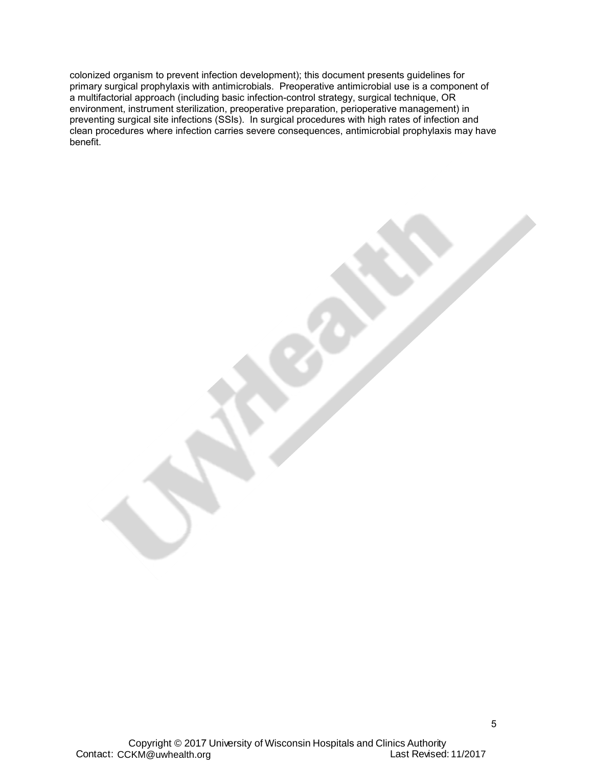colonized organism to prevent infection development); this document presents guidelines for primary surgical prophylaxis with antimicrobials. Preoperative antimicrobial use is a component of a multifactorial approach (including basic infection-control strategy, surgical technique, OR environment, instrument sterilization, preoperative preparation, perioperative management) in preventing surgical site infections (SSIs). In surgical procedures with high rates of infection and clean procedures where infection carries severe consequences, antimicrobial prophylaxis may have benefit.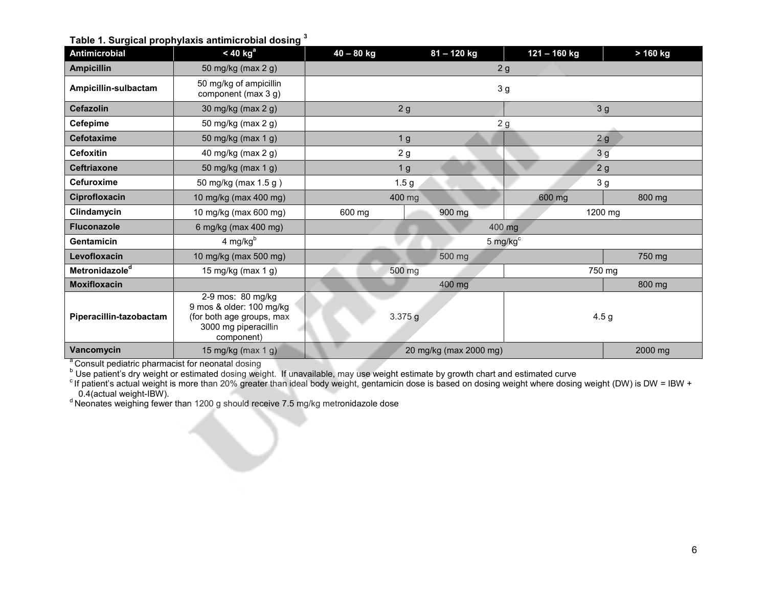**Table 1. Surgical prophylaxis antimicrobial dosing <sup>3</sup>**

| Antimicrobial              | $<$ 40 kg <sup>a</sup>                                                                                           | $40 - 80$ kg     | 81-120 kg              | 121-160 kg          | > 160 kg       |
|----------------------------|------------------------------------------------------------------------------------------------------------------|------------------|------------------------|---------------------|----------------|
| <b>Ampicillin</b>          | 50 mg/kg (max 2 g)                                                                                               |                  | 2g                     |                     |                |
| Ampicillin-sulbactam       | 50 mg/kg of ampicillin<br>component (max 3 g)                                                                    | 3 <sub>g</sub>   |                        |                     |                |
| <b>Cefazolin</b>           | 30 mg/kg (max 2 g)                                                                                               | 2g               |                        | 3 <sub>g</sub>      |                |
| <b>Cefepime</b>            | 50 mg/kg (max 2 g)                                                                                               |                  | 2g                     |                     |                |
| <b>Cefotaxime</b>          | 50 mg/kg (max 1 g)                                                                                               | 1 <sub>g</sub>   |                        | 2g                  |                |
| <b>Cefoxitin</b>           | 40 mg/kg (max 2 g)                                                                                               | 2g               |                        | 3g                  |                |
| <b>Ceftriaxone</b>         | 50 mg/kg (max 1 g)                                                                                               | 1 <sub>g</sub>   |                        |                     | 2g             |
| Cefuroxime                 | 50 mg/kg (max 1.5 g)                                                                                             | 1.5 <sub>g</sub> |                        |                     | 3 <sub>g</sub> |
| Ciprofloxacin              | 10 mg/kg (max 400 mg)                                                                                            | 400 mg           |                        | 600 mg              | 800 mg         |
| Clindamycin                | 10 mg/kg (max 600 mg)                                                                                            | 600 mg           | 900 mg                 | 1200 mg             |                |
| <b>Fluconazole</b>         | 6 mg/kg (max 400 mg)                                                                                             |                  |                        | 400 mg              |                |
| Gentamicin                 | $4$ mg/kg $^{\rm b}$                                                                                             |                  |                        | $5 \text{ mg/kg}^c$ |                |
| Levofloxacin               | 10 mg/kg (max 500 mg)                                                                                            |                  | 500 mg                 |                     | 750 mg         |
| Metronidazole <sup>d</sup> | 15 mg/kg (max 1 g)                                                                                               | 500 mg           |                        | 750 mg              |                |
| <b>Moxifloxacin</b>        |                                                                                                                  |                  | 400 mg                 |                     | 800 mg         |
| Piperacillin-tazobactam    | 2-9 mos: 80 mg/kg<br>9 mos & older: 100 mg/kg<br>(for both age groups, max<br>3000 mg piperacillin<br>component) | 3.375g           |                        | 4.5 <sub>g</sub>    |                |
| Vancomycin                 | 15 mg/kg (max $1 g$ )                                                                                            |                  | 20 mg/kg (max 2000 mg) |                     | 2000 mg        |

<span id="page-5-0"></span>a Consult pediatric pharmacist for neonatal dosing

<sup>b</sup> Use patient's dry weight or estimated dosing weight. If unavailable, may use weight estimate by growth chart and estimated curve<br><sup>c</sup> If patient's actual weight is more than 20% greater than ideal body weight, gentamici 0.4(actual weight-IBW).<br>d Neonates weighing fewer than 1200 g should receive 7.5 mg/kg metronidazole dose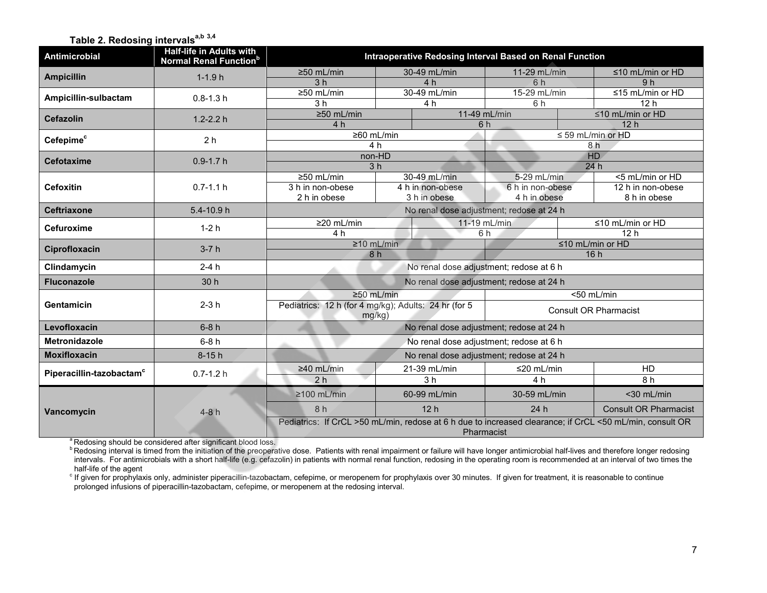### Table 2. Redosing intervals<sup>a,b 3,4</sup>

<span id="page-6-0"></span>

| <b>Antimicrobial</b>                 | <b>Half-life in Adults with</b><br><b>Normal Renal Function</b> <sup>b</sup> | Intraoperative Redosing Interval Based on Renal Function                                                               |                                |                                          |                              |  |                               |
|--------------------------------------|------------------------------------------------------------------------------|------------------------------------------------------------------------------------------------------------------------|--------------------------------|------------------------------------------|------------------------------|--|-------------------------------|
| <b>Ampicillin</b>                    | $1-1.9h$                                                                     | $\geq$ 50 mL/min                                                                                                       |                                | 30-49 mL/min                             | 11-29 mL/min                 |  | $\leq$ 10 mL/min or HD        |
|                                      |                                                                              | 3 <sub>h</sub>                                                                                                         |                                | 4 h                                      | 6 h                          |  | 9 <sub>h</sub>                |
| Ampicillin-sulbactam                 | $0.8 - 1.3 h$                                                                | $\geq 50$ mL/min                                                                                                       |                                | 30-49 mL/min                             | 15-29 mL/min                 |  | $\leq$ 15 mL/min or HD        |
|                                      |                                                                              | 3 <sub>h</sub>                                                                                                         |                                | 4 h                                      | 6h                           |  | 12 <sub>h</sub>               |
| <b>Cefazolin</b>                     | $1.2 - 2.2 h$                                                                | ≥50 mL/min                                                                                                             |                                |                                          | 11-49 mL/min                 |  | $\leq$ 10 mL/min or HD        |
|                                      |                                                                              | 4 <sub>h</sub>                                                                                                         | ≥60 mL/min                     |                                          | 6h                           |  | 12h<br>$\leq$ 59 mL/min or HD |
| Cefepime <sup>c</sup>                | 2 <sub>h</sub>                                                               |                                                                                                                        | 4 h                            |                                          |                              |  | 8 h                           |
|                                      |                                                                              | non-HD                                                                                                                 |                                |                                          |                              |  | HD                            |
| <b>Cefotaxime</b>                    | $0.9 - 1.7 h$                                                                |                                                                                                                        | 3 <sub>h</sub>                 |                                          |                              |  | 24h                           |
|                                      |                                                                              | $\geq 50$ mL/min                                                                                                       |                                | 30-49 mL/min                             | 5-29 mL/min                  |  | <5 mL/min or HD               |
| <b>Cefoxitin</b>                     | $0.7 - 1.1 h$                                                                | 3 h in non-obese                                                                                                       |                                | 4 h in non-obese                         | 6 h in non-obese             |  | 12 h in non-obese             |
|                                      |                                                                              | 2 h in obese                                                                                                           |                                | 3 h in obese                             | 4 h in obese                 |  | 8 h in obese                  |
| <b>Ceftriaxone</b>                   | 5.4-10.9 h                                                                   |                                                                                                                        |                                | No renal dose adjustment; redose at 24 h |                              |  |                               |
| <b>Cefuroxime</b>                    | $1-2h$                                                                       | ≥20 mL/min                                                                                                             |                                |                                          | 11-19 mL/min                 |  | ≤10 mL/min or HD              |
|                                      |                                                                              | 4 h                                                                                                                    |                                |                                          | 6 h                          |  | 12 <sub>h</sub>               |
| Ciprofloxacin                        | $3-7h$                                                                       | $\geq 10$ mL/min                                                                                                       |                                |                                          | $\leq 10$ mL/min or HD       |  |                               |
|                                      |                                                                              | 8 h                                                                                                                    |                                |                                          | 16h                          |  |                               |
| Clindamycin                          | $2-4h$                                                                       |                                                                                                                        |                                | No renal dose adjustment; redose at 6 h  |                              |  |                               |
| <b>Fluconazole</b>                   | 30 h                                                                         |                                                                                                                        |                                | No renal dose adjustment; redose at 24 h |                              |  |                               |
|                                      |                                                                              |                                                                                                                        | $\geq 50$ mL/min<br><50 mL/min |                                          |                              |  |                               |
| Gentamicin                           | $2-3h$                                                                       | Pediatrics: 12 h (for 4 mg/kg); Adults: 24 hr (for 5                                                                   |                                |                                          | <b>Consult OR Pharmacist</b> |  |                               |
| Levofloxacin                         | $6-8h$                                                                       | mq/kg)<br>No renal dose adjustment; redose at 24 h                                                                     |                                |                                          |                              |  |                               |
|                                      |                                                                              |                                                                                                                        |                                |                                          |                              |  |                               |
| Metronidazole                        | $6-8h$                                                                       |                                                                                                                        |                                | No renal dose adjustment; redose at 6 h  |                              |  |                               |
| <b>Moxifloxacin</b>                  | $8-15h$                                                                      |                                                                                                                        |                                | No renal dose adjustment; redose at 24 h |                              |  |                               |
| Piperacillin-tazobactam <sup>c</sup> | $0.7 - 1.2 h$                                                                | $\geq 40$ mL/min                                                                                                       |                                | 21-39 mL/min                             | $\leq$ 20 mL/min             |  | <b>HD</b>                     |
|                                      |                                                                              | 2 <sub>h</sub>                                                                                                         |                                | 3h                                       | 4 <sub>h</sub>               |  | 8h                            |
|                                      |                                                                              | $\geq$ 100 mL/min                                                                                                      |                                | 60-99 mL/min                             | 30-59 mL/min                 |  | <30 mL/min                    |
| Vancomycin                           | $4-8h$                                                                       | 8 h                                                                                                                    |                                | 12h                                      | 24h                          |  | <b>Consult OR Pharmacist</b>  |
|                                      |                                                                              | Pediatrics: If CrCL >50 mL/min, redose at 6 h due to increased clearance; if CrCL <50 mL/min, consult OR<br>Pharmacist |                                |                                          |                              |  |                               |
|                                      | <sup>a</sup> Redosing should be considered after significant blood loss.     |                                                                                                                        |                                |                                          |                              |  |                               |

**PRedosing interval is timed from the initiation of the preoperative dose. Patients with renal impairment or failure will have longer antimicrobial half-lives and therefore longer redosing** intervals. For antimicrobials with a short half-life (e.g. cefazolin) in patients with normal renal function, redosing in the operating room is recommended at an interval of two times the

half-life of the agent<br>° If given for prophylaxis only, administer piperacillin-tazobactam, cefepime, or meropenem for prophylaxis over 30 minutes. If given for treatment, it is reasonable to continue prolonged infusions of piperacillin-tazobactam, cefepime, or meropenem at the redosing interval.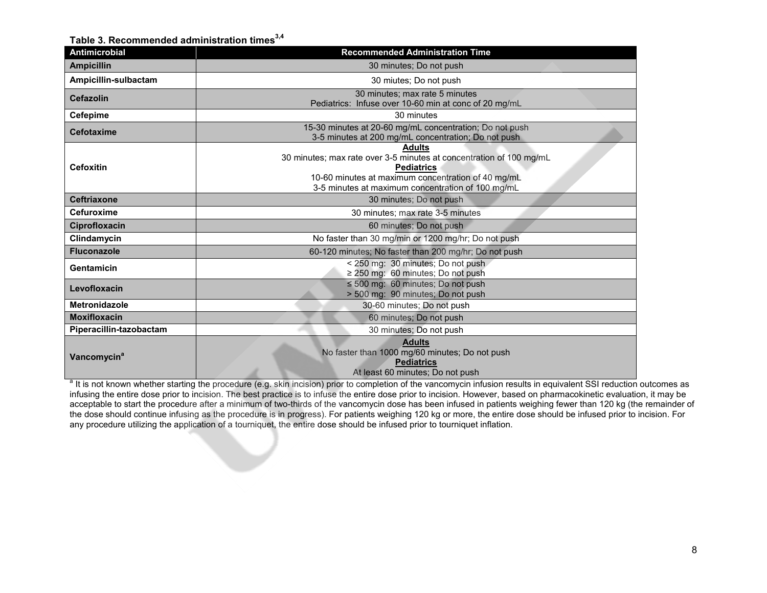#### Table 3. Recommended administration times<sup>3,4</sup>

<span id="page-7-0"></span>

| Antimicrobial                                                                                                                                                                                                                            | <b>Recommended Administration Time</b>                                                                                   |  |  |  |  |  |
|------------------------------------------------------------------------------------------------------------------------------------------------------------------------------------------------------------------------------------------|--------------------------------------------------------------------------------------------------------------------------|--|--|--|--|--|
| <b>Ampicillin</b>                                                                                                                                                                                                                        | 30 minutes; Do not push                                                                                                  |  |  |  |  |  |
| Ampicillin-sulbactam                                                                                                                                                                                                                     | 30 miutes; Do not push                                                                                                   |  |  |  |  |  |
| <b>Cefazolin</b>                                                                                                                                                                                                                         | 30 minutes; max rate 5 minutes<br>Pediatrics: Infuse over 10-60 min at conc of 20 mg/mL                                  |  |  |  |  |  |
| <b>Cefepime</b>                                                                                                                                                                                                                          | 30 minutes                                                                                                               |  |  |  |  |  |
| 15-30 minutes at 20-60 mg/mL concentration; Do not push<br>Cefotaxime<br>3-5 minutes at 200 mg/mL concentration; Do not push                                                                                                             |                                                                                                                          |  |  |  |  |  |
| <b>Adults</b><br>30 minutes; max rate over 3-5 minutes at concentration of 100 mg/mL<br><b>Cefoxitin</b><br><b>Pediatrics</b><br>10-60 minutes at maximum concentration of 40 mg/mL<br>3-5 minutes at maximum concentration of 100 mg/mL |                                                                                                                          |  |  |  |  |  |
| <b>Ceftriaxone</b>                                                                                                                                                                                                                       | 30 minutes; Do not push                                                                                                  |  |  |  |  |  |
| <b>Cefuroxime</b>                                                                                                                                                                                                                        | 30 minutes; max rate 3-5 minutes                                                                                         |  |  |  |  |  |
| Ciprofloxacin                                                                                                                                                                                                                            | 60 minutes; Do not push                                                                                                  |  |  |  |  |  |
| Clindamycin                                                                                                                                                                                                                              | No faster than 30 mg/min or 1200 mg/hr; Do not push                                                                      |  |  |  |  |  |
| <b>Fluconazole</b>                                                                                                                                                                                                                       | 60-120 minutes; No faster than 200 mg/hr; Do not push                                                                    |  |  |  |  |  |
| Gentamicin                                                                                                                                                                                                                               | < 250 mg: 30 minutes; Do not push<br>≥ 250 mg: 60 minutes; Do not push                                                   |  |  |  |  |  |
| Levofloxacin                                                                                                                                                                                                                             | $\leq$ 500 mg: 60 minutes; Do not push<br>> 500 mg: 90 minutes; Do not push                                              |  |  |  |  |  |
| Metronidazole                                                                                                                                                                                                                            | 30-60 minutes: Do not push                                                                                               |  |  |  |  |  |
| <b>Moxifloxacin</b>                                                                                                                                                                                                                      | 60 minutes; Do not push                                                                                                  |  |  |  |  |  |
| Piperacillin-tazobactam                                                                                                                                                                                                                  | 30 minutes; Do not push                                                                                                  |  |  |  |  |  |
| Vancomycin <sup>a</sup>                                                                                                                                                                                                                  | <b>Adults</b><br>No faster than 1000 mg/60 minutes; Do not push<br><b>Pediatrics</b><br>At least 60 minutes; Do not push |  |  |  |  |  |

<sup>a</sup> It is not known whether starting the procedure (e.g. skin incision) prior to completion of the vancomycin infusion results in equivalent SSI reduction outcomes as infusing the entire dose prior to incision. The best practice is to infuse the entire dose prior to incision. However, based on pharmacokinetic evaluation, it may be acceptable to start the procedure after a minimum of two-thirds of the vancomycin dose has been infused in patients weighing fewer than 120 kg (the remainder of the dose should continue infusing as the procedure is in progress). For patients weighing 120 kg or more, the entire dose should be infused prior to incision. For any procedure utilizing the application of a tourniquet, the entire dose should be infused prior to tourniquet inflation.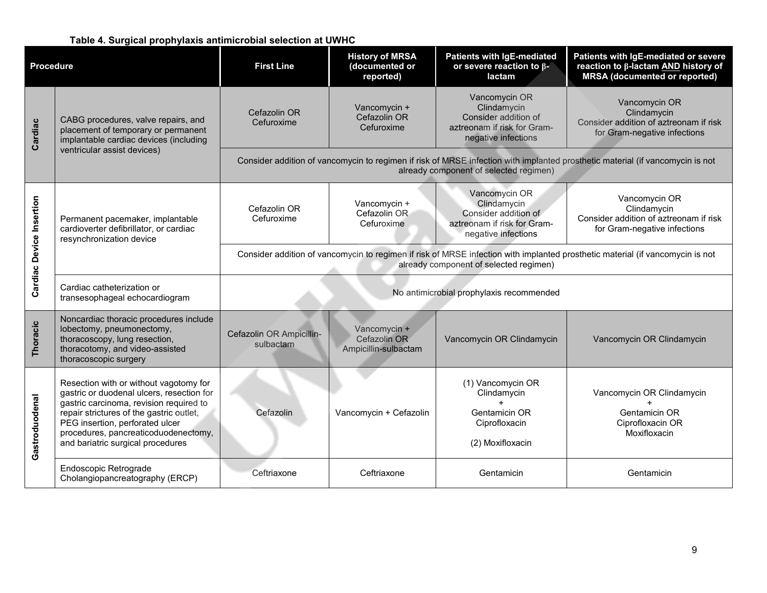#### **Table 4. Surgical prophylaxis antimicrobial selection at UWHC**

<span id="page-8-0"></span>

| <b>Procedure</b>         |                                                                                                                                                                                                                                                                                            | <b>First Line</b>                                                                                                                                                       | <b>History of MRSA</b><br>(documented or<br>reported) | <b>Patients with IgE-mediated</b><br>or severe reaction to $\beta$ -<br>lactam                             | Patients with IgE-mediated or severe<br>reaction to β-lactam AND history of<br><b>MRSA</b> (documented or reported)           |  |
|--------------------------|--------------------------------------------------------------------------------------------------------------------------------------------------------------------------------------------------------------------------------------------------------------------------------------------|-------------------------------------------------------------------------------------------------------------------------------------------------------------------------|-------------------------------------------------------|------------------------------------------------------------------------------------------------------------|-------------------------------------------------------------------------------------------------------------------------------|--|
| Cardiac                  | CABG procedures, valve repairs, and<br>placement of temporary or permanent<br>implantable cardiac devices (including                                                                                                                                                                       | Cefazolin OR<br>Cefuroxime                                                                                                                                              | Vancomycin +<br>Cefazolin OR<br>Cefuroxime            | Vancomycin OR<br>Clindamycin<br>Consider addition of<br>aztreonam if risk for Gram-<br>negative infections | Vancomycin OR<br>Clindamycin<br>Consider addition of aztreonam if risk<br>for Gram-negative infections                        |  |
|                          | ventricular assist devices)                                                                                                                                                                                                                                                                |                                                                                                                                                                         |                                                       | already component of selected regimen)                                                                     | Consider addition of vancomycin to regimen if risk of MRSE infection with implanted prosthetic material (if vancomycin is not |  |
| Cardiac Device Insertion | Permanent pacemaker, implantable<br>cardioverter defibrillator, or cardiac<br>resynchronization device                                                                                                                                                                                     | Cefazolin OR<br>Cefuroxime                                                                                                                                              | Vancomycin +<br>Cefazolin OR<br>Cefuroxime            | Vancomycin OR<br>Clindamycin<br>Consider addition of<br>aztreonam if risk for Gram-<br>negative infections | Vancomycin OR<br>Clindamycin<br>Consider addition of aztreonam if risk<br>for Gram-negative infections                        |  |
|                          |                                                                                                                                                                                                                                                                                            | Consider addition of vancomycin to regimen if risk of MRSE infection with implanted prosthetic material (if vancomycin is not<br>already component of selected regimen) |                                                       |                                                                                                            |                                                                                                                               |  |
|                          | Cardiac catheterization or<br>transesophageal echocardiogram                                                                                                                                                                                                                               | No antimicrobial prophylaxis recommended                                                                                                                                |                                                       |                                                                                                            |                                                                                                                               |  |
| Thoracic                 | Noncardiac thoracic procedures include<br>lobectomy, pneumonectomy,<br>thoracoscopy, lung resection,<br>thoracotomy, and video-assisted<br>thoracoscopic surgery                                                                                                                           | Cefazolin OR Ampicillin-<br>sulbactam                                                                                                                                   | Vancomycin +<br>Cefazolin OR<br>Ampicillin-sulbactam  | Vancomycin OR Clindamycin                                                                                  | Vancomycin OR Clindamycin                                                                                                     |  |
| Gastroduodenal           | Resection with or without vagotomy for<br>gastric or duodenal ulcers, resection for<br>gastric carcinoma, revision required to<br>repair strictures of the gastric outlet,<br>PEG insertion, perforated ulcer<br>procedures, pancreaticoduodenectomy,<br>and bariatric surgical procedures | Cefazolin                                                                                                                                                               | Vancomycin + Cefazolin                                | (1) Vancomycin OR<br>Clindamycin<br>$+$<br>Gentamicin OR<br>Ciprofloxacin<br>(2) Moxifloxacin              | Vancomycin OR Clindamycin<br>Gentamicin OR<br>Ciprofloxacin OR<br>Moxifloxacin                                                |  |
|                          | Endoscopic Retrograde<br>Cholangiopancreatography (ERCP)                                                                                                                                                                                                                                   | Ceftriaxone                                                                                                                                                             | Ceftriaxone                                           | Gentamicin                                                                                                 | Gentamicin                                                                                                                    |  |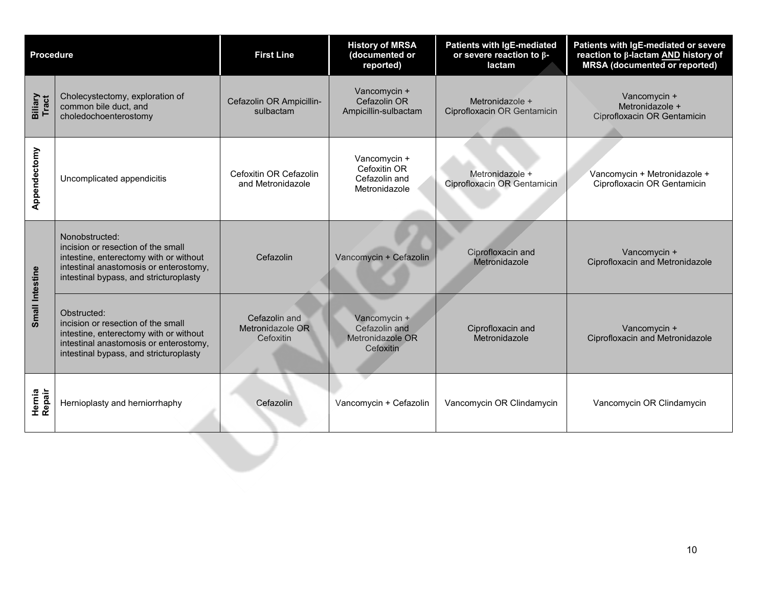| <b>Procedure</b> |                                                                                                                                                                                    | <b>First Line</b>                              | <b>History of MRSA</b><br>(documented or<br>reported)          | <b>Patients with IgE-mediated</b><br>or severe reaction to β-<br>lactam | Patients with IgE-mediated or severe<br>reaction to β-lactam AND history of<br><b>MRSA</b> (documented or reported) |
|------------------|------------------------------------------------------------------------------------------------------------------------------------------------------------------------------------|------------------------------------------------|----------------------------------------------------------------|-------------------------------------------------------------------------|---------------------------------------------------------------------------------------------------------------------|
| Biliary<br>Tract | Cholecystectomy, exploration of<br>common bile duct, and<br>choledochoenterostomy                                                                                                  | Cefazolin OR Ampicillin-<br>sulbactam          | Vancomycin +<br>Cefazolin OR<br>Ampicillin-sulbactam           | Metronidazole +<br>Ciprofloxacin OR Gentamicin                          | Vancomycin +<br>Metronidazole +<br>Ciprofloxacin OR Gentamicin                                                      |
| Appendectomy     | Uncomplicated appendicitis                                                                                                                                                         | Cefoxitin OR Cefazolin<br>and Metronidazole    | Vancomycin +<br>Cefoxitin OR<br>Cefazolin and<br>Metronidazole | Metronidazole +<br>Ciprofloxacin OR Gentamicin                          | Vancomycin + Metronidazole +<br>Ciprofloxacin OR Gentamicin                                                         |
| Small Intestine  | Nonobstructed:<br>incision or resection of the small<br>intestine, enterectomy with or without<br>intestinal anastomosis or enterostomy,<br>intestinal bypass, and stricturoplasty | Cefazolin                                      | Vancomycin + Cefazolin                                         | Ciprofloxacin and<br>Metronidazole                                      | Vancomycin +<br>Ciprofloxacin and Metronidazole                                                                     |
|                  | Obstructed:<br>incision or resection of the small<br>intestine, enterectomy with or without<br>intestinal anastomosis or enterostomy,<br>intestinal bypass, and stricturoplasty    | Cefazolin and<br>Metronidazole OR<br>Cefoxitin | Vancomycin +<br>Cefazolin and<br>Metronidazole OR<br>Cefoxitin | Ciprofloxacin and<br>Metronidazole                                      | Vancomycin +<br>Ciprofloxacin and Metronidazole                                                                     |
| Hernia<br>Repair | Hernioplasty and herniorrhaphy                                                                                                                                                     | Cefazolin                                      | Vancomycin + Cefazolin                                         | Vancomycin OR Clindamycin                                               | Vancomycin OR Clindamycin                                                                                           |
|                  |                                                                                                                                                                                    |                                                |                                                                |                                                                         |                                                                                                                     |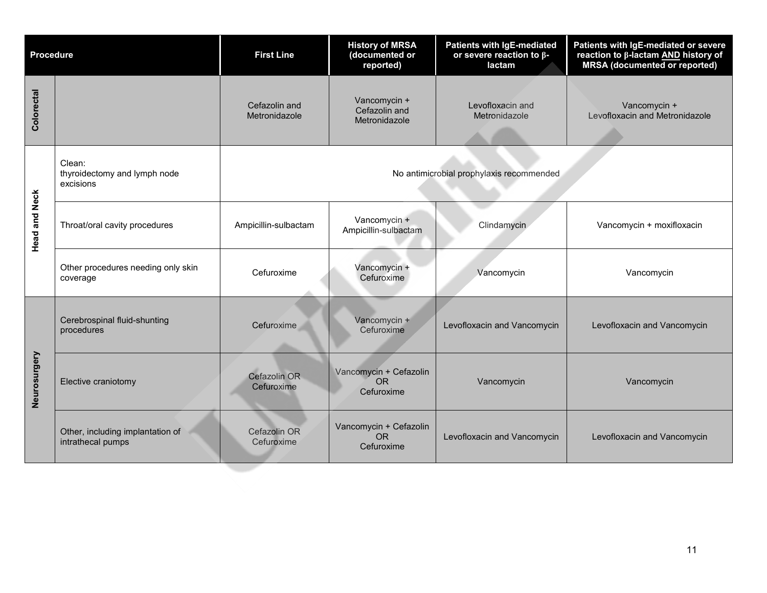| <b>Procedure</b>     |                                                       | <b>First Line</b>                        | <b>History of MRSA</b><br>(documented or<br>reported) | Patients with IgE-mediated<br>or severe reaction to $\beta$ -<br>lactam | Patients with IgE-mediated or severe<br>reaction to β-lactam AND history of<br><b>MRSA</b> (documented or reported) |  |
|----------------------|-------------------------------------------------------|------------------------------------------|-------------------------------------------------------|-------------------------------------------------------------------------|---------------------------------------------------------------------------------------------------------------------|--|
| Colorectal           |                                                       | Cefazolin and<br>Metronidazole           | Vancomycin +<br>Cefazolin and<br>Metronidazole        | Levofloxacin and<br>Metronidazole                                       | Vancomycin +<br>Levofloxacin and Metronidazole                                                                      |  |
|                      | Clean:<br>thyroidectomy and lymph node<br>excisions   | No antimicrobial prophylaxis recommended |                                                       |                                                                         |                                                                                                                     |  |
| <b>Head and Neck</b> | Throat/oral cavity procedures                         | Ampicillin-sulbactam                     | Vancomycin +<br>Ampicillin-sulbactam                  | Clindamycin                                                             | Vancomycin + moxifloxacin                                                                                           |  |
|                      | Other procedures needing only skin<br>coverage        | Cefuroxime                               | Vancomycin +<br>Cefuroxime                            | Vancomycin                                                              | Vancomycin                                                                                                          |  |
| Neurosurgery         | Cerebrospinal fluid-shunting<br>procedures            | Cefuroxime                               | Vancomycin +<br>Cefuroxime                            | Levofloxacin and Vancomycin                                             | Levofloxacin and Vancomycin                                                                                         |  |
|                      | Elective craniotomy                                   | Cefazolin OR<br>Cefuroxime               | Vancomycin + Cefazolin<br><b>OR</b><br>Cefuroxime     | Vancomycin                                                              | Vancomycin                                                                                                          |  |
|                      | Other, including implantation of<br>intrathecal pumps | Cefazolin OR<br>Cefuroxime               | Vancomycin + Cefazolin<br><b>OR</b><br>Cefuroxime     | Levofloxacin and Vancomycin                                             | Levofloxacin and Vancomycin                                                                                         |  |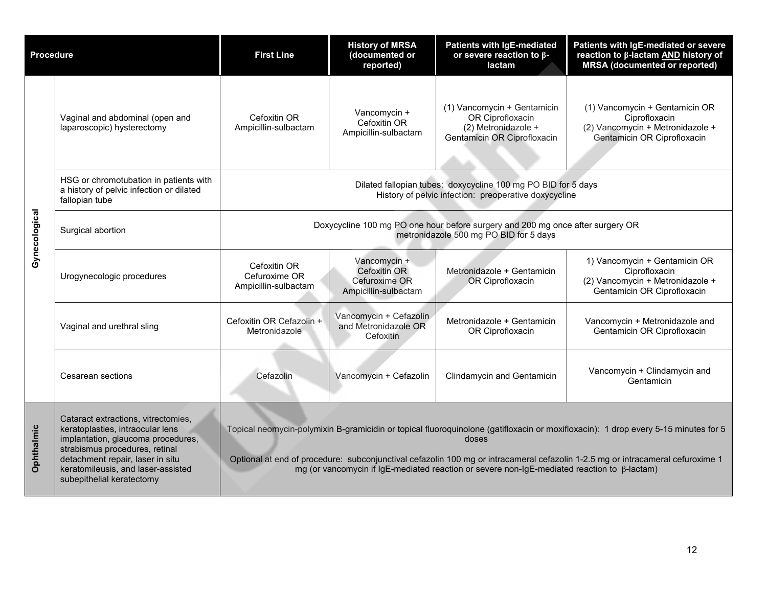| <b>Procedure</b> |                                                                                                                                                                                                                                                        | <b>First Line</b>                                                                                                                                                                                                                                                                                                                                                                   | <b>History of MRSA</b><br>(documented or<br>reported)                        | <b>Patients with IgE-mediated</b><br>or severe reaction to $\beta$ -<br>lactam                        | Patients with IgE-mediated or severe<br>reaction to β-lactam AND history of<br><b>MRSA</b> (documented or reported) |  |  |
|------------------|--------------------------------------------------------------------------------------------------------------------------------------------------------------------------------------------------------------------------------------------------------|-------------------------------------------------------------------------------------------------------------------------------------------------------------------------------------------------------------------------------------------------------------------------------------------------------------------------------------------------------------------------------------|------------------------------------------------------------------------------|-------------------------------------------------------------------------------------------------------|---------------------------------------------------------------------------------------------------------------------|--|--|
| Gynecological    | Vaginal and abdominal (open and<br>laparoscopic) hysterectomy                                                                                                                                                                                          | Cefoxitin OR<br>Ampicillin-sulbactam                                                                                                                                                                                                                                                                                                                                                | Vancomycin +<br>Cefoxitin OR<br>Ampicillin-sulbactam                         | (1) Vancomycin + Gentamicin<br>OR Ciprofloxacin<br>(2) Metronidazole +<br>Gentamicin OR Ciprofloxacin | (1) Vancomycin + Gentamicin OR<br>Ciprofloxacin<br>(2) Vancomycin + Metronidazole +<br>Gentamicin OR Ciprofloxacin  |  |  |
|                  | HSG or chromotubation in patients with<br>a history of pelvic infection or dilated<br>fallopian tube                                                                                                                                                   | Dilated fallopian tubes: doxycycline 100 mg PO BID for 5 days<br>History of pelvic infection: preoperative doxycycline                                                                                                                                                                                                                                                              |                                                                              |                                                                                                       |                                                                                                                     |  |  |
|                  | Surgical abortion                                                                                                                                                                                                                                      | Doxycycline 100 mg PO one hour before surgery and 200 mg once after surgery OR<br>metronidazole 500 mg PO BID for 5 days                                                                                                                                                                                                                                                            |                                                                              |                                                                                                       |                                                                                                                     |  |  |
|                  | Urogynecologic procedures                                                                                                                                                                                                                              | Cefoxitin OR<br>Cefuroxime OR<br>Ampicillin-sulbactam                                                                                                                                                                                                                                                                                                                               | Vancomycin +<br><b>Cefoxitin OR</b><br>Cefuroxime OR<br>Ampicillin-sulbactam | Metronidazole + Gentamicin<br>OR Ciprofloxacin                                                        | 1) Vancomycin + Gentamicin OR<br>Ciprofloxacin<br>(2) Vancomycin + Metronidazole +<br>Gentamicin OR Ciprofloxacin   |  |  |
|                  | Vaginal and urethral sling                                                                                                                                                                                                                             | Cefoxitin OR Cefazolin +<br>Metronidazole                                                                                                                                                                                                                                                                                                                                           | Vancomycin + Cefazolin<br>and Metronidazole OR<br>Cefoxitin                  | Metronidazole + Gentamicin<br>OR Ciprofloxacin                                                        | Vancomycin + Metronidazole and<br>Gentamicin OR Ciprofloxacin                                                       |  |  |
|                  | Cesarean sections                                                                                                                                                                                                                                      | Cefazolin                                                                                                                                                                                                                                                                                                                                                                           | Vancomycin + Cefazolin                                                       | <b>Clindamycin and Gentamicin</b>                                                                     | Vancomycin + Clindamycin and<br>Gentamicin                                                                          |  |  |
| Ophthalmic       | Cataract extractions, vitrectomies,<br>keratoplasties, intraocular lens<br>implantation, glaucoma procedures,<br>strabismus procedures, retinal<br>detachment repair, laser in situ<br>keratomileusis, and laser-assisted<br>subepithelial keratectomy | Topical neomycin-polymixin B-gramicidin or topical fluoroquinolone (gatifloxacin or moxifloxacin): 1 drop every 5-15 minutes for 5<br>doses<br>Optional at end of procedure: subconjunctival cefazolin 100 mg or intracameral cefazolin 1-2.5 mg or intracameral cefuroxime 1<br>mg (or vancomycin if IgE-mediated reaction or severe non-IgE-mediated reaction to $\beta$ -lactam) |                                                                              |                                                                                                       |                                                                                                                     |  |  |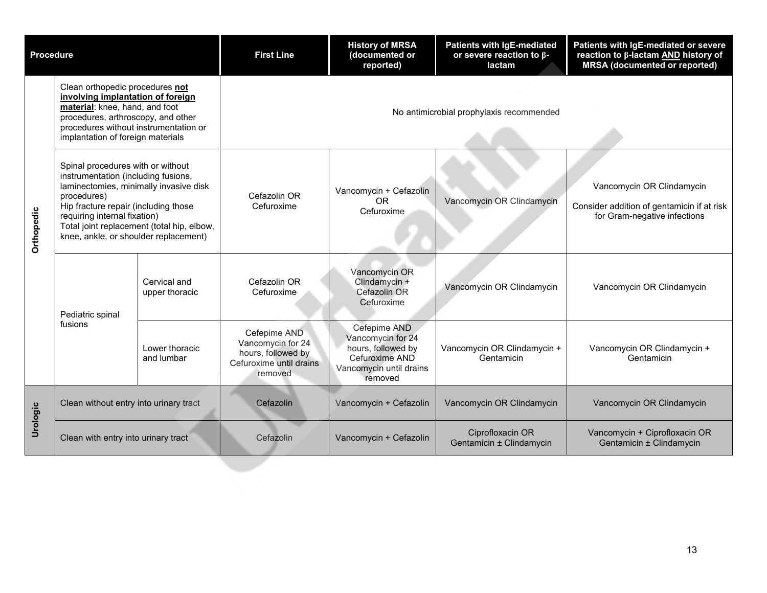| <b>Procedure</b> |                                                                                                                                                                                                                                                                                                  |                                | <b>First Line</b>                                                                             | <b>History of MRSA</b><br>(documented or<br>reported)                                                           | <b>Patients with IgE-mediated</b><br>or severe reaction to $\beta$ -<br>lactam | Patients with IgE-mediated or severe<br>reaction to β-lactam AND history of<br><b>MRSA</b> (documented or reported) |  |
|------------------|--------------------------------------------------------------------------------------------------------------------------------------------------------------------------------------------------------------------------------------------------------------------------------------------------|--------------------------------|-----------------------------------------------------------------------------------------------|-----------------------------------------------------------------------------------------------------------------|--------------------------------------------------------------------------------|---------------------------------------------------------------------------------------------------------------------|--|
| Orthopedic       | Clean orthopedic procedures not<br>involving implantation of foreign<br>material: knee, hand, and foot<br>procedures, arthroscopy, and other<br>procedures without instrumentation or<br>implantation of foreign materials                                                                       |                                | No antimicrobial prophylaxis recommended                                                      |                                                                                                                 |                                                                                |                                                                                                                     |  |
|                  | Spinal procedures with or without<br>instrumentation (including fusions,<br>laminectomies, minimally invasive disk<br>procedures)<br>Hip fracture repair (including those<br>requiring internal fixation)<br>Total joint replacement (total hip, elbow,<br>knee, ankle, or shoulder replacement) |                                | Cefazolin OR<br>Cefuroxime                                                                    | Vancomycin + Cefazolin<br><b>OR</b><br>Cefuroxime                                                               | Vancomycin OR Clindamycin                                                      | Vancomycin OR Clindamycin<br>Consider addition of gentamicin if at risk<br>for Gram-negative infections             |  |
|                  | Pediatric spinal                                                                                                                                                                                                                                                                                 | Cervical and<br>upper thoracic | Cefazolin OR<br>Cefuroxime                                                                    | Vancomycin OR<br>Clindamycin +<br>Cefazolin OR<br>Cefuroxime                                                    | Vancomycin OR Clindamycin                                                      | Vancomycin OR Clindamycin                                                                                           |  |
|                  | fusions                                                                                                                                                                                                                                                                                          | Lower thoracic<br>and lumbar   | Cefepime AND<br>Vancomycin for 24<br>hours, followed by<br>Cefuroxime until drains<br>removed | Cefepime AND<br>Vancomycin for 24<br>hours, followed by<br>Cefuroxime AND<br>Vancomycin until drains<br>removed | Vancomycin OR Clindamycin +<br>Gentamicin                                      | Vancomycin OR Clindamycin +<br>Gentamicin                                                                           |  |
| Urologic         | Clean without entry into urinary tract                                                                                                                                                                                                                                                           |                                | Cefazolin                                                                                     | Vancomycin + Cefazolin                                                                                          | Vancomycin OR Clindamycin                                                      | Vancomycin OR Clindamycin                                                                                           |  |
|                  | Clean with entry into urinary tract                                                                                                                                                                                                                                                              |                                | Cefazolin                                                                                     | Vancomycin + Cefazolin                                                                                          | Ciprofloxacin OR<br>Gentamicin ± Clindamycin                                   | Vancomycin + Ciprofloxacin OR<br>Gentamicin ± Clindamycin                                                           |  |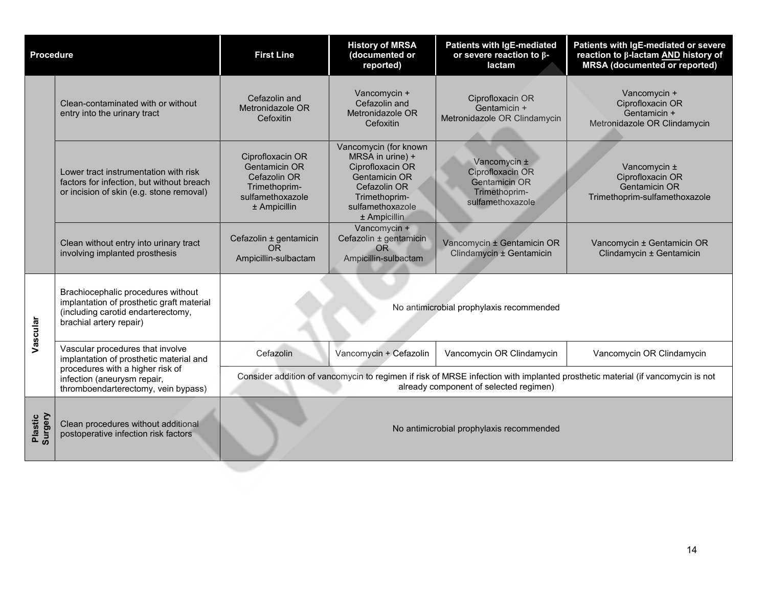| <b>Procedure</b>   |                                                                                                                                                  | <b>First Line</b>                                                                                                                                                       | <b>History of MRSA</b><br>(documented or<br>reported)                                                                                                      | <b>Patients with IgE-mediated</b><br>or severe reaction to $\beta$ -<br>lactam                | Patients with IgE-mediated or severe<br>reaction to β-lactam AND history of<br><b>MRSA</b> (documented or reported) |  |
|--------------------|--------------------------------------------------------------------------------------------------------------------------------------------------|-------------------------------------------------------------------------------------------------------------------------------------------------------------------------|------------------------------------------------------------------------------------------------------------------------------------------------------------|-----------------------------------------------------------------------------------------------|---------------------------------------------------------------------------------------------------------------------|--|
|                    | Clean-contaminated with or without<br>entry into the urinary tract                                                                               | Cefazolin and<br>Metronidazole OR<br>Cefoxitin                                                                                                                          | Vancomycin +<br>Cefazolin and<br>Metronidazole OR<br>Cefoxitin                                                                                             | Ciprofloxacin OR<br>Gentamicin +<br>Metronidazole OR Clindamycin                              | Vancomycin +<br>Ciprofloxacin OR<br>Gentamicin +<br>Metronidazole OR Clindamycin                                    |  |
|                    | Lower tract instrumentation with risk<br>factors for infection, but without breach<br>or incision of skin (e.g. stone removal)                   | Ciprofloxacin OR<br><b>Gentamicin OR</b><br>Cefazolin OR<br>Trimethoprim-<br>sulfamethoxazole<br>$±$ Ampicillin                                                         | Vancomycin (for known<br>MRSA in urine) +<br>Ciprofloxacin OR<br><b>Gentamicin OR</b><br>Cefazolin OR<br>Trimethoprim-<br>sulfamethoxazole<br>± Ampicillin | Vancomycin ±<br>Ciprofloxacin OR<br><b>Gentamicin OR</b><br>Trimethoprim-<br>sulfamethoxazole | Vancomycin ±<br>Ciprofloxacin OR<br><b>Gentamicin OR</b><br>Trimethoprim-sulfamethoxazole                           |  |
|                    | Clean without entry into urinary tract<br>involving implanted prosthesis                                                                         | Cefazolin ± gentamicin<br><b>OR</b><br>Ampicillin-sulbactam                                                                                                             | Vancomycin +<br>Cefazolin ± gentamicin<br><b>OR</b><br>Ampicillin-sulbactam                                                                                | Vancomycin ± Gentamicin OR<br>Clindamycin ± Gentamicin                                        | Vancomycin ± Gentamicin OR<br>Clindamycin ± Gentamicin                                                              |  |
| Vascular           | Brachiocephalic procedures without<br>implantation of prosthetic graft material<br>(including carotid endarterectomy,<br>brachial artery repair) |                                                                                                                                                                         |                                                                                                                                                            |                                                                                               |                                                                                                                     |  |
|                    | Vascular procedures that involve<br>implantation of prosthetic material and                                                                      | Cefazolin                                                                                                                                                               | Vancomycin + Cefazolin                                                                                                                                     | Vancomycin OR Clindamycin                                                                     | Vancomycin OR Clindamycin                                                                                           |  |
|                    | procedures with a higher risk of<br>infection (aneurysm repair,<br>thromboendarterectomy, vein bypass)                                           | Consider addition of vancomycin to regimen if risk of MRSE infection with implanted prosthetic material (if vancomycin is not<br>already component of selected regimen) |                                                                                                                                                            |                                                                                               |                                                                                                                     |  |
| Surgery<br>Plastic | Clean procedures without additional<br>postoperative infection risk factors                                                                      | No antimicrobial prophylaxis recommended                                                                                                                                |                                                                                                                                                            |                                                                                               |                                                                                                                     |  |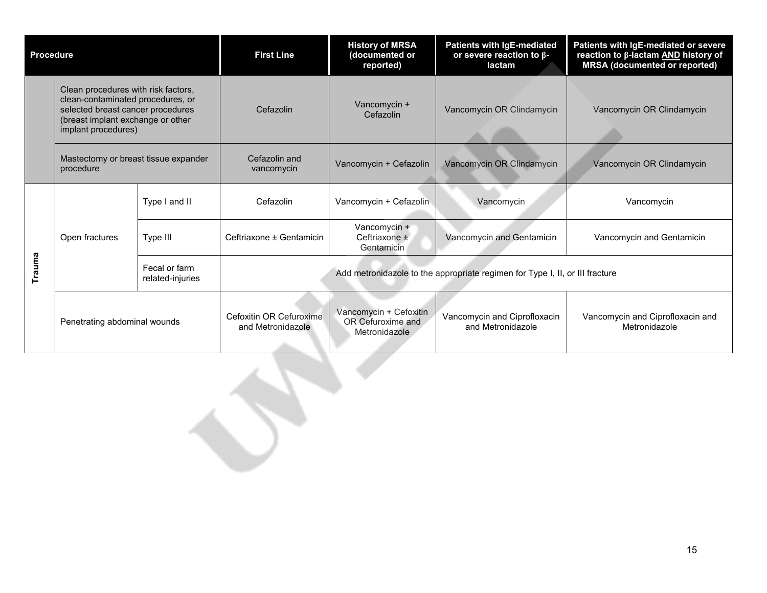| <b>Procedure</b> |                                                                                                                                                                                                                                | <b>First Line</b>                 | <b>History of MRSA</b><br>(documented or<br>reported)                        | <b>Patients with IgE-mediated</b><br>or severe reaction to $\beta$ -<br>lactam | Patients with IgE-mediated or severe<br>reaction to β-lactam AND history of<br><b>MRSA</b> (documented or reported) |                                                   |
|------------------|--------------------------------------------------------------------------------------------------------------------------------------------------------------------------------------------------------------------------------|-----------------------------------|------------------------------------------------------------------------------|--------------------------------------------------------------------------------|---------------------------------------------------------------------------------------------------------------------|---------------------------------------------------|
|                  | Clean procedures with risk factors,<br>clean-contaminated procedures, or<br>selected breast cancer procedures<br>(breast implant exchange or other<br>implant procedures)<br>Mastectomy or breast tissue expander<br>procedure |                                   | Cefazolin                                                                    | Vancomycin +<br>Cefazolin                                                      | Vancomycin OR Clindamycin                                                                                           | Vancomycin OR Clindamycin                         |
|                  |                                                                                                                                                                                                                                |                                   | Cefazolin and<br>vancomycin                                                  | Vancomycin + Cefazolin                                                         | Vancomycin OR Clindamycin                                                                                           | Vancomycin OR Clindamycin                         |
| Trauma           | Open fractures                                                                                                                                                                                                                 | Type I and II                     | Cefazolin                                                                    | Vancomycin + Cefazolin                                                         | Vancomycin                                                                                                          | Vancomycin                                        |
|                  |                                                                                                                                                                                                                                | Type III                          | Ceftriaxone ± Gentamicin                                                     | Vancomycin +<br>Ceftriaxone ±<br>Gentamicin                                    | Vancomycin and Gentamicin                                                                                           | Vancomycin and Gentamicin                         |
|                  |                                                                                                                                                                                                                                | Fecal or farm<br>related-injuries | Add metronidazole to the appropriate regimen for Type I, II, or III fracture |                                                                                |                                                                                                                     |                                                   |
|                  | Penetrating abdominal wounds                                                                                                                                                                                                   |                                   | Cefoxitin OR Cefuroxime<br>and Metronidazole                                 | Vancomycin + Cefoxitin<br>OR Cefuroxime and<br>Metronidazole                   | Vancomycin and Ciprofloxacin<br>and Metronidazole                                                                   | Vancomycin and Ciprofloxacin and<br>Metronidazole |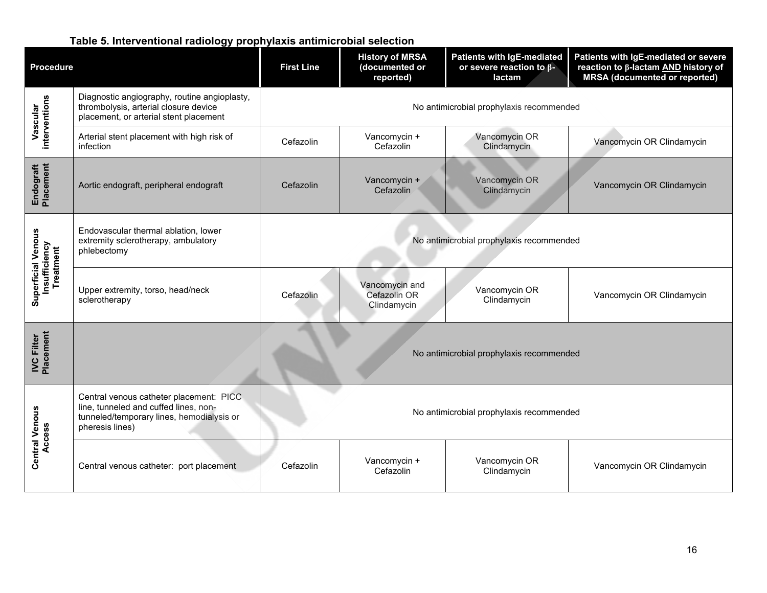### **Table 5. Interventional radiology prophylaxis antimicrobial selection**

<span id="page-15-0"></span>

| <b>Procedure</b>                  |                                                                                                                                                  | <b>First Line</b>                        | <b>History of MRSA</b><br>(documented or<br>reported) | Patients with IgE-mediated<br>or severe reaction to $\beta$ -<br>lactam | Patients with IgE-mediated or severe<br>reaction to β-lactam AND history of<br><b>MRSA</b> (documented or reported) |  |  |
|-----------------------------------|--------------------------------------------------------------------------------------------------------------------------------------------------|------------------------------------------|-------------------------------------------------------|-------------------------------------------------------------------------|---------------------------------------------------------------------------------------------------------------------|--|--|
| interventions<br>Vascular         | Diagnostic angiography, routine angioplasty,<br>thrombolysis, arterial closure device<br>placement, or arterial stent placement                  | No antimicrobial prophylaxis recommended |                                                       |                                                                         |                                                                                                                     |  |  |
|                                   | Arterial stent placement with high risk of<br>infection                                                                                          | Cefazolin                                | Vancomycin +<br>Cefazolin                             | Vancomycin OR<br>Clindamycin                                            | Vancomycin OR Clindamycin                                                                                           |  |  |
| Endograft<br>Placement            | Aortic endograft, peripheral endograft                                                                                                           | Cefazolin                                | Vancomycin +<br>Cefazolin                             | Vancomycin OR<br>Clindamycin                                            | Vancomycin OR Clindamycin                                                                                           |  |  |
| <b>Superficial Venous</b>         | Endovascular thermal ablation, lower<br>extremity sclerotherapy, ambulatory<br>phlebectomy                                                       | No antimicrobial prophylaxis recommended |                                                       |                                                                         |                                                                                                                     |  |  |
| <b>Insufficiency</b><br>Treatment | Upper extremity, torso, head/neck<br>sclerotherapy                                                                                               | Cefazolin                                | Vancomycin and<br>Cefazolin OR<br>Clindamycin         | Vancomycin OR<br>Clindamycin                                            | Vancomycin OR Clindamycin                                                                                           |  |  |
| Placement<br><b>IVC Filter</b>    |                                                                                                                                                  | No antimicrobial prophylaxis recommended |                                                       |                                                                         |                                                                                                                     |  |  |
| <b>Central Venous</b><br>Access   | Central venous catheter placement: PICC<br>line, tunneled and cuffed lines, non-<br>tunneled/temporary lines, hemodialysis or<br>pheresis lines) | No antimicrobial prophylaxis recommended |                                                       |                                                                         |                                                                                                                     |  |  |
|                                   | Central venous catheter: port placement                                                                                                          | Cefazolin                                | Vancomycin +<br>Cefazolin                             | Vancomycin OR<br>Clindamycin                                            | Vancomycin OR Clindamycin                                                                                           |  |  |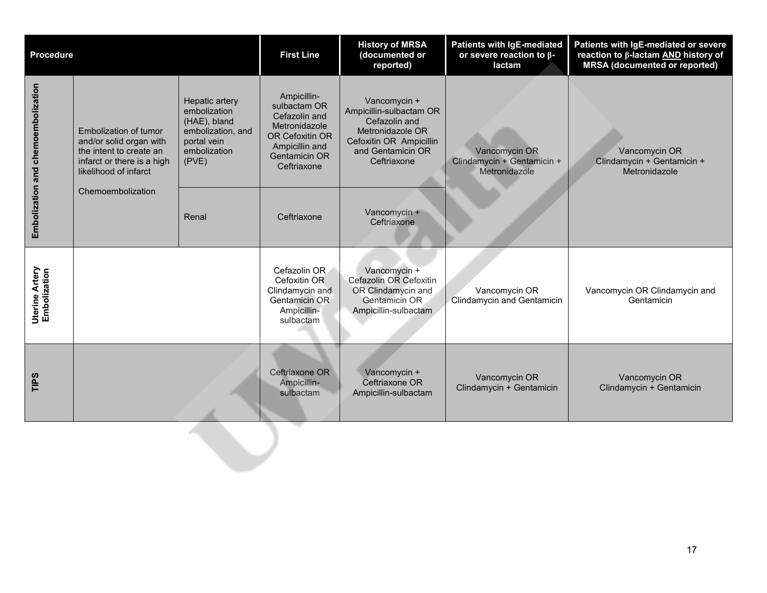| <b>Procedure</b>                      |                                                                                                                                    | <b>First Line</b>                                                                                           | <b>History of MRSA</b><br>(documented or<br>reported)                                                                                     | Patients with IgE-mediated<br>or severe reaction to $\beta$ -<br>lactam                                                                     | Patients with IgE-mediated or severe<br>reaction to β-lactam AND history of<br><b>MRSA</b> (documented or reported) |                                                              |
|---------------------------------------|------------------------------------------------------------------------------------------------------------------------------------|-------------------------------------------------------------------------------------------------------------|-------------------------------------------------------------------------------------------------------------------------------------------|---------------------------------------------------------------------------------------------------------------------------------------------|---------------------------------------------------------------------------------------------------------------------|--------------------------------------------------------------|
| Embolization and chemoembolization    | Embolization of tumor<br>and/or solid organ with<br>the intent to create an<br>infarct or there is a high<br>likelihood of infarct | Hepatic artery<br>embolization<br>(HAE), bland<br>embolization, and<br>portal vein<br>embolization<br>(PVE) | Ampicillin-<br>sulbactam OR<br>Cefazolin and<br>Metronidazole<br>OR Cefoxitin OR<br>Ampicillin and<br><b>Gentamicin OR</b><br>Ceftriaxone | Vancomycin +<br>Ampicillin-sulbactam OR<br>Cefazolin and<br>Metronidazole OR<br>Cefoxitin OR Ampicillin<br>and Gentamicin OR<br>Ceftriaxone | Vancomycin OR<br>Clindamycin + Gentamicin +<br>Metronidazole                                                        | Vancomycin OR<br>Clindamycin + Gentamicin +<br>Metronidazole |
|                                       | Chemoembolization                                                                                                                  | Renal                                                                                                       | Ceftriaxone                                                                                                                               | Vancomycin +<br>Ceftriaxone                                                                                                                 |                                                                                                                     |                                                              |
| <b>Uterine Artery</b><br>Embolization |                                                                                                                                    |                                                                                                             | Cefazolin OR<br>Cefoxitin OR<br>Clindamycin and<br>Gentamicin OR<br>Ampicillin-<br>sulbactam                                              | Vancomycin +<br>Cefazolin OR Cefoxitin<br>OR Clindamycin and<br>Gentamicin OR<br>Ampicillin-sulbactam                                       | Vancomycin OR<br><b>Clindamycin and Gentamicin</b>                                                                  | Vancomycin OR Clindamycin and<br>Gentamicin                  |
| TIPS                                  |                                                                                                                                    |                                                                                                             | Ceftriaxone OR<br>Ampicillin-<br>sulbactam                                                                                                | Vancomycin +<br>Ceftriaxone OR<br>Ampicillin-sulbactam                                                                                      | Vancomycin OR<br>Clindamycin + Gentamicin                                                                           | Vancomycin OR<br>Clindamycin + Gentamicin                    |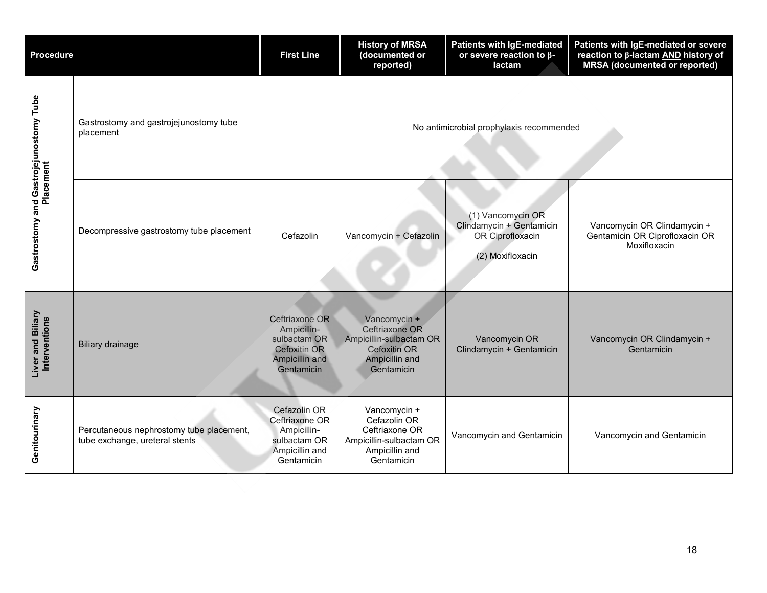| <b>Procedure</b>                                    |                                                                            | <b>First Line</b>                                                                             | <b>History of MRSA</b><br>(documented or<br>reported)                                                     | <b>Patients with IgE-mediated</b><br>or severe reaction to $\beta$ -<br>lactam        | Patients with IgE-mediated or severe<br>reaction to β-lactam AND history of<br><b>MRSA</b> (documented or reported) |
|-----------------------------------------------------|----------------------------------------------------------------------------|-----------------------------------------------------------------------------------------------|-----------------------------------------------------------------------------------------------------------|---------------------------------------------------------------------------------------|---------------------------------------------------------------------------------------------------------------------|
|                                                     | Gastrostomy and gastrojejunostomy tube<br>placement                        | No antimicrobial prophylaxis recommended                                                      |                                                                                                           |                                                                                       |                                                                                                                     |
| Gastrostomy and Gastrojejunostomy Tube<br>Placement | Decompressive gastrostomy tube placement                                   | Cefazolin                                                                                     | Vancomycin + Cefazolin                                                                                    | (1) Vancomycin OR<br>Clindamycin + Gentamicin<br>OR Ciprofloxacin<br>(2) Moxifloxacin | Vancomycin OR Clindamycin +<br>Gentamicin OR Ciprofloxacin OR<br>Moxifloxacin                                       |
| Liver and Biliary<br>Interventions                  | <b>Biliary drainage</b>                                                    | Ceftriaxone OR<br>Ampicillin-<br>sulbactam OR<br>Cefoxitin OR<br>Ampicillin and<br>Gentamicin | Vancomycin +<br>Ceftriaxone OR<br>Ampicillin-sulbactam OR<br>Cefoxitin OR<br>Ampicillin and<br>Gentamicin | Vancomycin OR<br>Clindamycin + Gentamicin                                             | Vancomycin OR Clindamycin +<br>Gentamicin                                                                           |
| Genitourinary                                       | Percutaneous nephrostomy tube placement,<br>tube exchange, ureteral stents | Cefazolin OR<br>Ceftriaxone OR<br>Ampicillin-<br>sulbactam OR<br>Ampicillin and<br>Gentamicin | Vancomycin +<br>Cefazolin OR<br>Ceftriaxone OR<br>Ampicillin-sulbactam OR<br>Ampicillin and<br>Gentamicin | Vancomycin and Gentamicin                                                             | Vancomycin and Gentamicin                                                                                           |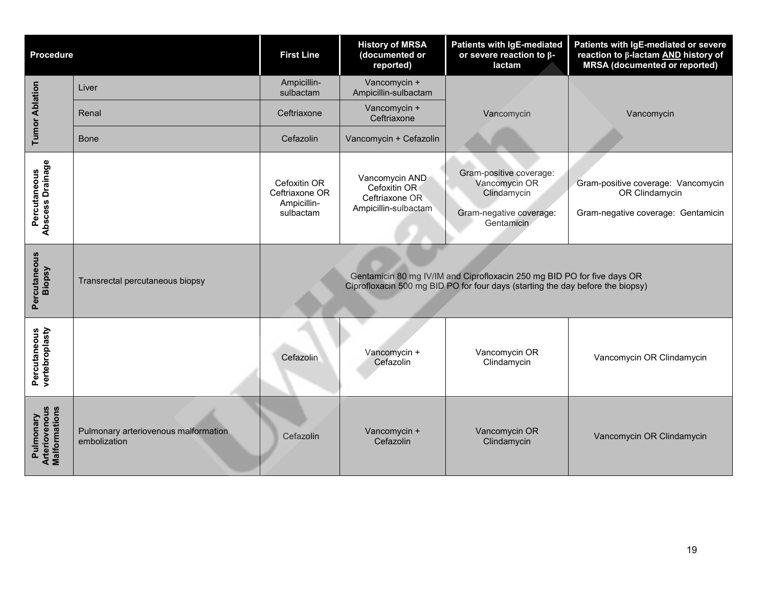| <b>Procedure</b>                                   |                                                      | <b>First Line</b>                                          | <b>History of MRSA</b><br>(documented or<br>reported)                    | <b>Patients with IgE-mediated</b><br>or severe reaction to $\beta$ -<br>lactam                                                                            | Patients with IgE-mediated or severe<br>reaction to β-lactam AND history of<br><b>MRSA</b> (documented or reported) |
|----------------------------------------------------|------------------------------------------------------|------------------------------------------------------------|--------------------------------------------------------------------------|-----------------------------------------------------------------------------------------------------------------------------------------------------------|---------------------------------------------------------------------------------------------------------------------|
|                                                    | Liver                                                | Ampicillin-<br>sulbactam                                   | Vancomycin +<br>Ampicillin-sulbactam                                     |                                                                                                                                                           |                                                                                                                     |
| <b>Tumor Ablation</b>                              | Renal                                                | Ceftriaxone                                                | Vancomycin +<br>Ceftriaxone                                              | Vancomycin                                                                                                                                                | Vancomycin                                                                                                          |
|                                                    | Bone                                                 | Cefazolin                                                  | Vancomycin + Cefazolin                                                   |                                                                                                                                                           |                                                                                                                     |
| Abscess Drainage<br>Percutaneous                   |                                                      | Cefoxitin OR<br>Ceftriaxone OR<br>Ampicillin-<br>sulbactam | Vancomycin AND<br>Cefoxitin OR<br>Ceftriaxone OR<br>Ampicillin-sulbactam | Gram-positive coverage:<br>Vancomycin OR<br>Clindamycin<br>Gram-negative coverage:<br>Gentamicin                                                          | Gram-positive coverage: Vancomycin<br>OR Clindamycin<br>Gram-negative coverage: Gentamicin                          |
| Percutaneous<br>Biopsy                             | Transrectal percutaneous biopsy                      |                                                            |                                                                          | Gentamicin 80 mg IV/IM and Ciprofloxacin 250 mg BID PO for five days OR<br>Ciprofloxacin 500 mg BID PO for four days (starting the day before the biopsy) |                                                                                                                     |
| Percutaneous<br>vertebroplasty                     |                                                      | Cefazolin                                                  | Vancomycin +<br>Cefazolin                                                | Vancomycin OR<br>Clindamycin                                                                                                                              | Vancomycin OR Clindamycin                                                                                           |
| <b>Arteriovenous</b><br>Malformations<br>Pulmonary | Pulmonary arteriovenous malformation<br>embolization | Cefazolin                                                  | Vancomycin +<br>Cefazolin                                                | Vancomycin OR<br>Clindamycin                                                                                                                              | Vancomycin OR Clindamycin                                                                                           |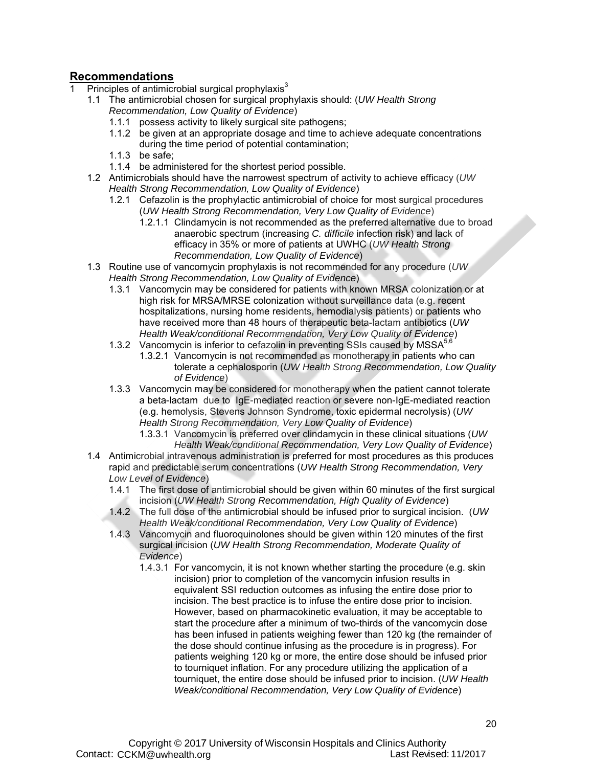### <span id="page-19-0"></span>**Recommendations**

- 1 Principles of antimicrobial surgical prophylaxis $3$ 
	- 1.1 The antimicrobial chosen for surgical prophylaxis should: (*UW Health Strong Recommendation, Low Quality of Evidence*)
		- 1.1.1 possess activity to likely surgical site pathogens;
		- 1.1.2 be given at an appropriate dosage and time to achieve adequate concentrations during the time period of potential contamination;
		- 1.1.3 be safe;
		- 1.1.4 be administered for the shortest period possible.
	- 1.2 Antimicrobials should have the narrowest spectrum of activity to achieve efficacy (*UW Health Strong Recommendation, Low Quality of Evidence*)
		- 1.2.1 Cefazolin is the prophylactic antimicrobial of choice for most surgical procedures (*UW Health Strong Recommendation, Very Low Quality of Evidence*)
			- 1.2.1.1 Clindamycin is not recommended as the preferred alternative due to broad anaerobic spectrum (increasing *C. difficile* infection risk) and lack of efficacy in 35% or more of patients at UWHC (*UW Health Strong Recommendation, Low Quality of Evidence*)
	- 1.3 Routine use of vancomycin prophylaxis is not recommended for any procedure (*UW Health Strong Recommendation, Low Quality of Evidence*)
		- 1.3.1 Vancomycin may be considered for patients with known MRSA colonization or at high risk for MRSA/MRSE colonization without surveillance data (e.g. recent hospitalizations, nursing home residents, hemodialysis patients) or patients who have received more than 48 hours of therapeutic beta-lactam antibiotics (*UW Health Weak/conditional Recommendation, Very Low Quality of Evidence*)
		- 1.3.2 Vancomycin is inferior to cefazolin in preventing SSIs caused by MSSA<sup>5,6</sup>
			- 1.3.2.1 Vancomycin is not recommended as monotherapy in patients who can tolerate a cephalosporin (*UW Health Strong Recommendation, Low Quality of Evidence*)
		- 1.3.3 Vancomycin may be considered for monotherapy when the patient cannot tolerate a beta-lactam due to IgE-mediated reaction or severe non-IgE-mediated reaction (e.g. hemolysis, Stevens Johnson Syndrome, toxic epidermal necrolysis) (*UW Health Strong Recommendation, Very Low Quality of Evidence*)
			- 1.3.3.1 Vancomycin is preferred over clindamycin in these clinical situations (*UW Health Weak/conditional Recommendation, Very Low Quality of Evidence*)
	- 1.4 Antimicrobial intravenous administration is preferred for most procedures as this produces rapid and predictable serum concentrations (*UW Health Strong Recommendation, Very Low Level of Evidence*)
		- 1.4.1 The first dose of antimicrobial should be given within 60 minutes of the first surgical incision (*UW Health Strong Recommendation, High Quality of Evidence*)
		- 1.4.2 The full dose of the antimicrobial should be infused prior to surgical incision. (*UW Health Weak/conditional Recommendation, Very Low Quality of Evidence*)
		- 1.4.3 Vancomycin and fluoroquinolones should be given within 120 minutes of the first surgical incision (*UW Health Strong Recommendation, Moderate Quality of Evidence*)
			- 1.4.3.1 For vancomycin, it is not known whether starting the procedure (e.g. skin incision) prior to completion of the vancomycin infusion results in equivalent SSI reduction outcomes as infusing the entire dose prior to incision. The best practice is to infuse the entire dose prior to incision. However, based on pharmacokinetic evaluation, it may be acceptable to start the procedure after a minimum of two-thirds of the vancomycin dose has been infused in patients weighing fewer than 120 kg (the remainder of the dose should continue infusing as the procedure is in progress). For patients weighing 120 kg or more, the entire dose should be infused prior to tourniquet inflation. For any procedure utilizing the application of a tourniquet, the entire dose should be infused prior to incision. (*UW Health Weak/conditional Recommendation, Very Low Quality of Evidence*)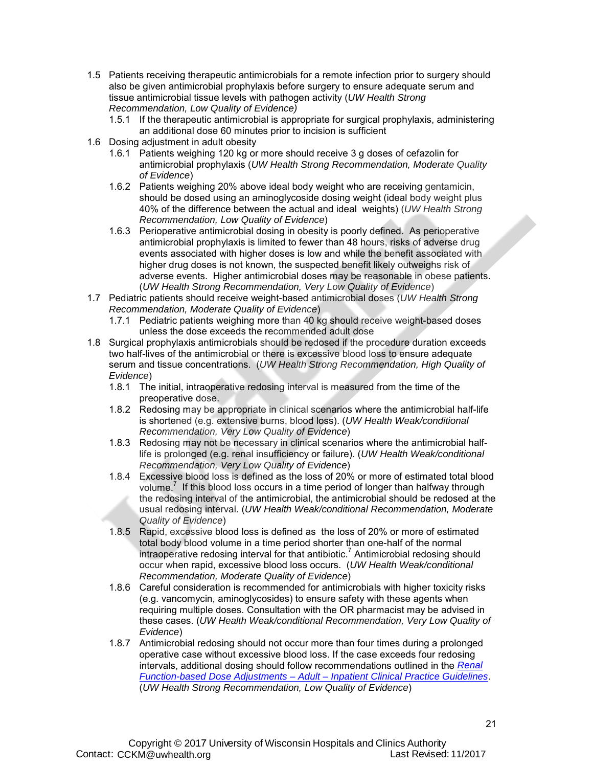- 1.5 Patients receiving therapeutic antimicrobials for a remote infection prior to surgery should also be given antimicrobial prophylaxis before surgery to ensure adequate serum and tissue antimicrobial tissue levels with pathogen activity (*UW Health Strong Recommendation, Low Quality of Evidence)*
	- 1.5.1 If the therapeutic antimicrobial is appropriate for surgical prophylaxis, administering an additional dose 60 minutes prior to incision is sufficient
- 1.6 Dosing adjustment in adult obesity
	- 1.6.1 Patients weighing 120 kg or more should receive 3 g doses of cefazolin for antimicrobial prophylaxis (*UW Health Strong Recommendation, Moderate Quality of Evidence*)
	- 1.6.2 Patients weighing 20% above ideal body weight who are receiving gentamicin, should be dosed using an aminoglycoside dosing weight (ideal body weight plus 40% of the difference between the actual and ideal weights) (*UW Health Strong Recommendation, Low Quality of Evidence*)
	- 1.6.3 Perioperative antimicrobial dosing in obesity is poorly defined. As perioperative antimicrobial prophylaxis is limited to fewer than 48 hours, risks of adverse drug events associated with higher doses is low and while the benefit associated with higher drug doses is not known, the suspected benefit likely outweighs risk of adverse events. Higher antimicrobial doses may be reasonable in obese patients. (*UW Health Strong Recommendation, Very Low Quality of Evidence*)
- 1.7 Pediatric patients should receive weight-based antimicrobial doses (*UW Health Strong Recommendation, Moderate Quality of Evidence*)
	- 1.7.1 Pediatric patients weighing more than 40 kg should receive weight-based doses unless the dose exceeds the recommended adult dose
- 1.8 Surgical prophylaxis antimicrobials should be redosed if the procedure duration exceeds two half-lives of the antimicrobial or there is excessive blood loss to ensure adequate serum and tissue concentrations. (*UW Health Strong Recommendation, High Quality of Evidence*)
	- 1.8.1 The initial, intraoperative redosing interval is measured from the time of the preoperative dose.
	- 1.8.2 Redosing may be appropriate in clinical scenarios where the antimicrobial half-life is shortened (e.g. extensive burns, blood loss). (*UW Health Weak/conditional Recommendation, Very Low Quality of Evidence*)
	- 1.8.3 Redosing may not be necessary in clinical scenarios where the antimicrobial halflife is prolonged (e.g. renal insufficiency or failure). (*UW Health Weak/conditional Recommendation, Very Low Quality of Evidence*)
	- 1.8.4 Excessive blood loss is defined as the loss of 20% or more of estimated total blood volume.<sup>7</sup> If this blood loss occurs in a time period of longer than halfway through the redosing interval of the antimicrobial, the antimicrobial should be redosed at the usual redosing interval. (*UW Health Weak/conditional Recommendation, Moderate Quality of Evidence*)
	- 1.8.5 Rapid, excessive blood loss is defined as the loss of 20% or more of estimated total body blood volume in a time period shorter than one-half of the normal intraoperative redosing interval for that antibiotic.<sup>7</sup> Antimicrobial redosing should occur when rapid, excessive blood loss occurs. (*UW Health Weak/conditional Recommendation, Moderate Quality of Evidence*)
	- 1.8.6 Careful consideration is recommended for antimicrobials with higher toxicity risks (e.g. vancomycin, aminoglycosides) to ensure safety with these agents when requiring multiple doses. Consultation with the OR pharmacist may be advised in these cases. (*UW Health Weak/conditional Recommendation, Very Low Quality of Evidence*)
	- 1.8.7 Antimicrobial redosing should not occur more than four times during a prolonged operative case without excessive blood loss. If the case exceeds four redosing intervals, additional dosing should follow recommendations outlined in the *Renal Function-based Dose Adjustments – Adult – Inpatient Clinical Practice Guidelines*. (*UW Health Strong Recommendation, Low Quality of Evidence*)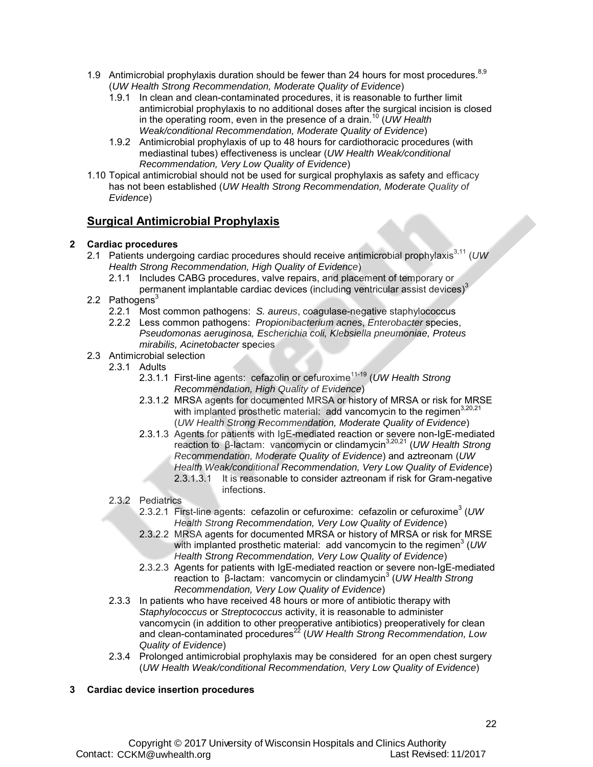- 1.9 Antimicrobial prophylaxis duration should be fewer than 24 hours for most procedures.<sup>8,9</sup> (*UW Health Strong Recommendation, Moderate Quality of Evidence*)
	- 1.9.1 In clean and clean-contaminated procedures, it is reasonable to further limit antimicrobial prophylaxis to no additional doses after the surgical incision is closed in the operating room, even in the presence of a drain.10 (*UW Health Weak/conditional Recommendation, Moderate Quality of Evidence*)
	- 1.9.2 Antimicrobial prophylaxis of up to 48 hours for cardiothoracic procedures (with mediastinal tubes) effectiveness is unclear (*UW Health Weak/conditional Recommendation, Very Low Quality of Evidence*)
- 1.10 Topical antimicrobial should not be used for surgical prophylaxis as safety and efficacy has not been established (*UW Health Strong Recommendation, Moderate Quality of Evidence*)

### **Surgical Antimicrobial Prophylaxis**

#### **2 Cardiac procedures**

- 2.1 Patients undergoing cardiac procedures should receive antimicrobial prophylaxis<sup>3,11</sup> (UW *Health Strong Recommendation, High Quality of Evidence*)
	- 2.1.1 Includes CABG procedures, valve repairs, and placement of temporary or
- permanent implantable cardiac devices (including ventricular assist devices)<sup>3</sup> 2.2 Pathogens $3$ 
	- 2.2.1 Most common pathogens: *S. aureus*, coagulase-negative staphylococcus
	- 2.2.2 Less common pathogens: *Propionibacterium acnes*, *Enterobacter* species, *Pseudomonas aeruginosa, Escherichia coli, Klebsiella pneumoniae, Proteus mirabilis, Acinetobacter* species
- 2.3 Antimicrobial selection
	- 2.3.1 Adults
		- 2.3.1.1 First-line agents: cefazolin or cefuroxime<sup>11-19</sup> (UW Health Strong *Recommendation, High Quality of Evidence*)
		- 2.3.1.2 MRSA agents for documented MRSA or history of MRSA or risk for MRSE with implanted prosthetic material: add vancomycin to the regimen<sup>3,20,21</sup> (*UW Health Strong Recommendation, Moderate Quality of Evidence*)
		- 2.3.1.3 Agents for patients with IgE-mediated reaction or severe non-IgE-mediated reaction to β-lactam: vancomycin or clindamycin3,20,21 (*UW Health Strong Recommendation, Moderate Quality of Evidence*) and aztreonam (*UW Health Weak/conditional Recommendation, Very Low Quality of Evidence*) It is reasonable to consider aztreonam if risk for Gram-negative infections.
	- 2.3.2 Pediatrics
		- 2.3.2.1 First-line agents: cefazolin or cefuroxime: cefazolin or cefuroxime<sup>3</sup> (UW *Health Strong Recommendation, Very Low Quality of Evidence*)
		- 2.3.2.2 MRSA agents for documented MRSA or history of MRSA or risk for MRSE with implanted prosthetic material: add vancomycin to the regimen<sup>3</sup> (UW *Health Strong Recommendation, Very Low Quality of Evidence*)
		- 2.3.2.3 Agents for patients with IgE-mediated reaction or severe non-IgE-mediated reaction to β-lactam: vancomycin or clindamycin<sup>3</sup> (UW Health Strong *Recommendation, Very Low Quality of Evidence*)
	- 2.3.3 In patients who have received 48 hours or more of antibiotic therapy with *Staphylococcus* or *Streptococcus* activity, it is reasonable to administer vancomycin (in addition to other preoperative antibiotics) preoperatively for clean and clean-contaminated procedures<sup>22</sup> (*UW Health Strong Recommendation, Low Quality of Evidence*)
	- 2.3.4 Prolonged antimicrobial prophylaxis may be considered for an open chest surgery (*UW Health Weak/conditional Recommendation, Very Low Quality of Evidence*)

#### **3 Cardiac device insertion procedures**

P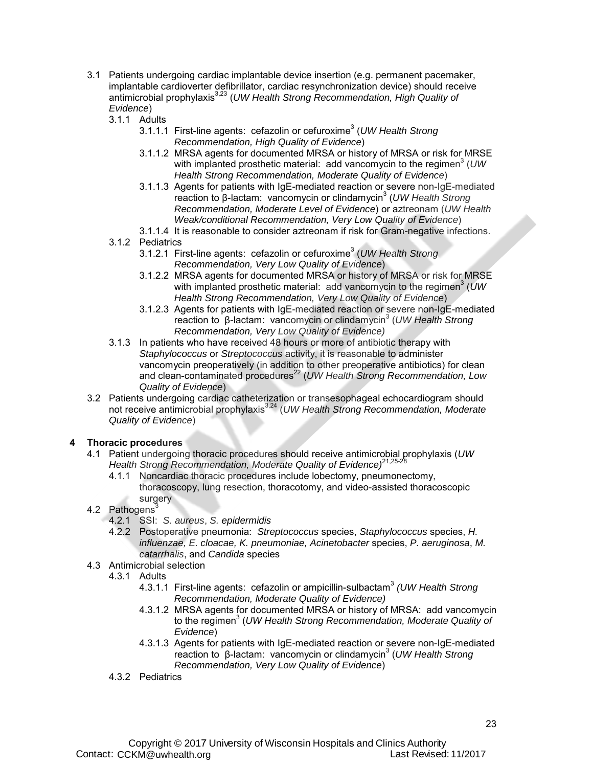- 3.1 Patients undergoing cardiac implantable device insertion (e.g. permanent pacemaker, implantable cardioverter defibrillator, cardiac resynchronization device) should receive antimicrobial prophylaxis3,23 (*UW Health Strong Recommendation, High Quality of Evidence*)
	- 3.1.1 Adults
		- 3.1.1.1 First-line agents: cefazolin or cefuroxime<sup>3</sup> (UW Health Strong *Recommendation, High Quality of Evidence*)
		- 3.1.1.2 MRSA agents for documented MRSA or history of MRSA or risk for MRSE with implanted prosthetic material: add vancomycin to the regimen<sup>3</sup> (UW *Health Strong Recommendation, Moderate Quality of Evidence*)
		- 3.1.1.3 Agents for patients with IgE-mediated reaction or severe non-IgE-mediated reaction to β-lactam: vancomycin or clindamycin<sup>3</sup> (UW Health Strong *Recommendation, Moderate Level of Evidence*) or aztreonam (*UW Health Weak/conditional Recommendation, Very Low Quality of Evidence*)
		- 3.1.1.4 It is reasonable to consider aztreonam if risk for Gram-negative infections.
	- 3.1.2 Pediatrics
		- 3.1.2.1 First-line agents: cefazolin or cefuroxime<sup>3</sup> (UW Health Strong *Recommendation, Very Low Quality of Evidence*)
		- 3.1.2.2 MRSA agents for documented MRSA or history of MRSA or risk for MRSE with implanted prosthetic material: add vancomycin to the regimen<sup>3</sup> (UW) *Health Strong Recommendation, Very Low Quality of Evidence*)
		- 3.1.2.3 Agents for patients with IgE-mediated reaction or severe non-IgE-mediated reaction to β-lactam: vancomycin or clindamycin<sup>3</sup> (UW Health Strong *Recommendation, Very Low Quality of Evidence)*
	- 3.1.3 In patients who have received 48 hours or more of antibiotic therapy with *Staphylococcus* or *Streptococcus* activity, it is reasonable to administer vancomycin preoperatively (in addition to other preoperative antibiotics) for clean and clean-contaminated procedures<sup>22</sup> (*UW Health Strong Recommendation, Low Quality of Evidence*)
- 3.2 Patients undergoing cardiac catheterization or transesophageal echocardiogram should not receive antimicrobial prophylaxis3,24 (*UW Health Strong Recommendation, Moderate Quality of Evidence*)

#### **4 Thoracic procedures**

- 4.1 Patient undergoing thoracic procedures should receive antimicrobial prophylaxis (*UW Health Strong Recommendation, Moderate Quality of Evidence)* 21,25-28
	- 4.1.1 Noncardiac thoracic procedures include lobectomy, pneumonectomy, thoracoscopy, lung resection, thoracotomy, and video-assisted thoracoscopic surgery
- 4.2 Pathogens<sup>3</sup>
	- 4.2.1 SSI: *S. aureus*, *S. epidermidis*
	- 4.2.2 Postoperative pneumonia: *Streptococcus* species, *Staphylococcus* species, *H. influenzae, E. cloacae, K. pneumoniae, Acinetobacter* species, *P. aeruginosa*, *M. catarrhalis*, and *Candida* species
- 4.3 Antimicrobial selection
	- 4.3.1 Adults
		- 4.3.1.1 First-line agents: cefazolin or ampicillin-sulbactam<sup>3</sup> *(UW Health Strong Recommendation, Moderate Quality of Evidence)*
		- 4.3.1.2 MRSA agents for documented MRSA or history of MRSA: add vancomycin to the regimen<sup>3</sup> (UW Health Strong Recommendation, Moderate Quality of *Evidence*)
		- 4.3.1.3 Agents for patients with IgE-mediated reaction or severe non-IgE-mediated reaction to β-lactam: vancomycin or clindamycin<sup>3</sup> (UW Health Strong *Recommendation, Very Low Quality of Evidence*)
		- 4.3.2 Pediatrics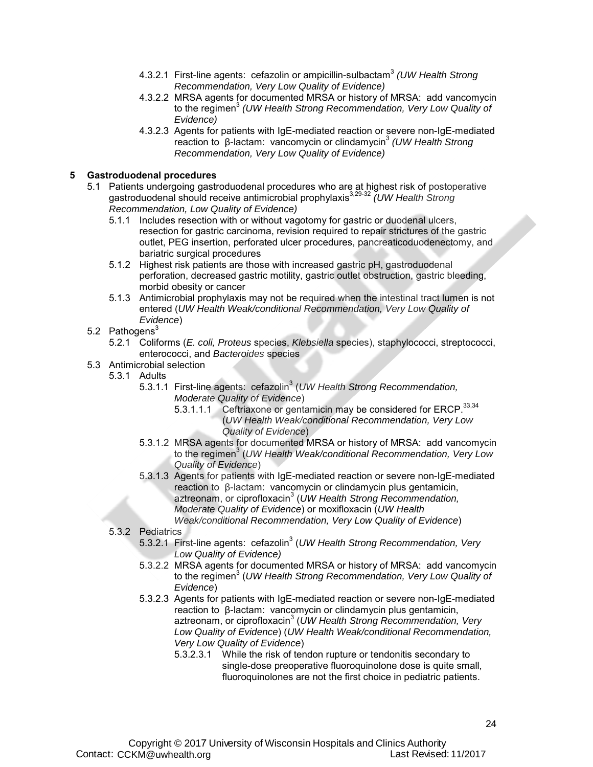- 4.3.2.1 First-line agents: cefazolin or ampicillin-sulbactam<sup>3</sup> *(UW Health Strong Recommendation, Very Low Quality of Evidence)*
- 4.3.2.2 MRSA agents for documented MRSA or history of MRSA: add vancomycin to the regimen<sup>3</sup> *(UW Health Strong Recommendation, Very Low Quality of Evidence)*
- 4.3.2.3 Agents for patients with IgE-mediated reaction or severe non-IgE-mediated reaction to β-lactam: vancomycin or clindamycin<sup>3</sup> *(UW Health Strong Recommendation, Very Low Quality of Evidence)*

#### **5 Gastroduodenal procedures**

- 5.1 Patients undergoing gastroduodenal procedures who are at highest risk of postoperative gastroduodenal should receive antimicrobial prophylaxis<sup>3,29-32</sup> *(UW Health Strong Recommendation, Low Quality of Evidence)*
	- 5.1.1 Includes resection with or without vagotomy for gastric or duodenal ulcers, resection for gastric carcinoma, revision required to repair strictures of the gastric outlet, PEG insertion, perforated ulcer procedures, pancreaticoduodenectomy, and bariatric surgical procedures
	- 5.1.2 Highest risk patients are those with increased gastric pH, gastroduodenal perforation, decreased gastric motility, gastric outlet obstruction, gastric bleeding, morbid obesity or cancer
	- 5.1.3 Antimicrobial prophylaxis may not be required when the intestinal tract lumen is not entered (*UW Health Weak/conditional Recommendation, Very Low Quality of Evidence*)
- 5.2 Pathogens<sup>3</sup>
	- 5.2.1 Coliforms (*E. coli, Proteus* species, *Klebsiella* species), staphylococci, streptococci, enterococci, and *Bacteroides* species
- 5.3 Antimicrobial selection
	- 5.3.1 Adults
		- 5.3.1.1 First-line agents: cefazolin<sup>3</sup> (UW Health Strong Recommendation, *Moderate Quality of Evidence*)
			- 5.3.1.1.1 Ceftriaxone or gentamicin may be considered for ERCP.  $33,34$ (*UW Health Weak/conditional Recommendation, Very Low Quality of Evidence*)
		- 5.3.1.2 MRSA agents for documented MRSA or history of MRSA: add vancomycin to the regimen<sup>3</sup> (*UW Health Weak/conditional Recommendation, Very Low Quality of Evidence*)
		- 5.3.1.3 Agents for patients with IgE-mediated reaction or severe non-IgE-mediated reaction to β-lactam: vancomycin or clindamycin plus gentamicin, aztreonam, or ciprofloxacin<sup>3</sup> (UW Health Strong Recommendation, *Moderate Quality of Evidence*) or moxifloxacin (*UW Health Weak/conditional Recommendation, Very Low Quality of Evidence*)
	- 5.3.2 Pediatrics
		- 5.3.2.1 First-line agents: cefazolin<sup>3</sup> (UW Health Strong Recommendation, Very *Low Quality of Evidence)*
		- 5.3.2.2 MRSA agents for documented MRSA or history of MRSA: add vancomycin to the regimen<sup>3</sup> (UW Health Strong Recommendation, Very Low Quality of *Evidence*)
		- 5.3.2.3 Agents for patients with IgE-mediated reaction or severe non-IgE-mediated reaction to β-lactam: vancomycin or clindamycin plus gentamicin, aztreonam, or ciprofloxacin<sup>3</sup> (UW Health Strong Recommendation, Very *Low Quality of Evidence*) (*UW Health Weak/conditional Recommendation, Very Low Quality of Evidence*)
			- 5.3.2.3.1 While the risk of tendon rupture or tendonitis secondary to single-dose preoperative fluoroquinolone dose is quite small, fluoroquinolones are not the first choice in pediatric patients.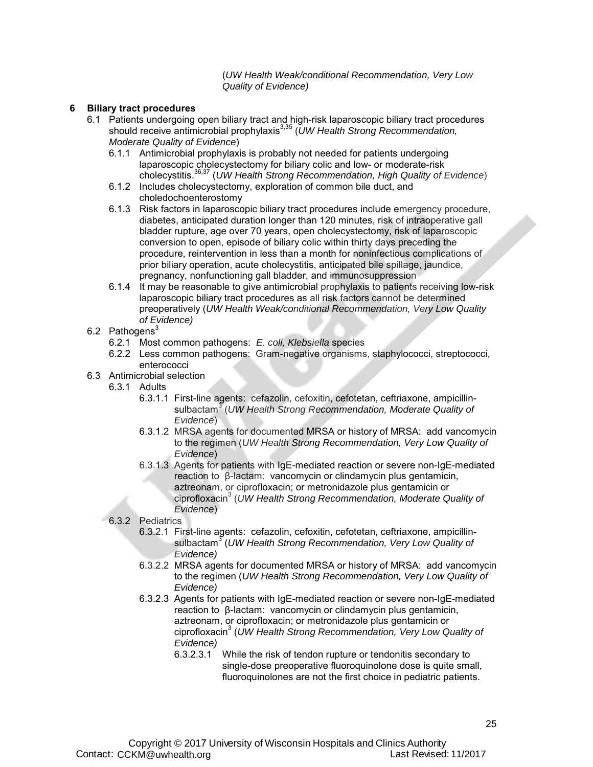(*UW Health Weak/conditional Recommendation, Very Low Quality of Evidence)*

#### **6 Biliary tract procedures**

- 6.1 Patients undergoing open biliary tract and high-risk laparoscopic biliary tract procedures should receive antimicrobial prophylaxis<sup>3,35</sup> (UW Health Strong Recommendation, *Moderate Quality of Evidence*)
	- 6.1.1 Antimicrobial prophylaxis is probably not needed for patients undergoing laparoscopic cholecystectomy for biliary colic and low- or moderate-risk cholecystitis.36,37 (*UW Health Strong Recommendation, High Quality of Evidence*)
	- 6.1.2 Includes cholecystectomy, exploration of common bile duct, and choledochoenterostomy
	- 6.1.3 Risk factors in laparoscopic biliary tract procedures include emergency procedure, diabetes, anticipated duration longer than 120 minutes, risk of intraoperative gall bladder rupture, age over 70 years, open cholecystectomy, risk of laparoscopic conversion to open, episode of biliary colic within thirty days preceding the procedure, reintervention in less than a month for noninfectious complications of prior biliary operation, acute cholecystitis, anticipated bile spillage, jaundice, pregnancy, nonfunctioning gall bladder, and immunosuppression
	- 6.1.4 It may be reasonable to give antimicrobial prophylaxis to patients receiving low-risk laparoscopic biliary tract procedures as all risk factors cannot be determined preoperatively (*UW Health Weak/conditional Recommendation, Very Low Quality of Evidence)*
- 6.2 Pathogens $3$ 
	- 6.2.1 Most common pathogens: *E. coli, Klebsiella* species
	- 6.2.2 Less common pathogens: Gram-negative organisms, staphylococci, streptococci, enterococci
- 6.3 Antimicrobial selection
	- 6.3.1 Adults
		- 6.3.1.1 First-line agents: cefazolin, cefoxitin, cefotetan, ceftriaxone, ampicillinsulbactam<sup>3</sup> (*UW Health Strong Recommendation, Moderate Quality of Evidence*)
		- 6.3.1.2 MRSA agents for documented MRSA or history of MRSA: add vancomycin to the regimen (*UW Health Strong Recommendation, Very Low Quality of Evidence*)
		- 6.3.1.3 Agents for patients with IgE-mediated reaction or severe non-IgE-mediated reaction to β-lactam: vancomycin or clindamycin plus gentamicin, aztreonam, or ciprofloxacin; or metronidazole plus gentamicin or ciprofloxacin<sup>3</sup> (*UW Health Strong Recommendation, Moderate Quality of Evidence*)

#### 6.3.2 Pediatrics

- 6.3.2.1 First-line agents: cefazolin, cefoxitin, cefotetan, ceftriaxone, ampicillinsulbactam<sup>3</sup> (UW Health Strong Recommendation, Very Low Quality of *Evidence)*
- 6.3.2.2 MRSA agents for documented MRSA or history of MRSA: add vancomycin to the regimen (*UW Health Strong Recommendation, Very Low Quality of Evidence)*
- 6.3.2.3 Agents for patients with IgE-mediated reaction or severe non-IgE-mediated reaction to β-lactam: vancomycin or clindamycin plus gentamicin, aztreonam, or ciprofloxacin; or metronidazole plus gentamicin or ciprofloxacin3 (*UW Health Strong Recommendation, Very Low Quality of Evidence)*
	- 6.3.2.3.1 While the risk of tendon rupture or tendonitis secondary to single-dose preoperative fluoroquinolone dose is quite small, fluoroquinolones are not the first choice in pediatric patients.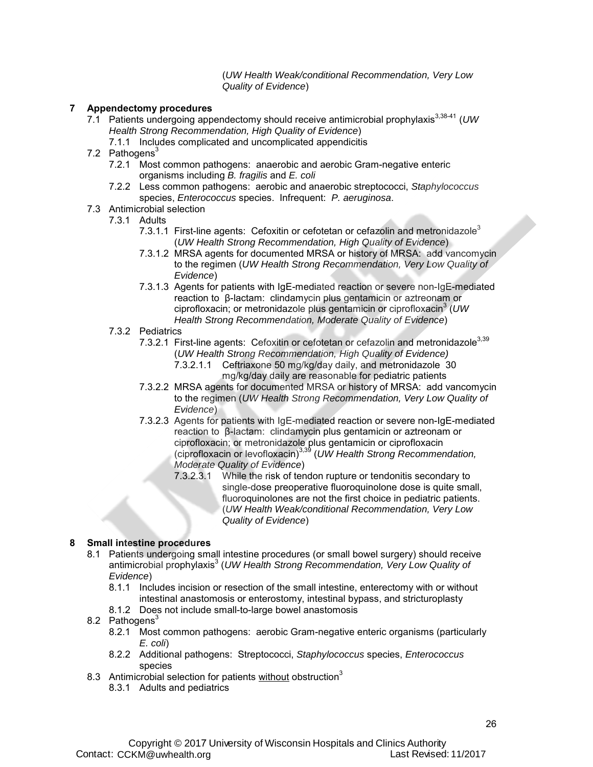(*UW Health Weak/conditional Recommendation, Very Low Quality of Evidence*)

#### **7 Appendectomy procedures**

- 7.1 Patients undergoing appendectomy should receive antimicrobial prophylaxis<sup>3,38-41</sup> (UW *Health Strong Recommendation, High Quality of Evidence*)
	- 7.1.1 Includes complicated and uncomplicated appendicitis
- 7.2 Pathogens $3$ 
	- 7.2.1 Most common pathogens: anaerobic and aerobic Gram-negative enteric organisms including *B. fragilis* and *E. coli*
	- 7.2.2 Less common pathogens: aerobic and anaerobic streptococci, *Staphylococcus* species, *Enterococcus* species. Infrequent: *P. aeruginosa*.
- 7.3 Antimicrobial selection
	- 7.3.1 Adults
		- 7.3.1.1 First-line agents: Cefoxitin or cefotetan or cefazolin and metronidazole<sup>3</sup> (*UW Health Strong Recommendation, High Quality of Evidence*)
		- 7.3.1.2 MRSA agents for documented MRSA or history of MRSA: add vancomycin to the regimen (*UW Health Strong Recommendation, Very Low Quality of Evidence*)
		- 7.3.1.3 Agents for patients with IgE-mediated reaction or severe non-IgE-mediated reaction to β-lactam: clindamycin plus gentamicin or aztreonam or ciprofloxacin; or metronidazole plus gentamicin or ciprofloxacin<sup>3</sup> (UW *Health Strong Recommendation, Moderate Quality of Evidence*)
	- 7.3.2 Pediatrics
		- 7.3.2.1 First-line agents: Cefoxitin or cefotetan or cefazolin and metronidazole<sup>3,39</sup> (*UW Health Strong Recommendation, High Quality of Evidence)* 7.3.2.1.1 Ceftriaxone 50 mg/kg/day daily, and metronidazole 30
			- mg/kg/day daily are reasonable for pediatric patients
		- 7.3.2.2 MRSA agents for documented MRSA or history of MRSA: add vancomycin to the regimen (*UW Health Strong Recommendation, Very Low Quality of Evidence*)
		- 7.3.2.3 Agents for patients with IgE-mediated reaction or severe non-IgE-mediated reaction to β-lactam: clindamycin plus gentamicin or aztreonam or ciprofloxacin; or metronidazole plus gentamicin or ciprofloxacin (ciprofloxacin or levofloxacin)3,39 (*UW Health Strong Recommendation, Moderate Quality of Evidence*)
			- While the risk of tendon rupture or tendonitis secondary to single-dose preoperative fluoroquinolone dose is quite small, fluoroquinolones are not the first choice in pediatric patients. (*UW Health Weak/conditional Recommendation, Very Low Quality of Evidence*)

#### **8 Small intestine procedures**

- 8.1 Patients undergoing small intestine procedures (or small bowel surgery) should receive antimicrobial prophylaxis<sup>3</sup> (UW Health Strong Recommendation, Very Low Quality of *Evidence*)
	- 8.1.1 Includes incision or resection of the small intestine, enterectomy with or without intestinal anastomosis or enterostomy, intestinal bypass, and stricturoplasty
	- 8.1.2 Does not include small-to-large bowel anastomosis
- 8.2 Pathogens<sup>3</sup>
	- 8.2.1 Most common pathogens: aerobic Gram-negative enteric organisms (particularly *E. coli*)
	- 8.2.2 Additional pathogens: Streptococci, *Staphylococcus* species, *Enterococcus* species
- 8.3 Antimicrobial selection for patients without obstruction<sup>3</sup>
	- 8.3.1 Adults and pediatrics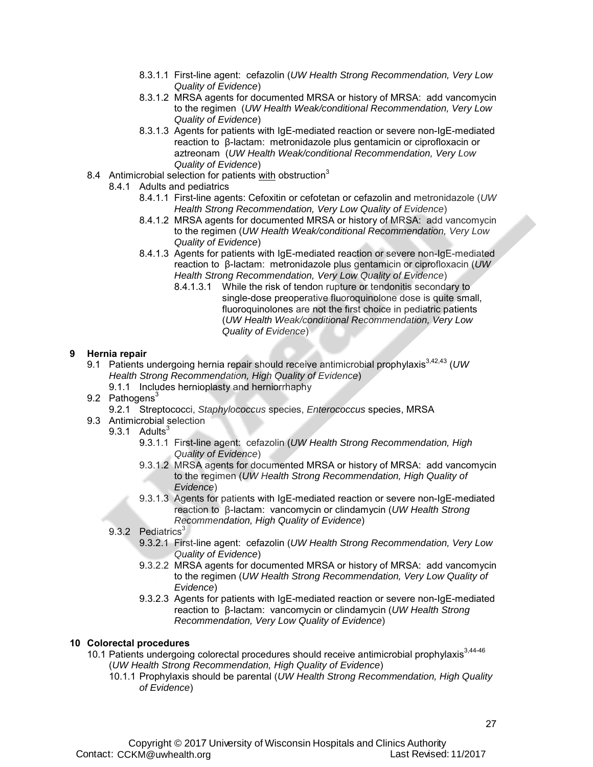- 8.3.1.1 First-line agent: cefazolin (*UW Health Strong Recommendation, Very Low Quality of Evidence*)
- 8.3.1.2 MRSA agents for documented MRSA or history of MRSA: add vancomycin to the regimen (*UW Health Weak/conditional Recommendation, Very Low Quality of Evidence*)
- 8.3.1.3 Agents for patients with IgE-mediated reaction or severe non-IgE-mediated reaction to β-lactam: metronidazole plus gentamicin or ciprofloxacin or aztreonam (*UW Health Weak/conditional Recommendation, Very Low Quality of Evidence*)
- 8.4 Antimicrobial selection for patients with obstruction<sup>3</sup>
	- 8.4.1 Adults and pediatrics
		- 8.4.1.1 First-line agents: Cefoxitin or cefotetan or cefazolin and metronidazole (*UW Health Strong Recommendation, Very Low Quality of Evidence*)
		- 8.4.1.2 MRSA agents for documented MRSA or history of MRSA: add vancomycin to the regimen (*UW Health Weak/conditional Recommendation, Very Low Quality of Evidence*)
		- 8.4.1.3 Agents for patients with IgE-mediated reaction or severe non-IgE-mediated reaction to β-lactam: metronidazole plus gentamicin or ciprofloxacin (*UW Health Strong Recommendation, Very Low Quality of Evidence*)
			- 8.4.1.3.1 While the risk of tendon rupture or tendonitis secondary to single-dose preoperative fluoroquinolone dose is quite small, fluoroquinolones are not the first choice in pediatric patients (*UW Health Weak/conditional Recommendation, Very Low Quality of Evidence*)

#### **9 Hernia repair**

- 9.1 Patients undergoing hernia repair should receive antimicrobial prophylaxis<sup>3,42,43</sup> (UW *Health Strong Recommendation, High Quality of Evidence*)
	- 9.1.1 Includes hernioplasty and herniorrhaphy
- 9.2 Pathogens<sup>3</sup>
	- 9.2.1 Streptococci, *Staphylococcus* species, *Enterococcus* species, MRSA
- 9.3 Antimicrobial selection
	- $9.3.1$  Adults<sup>3</sup>
		- 9.3.1.1 First-line agent: cefazolin (*UW Health Strong Recommendation, High Quality of Evidence*)
		- 9.3.1.2 MRSA agents for documented MRSA or history of MRSA: add vancomycin to the regimen (*UW Health Strong Recommendation, High Quality of Evidence*)
		- 9.3.1.3 Agents for patients with IgE-mediated reaction or severe non-IgE-mediated reaction to β-lactam: vancomycin or clindamycin (*UW Health Strong Recommendation, High Quality of Evidence*)
	- 9.3.2 Pediatrics<sup>3</sup>
		- 9.3.2.1 First-line agent: cefazolin (*UW Health Strong Recommendation, Very Low Quality of Evidence*)
		- 9.3.2.2 MRSA agents for documented MRSA or history of MRSA: add vancomycin to the regimen (*UW Health Strong Recommendation, Very Low Quality of Evidence*)
		- 9.3.2.3 Agents for patients with IgE-mediated reaction or severe non-IgE-mediated reaction to β-lactam: vancomycin or clindamycin (*UW Health Strong Recommendation, Very Low Quality of Evidence*)

#### **10 Colorectal procedures**

- 10.1 Patients undergoing colorectal procedures should receive antimicrobial prophylaxis $3,44-46$ (*UW Health Strong Recommendation, High Quality of Evidence*)
	- 10.1.1 Prophylaxis should be parental (*UW Health Strong Recommendation, High Quality of Evidence*)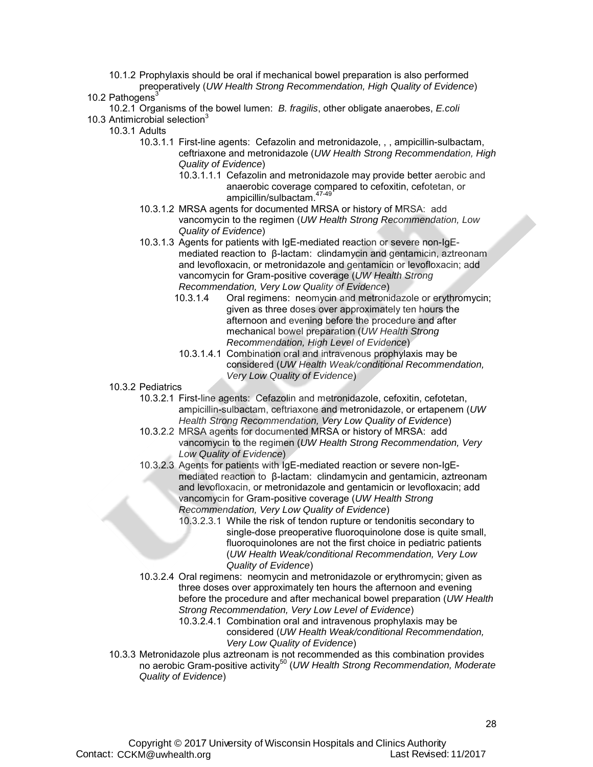- 10.1.2 Prophylaxis should be oral if mechanical bowel preparation is also performed preoperatively (*UW Health Strong Recommendation, High Quality of Evidence*)
- 10.2 Pathogens<sup>3</sup>
- 10.2.1 Organisms of the bowel lumen: *B. fragilis*, other obligate anaerobes, *E.coli*
- 10.3 Antimicrobial selection<sup>3</sup>
	- 10.3.1 Adults
		- 10.3.1.1 First-line agents: Cefazolin and metronidazole, , , ampicillin-sulbactam, ceftriaxone and metronidazole (*UW Health Strong Recommendation, High Quality of Evidence*)
			- 10.3.1.1.1 Cefazolin and metronidazole may provide better aerobic and anaerobic coverage compared to cefoxitin, cefotetan, or ampicillin/sulbactam. 47-49
		- 10.3.1.2 MRSA agents for documented MRSA or history of MRSA: add vancomycin to the regimen (*UW Health Strong Recommendation, Low Quality of Evidence*)
		- 10.3.1.3 Agents for patients with IgE-mediated reaction or severe non-IgEmediated reaction to β-lactam: clindamycin and gentamicin, aztreonam and levofloxacin, or metronidazole and gentamicin or levofloxacin; add vancomycin for Gram-positive coverage (*UW Health Strong Recommendation, Very Low Quality of Evidence*)
			- Oral regimens: neomycin and metronidazole or erythromycin; given as three doses over approximately ten hours the afternoon and evening before the procedure and after mechanical bowel preparation (*UW Health Strong Recommendation, High Level of Evidence*)
			- 10.3.1.4.1 Combination oral and intravenous prophylaxis may be considered (*UW Health Weak/conditional Recommendation, Very Low Quality of Evidence*)
		- 10.3.2 Pediatrics
			- 10.3.2.1 First-line agents: Cefazolin and metronidazole, cefoxitin, cefotetan, ampicillin-sulbactam, ceftriaxone and metronidazole, or ertapenem (*UW Health Strong Recommendation, Very Low Quality of Evidence*)
			- 10.3.2.2 MRSA agents for documented MRSA or history of MRSA: add vancomycin to the regimen (*UW Health Strong Recommendation, Very Low Quality of Evidence*)
			- 10.3.2.3 Agents for patients with IgE-mediated reaction or severe non-IgEmediated reaction to β-lactam: clindamycin and gentamicin, aztreonam and levofloxacin, or metronidazole and gentamicin or levofloxacin; add vancomycin for Gram-positive coverage (*UW Health Strong Recommendation, Very Low Quality of Evidence*)
				- 10.3.2.3.1 While the risk of tendon rupture or tendonitis secondary to single-dose preoperative fluoroquinolone dose is quite small, fluoroquinolones are not the first choice in pediatric patients (*UW Health Weak/conditional Recommendation, Very Low Quality of Evidence*)
			- 10.3.2.4 Oral regimens: neomycin and metronidazole or erythromycin; given as three doses over approximately ten hours the afternoon and evening before the procedure and after mechanical bowel preparation (*UW Health Strong Recommendation, Very Low Level of Evidence*)
				- 10.3.2.4.1 Combination oral and intravenous prophylaxis may be considered (*UW Health Weak/conditional Recommendation, Very Low Quality of Evidence*)
		- 10.3.3 Metronidazole plus aztreonam is not recommended as this combination provides no aerobic Gram-positive activity<sup>50</sup> (*UW Health Strong Recommendation, Moderate* <sup>1</sup> *Quality of Evidence*)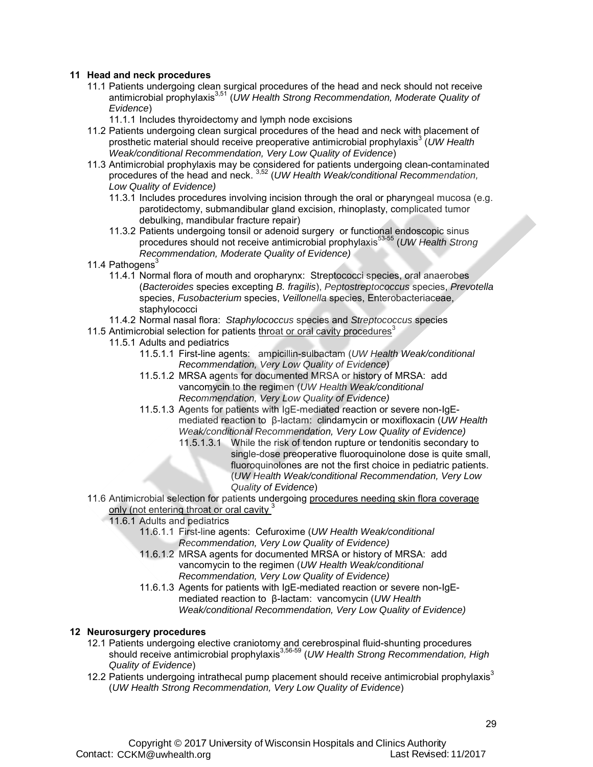#### **11 Head and neck procedures**

- 11.1 Patients undergoing clean surgical procedures of the head and neck should not receive antimicrobial prophylaxis3,51 (*UW Health Strong Recommendation, Moderate Quality of Evidence*)
	- 11.1.1 Includes thyroidectomy and lymph node excisions
- 11.2 Patients undergoing clean surgical procedures of the head and neck with placement of prosthetic material should receive preoperative antimicrobial prophylaxis<sup>3</sup> (UW Health *Weak/conditional Recommendation, Very Low Quality of Evidence*)
- 11.3 Antimicrobial prophylaxis may be considered for patients undergoing clean-contaminated procedures of the head and neck. 3,52 (*UW Health Weak/conditional Recommendation, Low Quality of Evidence)*
	- 11.3.1 Includes procedures involving incision through the oral or pharyngeal mucosa (e.g. parotidectomy, submandibular gland excision, rhinoplasty, complicated tumor debulking, mandibular fracture repair)
	- 11.3.2 Patients undergoing tonsil or adenoid surgery or functional endoscopic sinus procedures should not receive antimicrobial prophylaxis<sup>53-55</sup> (*UW Health Strong Recommendation, Moderate Quality of Evidence)*
- 11.4 Pathogens<sup>3</sup>
	- 11.4.1 Normal flora of mouth and oropharynx: Streptococci species, oral anaerobes (*Bacteroides* species excepting *B. fragilis*), *Peptostreptococcus* species, *Prevotella* species, *Fusobacterium* species, *Veillonella* species, Enterobacteriaceae, staphylococci
- 11.4.2 Normal nasal flora: *Staphylococcus* species and *Streptococcus* species
- 11.5 Antimicrobial selection for patients throat or oral cavity procedures<sup>3</sup>
	- 11.5.1 Adults and pediatrics
		- 11.5.1.1 First-line agents: ampicillin-sulbactam (*UW Health Weak/conditional Recommendation, Very Low Quality of Evidence)*
		- 11.5.1.2 MRSA agents for documented MRSA or history of MRSA: add vancomycin to the regimen (*UW Health Weak/conditional Recommendation, Very Low Quality of Evidence)*
		- 11.5.1.3 Agents for patients with IgE-mediated reaction or severe non-IgEmediated reaction to β-lactam: clindamycin or moxifloxacin (*UW Health Weak/conditional Recommendation, Very Low Quality of Evidence)*
			- 11.5.1.3.1 While the risk of tendon rupture or tendonitis secondary to single-dose preoperative fluoroquinolone dose is quite small, fluoroquinolones are not the first choice in pediatric patients. (*UW Health Weak/conditional Recommendation, Very Low Quality of Evidence*)
- 11.6 Antimicrobial selection for patients undergoing procedures needing skin flora coverage only (not entering throat or oral cavity.<sup>3</sup>
	- 11.6.1 Adults and pediatrics
		- 11.6.1.1 First-line agents: Cefuroxime (*UW Health Weak/conditional Recommendation, Very Low Quality of Evidence)*
		- 11.6.1.2 MRSA agents for documented MRSA or history of MRSA: add vancomycin to the regimen (*UW Health Weak/conditional Recommendation, Very Low Quality of Evidence)*
		- 11.6.1.3 Agents for patients with IgE-mediated reaction or severe non-IgEmediated reaction to β-lactam: vancomycin (*UW Health Weak/conditional Recommendation, Very Low Quality of Evidence)*

#### **12 Neurosurgery procedures**

- 12.1 Patients undergoing elective craniotomy and cerebrospinal fluid-shunting procedures should receive antimicrobial prophylaxis<sup>3,56-59</sup> (*UW Health Strong Recommendation, High Quality of Evidence*)
- 12.2 Patients undergoing intrathecal pump placement should receive antimicrobial prophylaxis $3$ (*UW Health Strong Recommendation, Very Low Quality of Evidence*)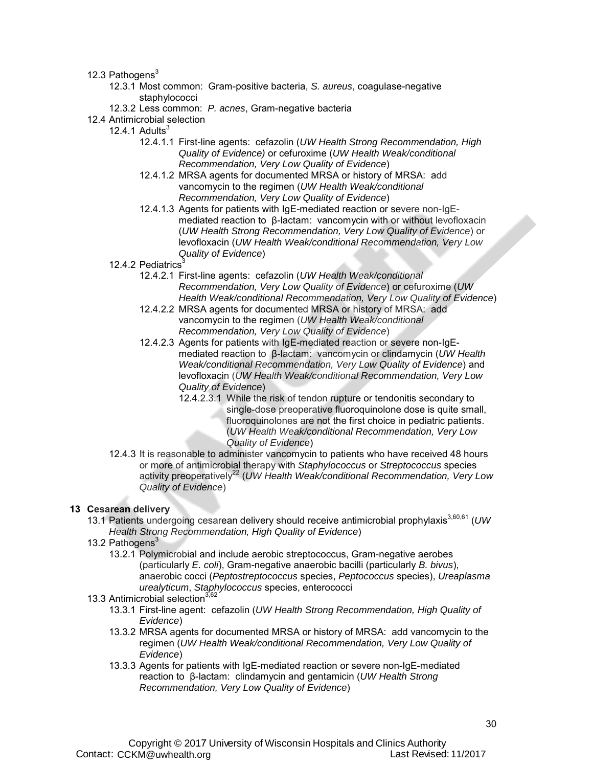12.3 Pathogens $3$ 

- 12.3.1 Most common: Gram-positive bacteria, *S. aureus*, coagulase-negative staphylococci
- 12.3.2 Less common: *P. acnes*, Gram-negative bacteria
- 12.4 Antimicrobial selection
	- 12.4.1 Adults $3$ 
		- 12.4.1.1 First-line agents: cefazolin (*UW Health Strong Recommendation, High Quality of Evidence)* or cefuroxime (*UW Health Weak/conditional Recommendation, Very Low Quality of Evidence*)
		- 12.4.1.2 MRSA agents for documented MRSA or history of MRSA: add vancomycin to the regimen (*UW Health Weak/conditional Recommendation, Very Low Quality of Evidence*)
		- 12.4.1.3 Agents for patients with IgE-mediated reaction or severe non-IgEmediated reaction to β-lactam: vancomycin with or without levofloxacin (*UW Health Strong Recommendation, Very Low Quality of Evidence*) or levofloxacin (*UW Health Weak/conditional Recommendation, Very Low Quality of Evidence*)
		- 12.4.2 Pediatrics<sup>3</sup>
			- 12.4.2.1 First-line agents: cefazolin (*UW Health Weak/conditional Recommendation, Very Low Quality of Evidence*) or cefuroxime (*UW Health Weak/conditional Recommendation, Very Low Quality of Evidence*)
			- 12.4.2.2 MRSA agents for documented MRSA or history of MRSA: add vancomycin to the regimen (*UW Health Weak/conditional Recommendation, Very Low Quality of Evidence*)
			- 12.4.2.3 Agents for patients with IgE-mediated reaction or severe non-IgEmediated reaction to β-lactam: vancomycin or clindamycin (*UW Health Weak/conditional Recommendation, Very Low Quality of Evidence*) and levofloxacin (*UW Health Weak/conditional Recommendation, Very Low Quality of Evidence*)
				- 12.4.2.3.1 While the risk of tendon rupture or tendonitis secondary to single-dose preoperative fluoroquinolone dose is quite small, fluoroquinolones are not the first choice in pediatric patients. (*UW Health Weak/conditional Recommendation, Very Low Quality of Evidence*)
		- 12.4.3 It is reasonable to administer vancomycin to patients who have received 48 hours or more of antimicrobial therapy with *Staphylococcus* or *Streptococcus* species activity preoperatively<sup>22</sup> (*UW Health Weak/conditional Recommendation*, Very Low *Quality of Evidence*)

#### **13 Cesarean delivery**

- 13.1 Patients undergoing cesarean delivery should receive antimicrobial prophylaxis3,60,61 (*UW Health Strong Recommendation, High Quality of Evidence*)
- 13.2 Pathogens $3$ 
	- 13.2.1 Polymicrobial and include aerobic streptococcus, Gram-negative aerobes (particularly *E. coli*), Gram-negative anaerobic bacilli (particularly *B. bivus*), anaerobic cocci (*Peptostreptococcus* species, *Peptococcus* species), *Ureaplasma urealyticum*, *Staphylococcus* species, enterococci
- 13.3 Antimicrobial selection<sup>3,62</sup>
	- 13.3.1 First-line agent: cefazolin (*UW Health Strong Recommendation, High Quality of Evidence*)
	- 13.3.2 MRSA agents for documented MRSA or history of MRSA: add vancomycin to the regimen (*UW Health Weak/conditional Recommendation, Very Low Quality of Evidence*)
	- 13.3.3 Agents for patients with IgE-mediated reaction or severe non-IgE-mediated reaction to β-lactam: clindamycin and gentamicin (*UW Health Strong Recommendation, Very Low Quality of Evidence*)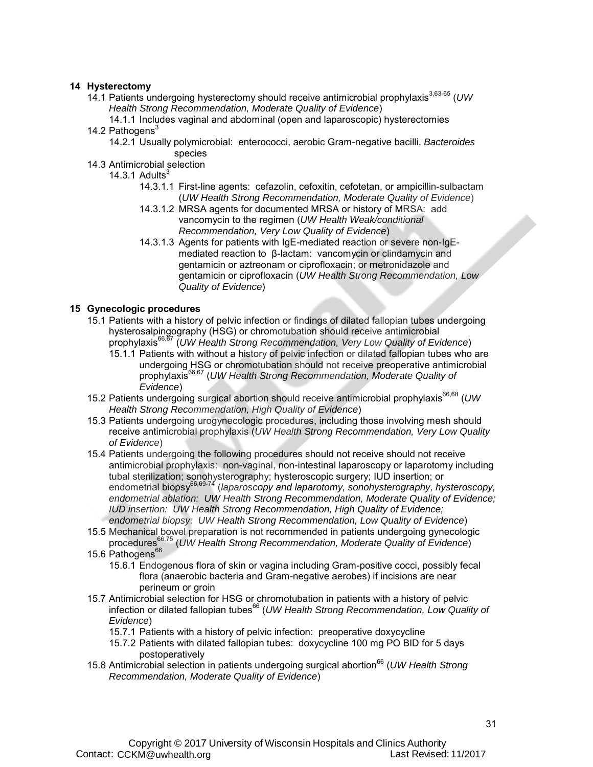#### **14 Hysterectomy**

- 14.1 Patients undergoing hysterectomy should receive antimicrobial prophylaxis<sup>3,63-65</sup> (UW *Health Strong Recommendation, Moderate Quality of Evidence*)
- 14.1.1 Includes vaginal and abdominal (open and laparoscopic) hysterectomies 14.2 Pathogens $3$ 
	- 14.2.1 Usually polymicrobial: enterococci, aerobic Gram-negative bacilli, *Bacteroides* species
- 14.3 Antimicrobial selection

14.3.1 Adults $3$ 

- 14.3.1.1 First-line agents: cefazolin, cefoxitin, cefotetan, or ampicillin-sulbactam (*UW Health Strong Recommendation, Moderate Quality of Evidence*)
- 14.3.1.2 MRSA agents for documented MRSA or history of MRSA: add vancomycin to the regimen (*UW Health Weak/conditional Recommendation, Very Low Quality of Evidence*)
- 14.3.1.3 Agents for patients with IgE-mediated reaction or severe non-IgEmediated reaction to β-lactam: vancomycin or clindamycin and gentamicin or aztreonam or ciprofloxacin; or metronidazole and gentamicin or ciprofloxacin (*UW Health Strong Recommendation, Low Quality of Evidence*)

#### **15 Gynecologic procedures**

- 15.1 Patients with a history of pelvic infection or findings of dilated fallopian tubes undergoing hysterosalpingography (HSG) or chromotubation should receive antimicrobial prophylaxis66,67 (*UW Health Strong Recommendation, Very Low Quality of Evidence*)
	- 15.1.1 Patients with without a history of pelvic infection or dilated fallopian tubes who are undergoing HSG or chromotubation should not receive preoperative antimicrobial prophylaxis66,67 (*UW Health Strong Recommendation, Moderate Quality of Evidence*)
- 15.2 Patients undergoing surgical abortion should receive antimicrobial prophylaxis<sup>66,68</sup> (UW *Health Strong Recommendation, High Quality of Evidence*)
- 15.3 Patients undergoing urogynecologic procedures, including those involving mesh should receive antimicrobial prophylaxis (*UW Health Strong Recommendation, Very Low Quality of Evidence*)
- 15.4 Patients undergoing the following procedures should not receive should not receive antimicrobial prophylaxis: non-vaginal, non-intestinal laparoscopy or laparotomy including tubal sterilization; sonohysterography; hysteroscopic surgery; IUD insertion; or endometrial biopsy<sup>66,69-74</sup> (*laparoscopy and laparotomy, sonohysterography, hysteroscopy, endometrial ablation: UW Health Strong Recommendation, Moderate Quality of Evidence; IUD insertion: UW Health Strong Recommendation, High Quality of Evidence; endometrial biopsy: UW Health Strong Recommendation, Low Quality of Evidence*)
- 15.5 Mechanical bowel preparation is not recommended in patients undergoing gynecologic procedures66,75 (*UW Health Strong Recommendation, Moderate Quality of Evidence*)
- 15.6 Pathogens<sup>66</sup>
	- 15.6.1 Endogenous flora of skin or vagina including Gram-positive cocci, possibly fecal flora (anaerobic bacteria and Gram-negative aerobes) if incisions are near perineum or groin
- 15.7 Antimicrobial selection for HSG or chromotubation in patients with a history of pelvic infection or dilated fallopian tubes<sup>66</sup> (*UW Health Strong Recommendation, Low Quality of Evidence*)
	- 15.7.1 Patients with a history of pelvic infection: preoperative doxycycline
	- 15.7.2 Patients with dilated fallopian tubes: doxycycline 100 mg PO BID for 5 days postoperatively
- 15.8 Antimicrobial selection in patients undergoing surgical abortion<sup>66</sup> (UW Health Strong *Recommendation, Moderate Quality of Evidence*)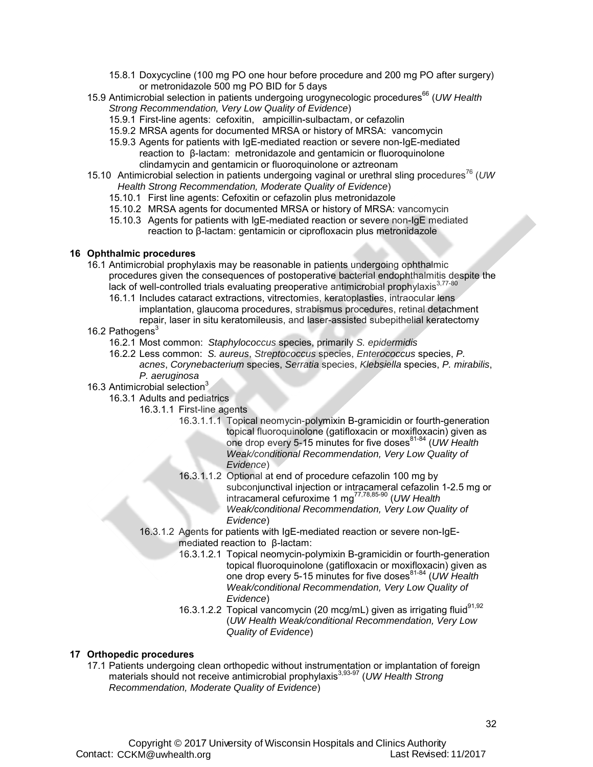- 15.8.1 Doxycycline (100 mg PO one hour before procedure and 200 mg PO after surgery) or metronidazole 500 mg PO BID for 5 days
- 15.9 Antimicrobial selection in patients undergoing urogynecologic procedures<sup>66</sup> (*UW Health Strong Recommendation, Very Low Quality of Evidence*)
	- 15.9.1 First-line agents: cefoxitin, ampicillin-sulbactam, or cefazolin
	- 15.9.2 MRSA agents for documented MRSA or history of MRSA: vancomycin
	- 15.9.3 Agents for patients with IgE-mediated reaction or severe non-IgE-mediated reaction to β-lactam: metronidazole and gentamicin or fluoroquinolone clindamycin and gentamicin or fluoroquinolone or aztreonam
- 15.10 Antimicrobial selection in patients undergoing vaginal or urethral sling procedures<sup>76</sup> (UW *Health Strong Recommendation, Moderate Quality of Evidence*)
	- 15.10.1 First line agents: Cefoxitin or cefazolin plus metronidazole
	- 15.10.2 MRSA agents for documented MRSA or history of MRSA: vancomycin
	- 15.10.3 Agents for patients with IgE-mediated reaction or severe non-IgE mediated reaction to β-lactam: gentamicin or ciprofloxacin plus metronidazole

#### **16 Ophthalmic procedures**

- 16.1 Antimicrobial prophylaxis may be reasonable in patients undergoing ophthalmic procedures given the consequences of postoperative bacterial endophthalmitis despite the lack of well-controlled trials evaluating preoperative antimicrobial prophylaxis<sup>3,77-80</sup>
	- 16.1.1 Includes cataract extractions, vitrectomies, keratoplasties, intraocular lens implantation, glaucoma procedures, strabismus procedures, retinal detachment repair, laser in situ keratomileusis, and laser-assisted subepithelial keratectomy

#### 16.2 Pathogens<sup>3</sup>

- 16.2.1 Most common: *Staphylococcus* species, primarily *S. epidermidis*
- 16.2.2 Less common: *S. aureus*, *Streptococcus* species, *Enterococcus* species, *P. acnes*, *Corynebacterium* species, *Serratia* species, *Klebsiella* species, *P. mirabilis*, *P. aeruginosa*
- 16.3 Antimicrobial selection<sup>3</sup>
	- 16.3.1 Adults and pediatrics
		- 16.3.1.1 First-line agents
			- 16.3.1.1.1 Topical neomycin-polymixin B-gramicidin or fourth-generation topical fluoroquinolone (gatifloxacin or moxifloxacin) given as one drop every 5-15 minutes for five doses<sup>81-84</sup> (*UW Health*) *Weak/conditional Recommendation, Very Low Quality of Evidence*)
			- 16.3.1.1.2 Optional at end of procedure cefazolin 100 mg by subconjunctival injection or intracameral cefazolin 1-2.5 mg or intracameral cefuroxime 1 mg77,78,85-90 (*UW Health Weak/conditional Recommendation, Very Low Quality of Evidence*)
		- 16.3.1.2 Agents for patients with IgE-mediated reaction or severe non-IgEmediated reaction to β-lactam:
			- 16.3.1.2.1 Topical neomycin-polymixin B-gramicidin or fourth-generation topical fluoroquinolone (gatifloxacin or moxifloxacin) given as one drop every 5-15 minutes for five doses81-84 (*UW Health Weak/conditional Recommendation, Very Low Quality of Evidence*)
			- 16.3.1.2.2 Topical vancomycin (20 mcg/mL) given as irrigating fluid<sup>91,92</sup> (*UW Health Weak/conditional Recommendation, Very Low Quality of Evidence*)

#### **17 Orthopedic procedures**

17.1 Patients undergoing clean orthopedic without instrumentation or implantation of foreign materials should not receive antimicrobial prophylaxis<sup>3,93-97</sup> (UW Health Strong *Recommendation, Moderate Quality of Evidence*)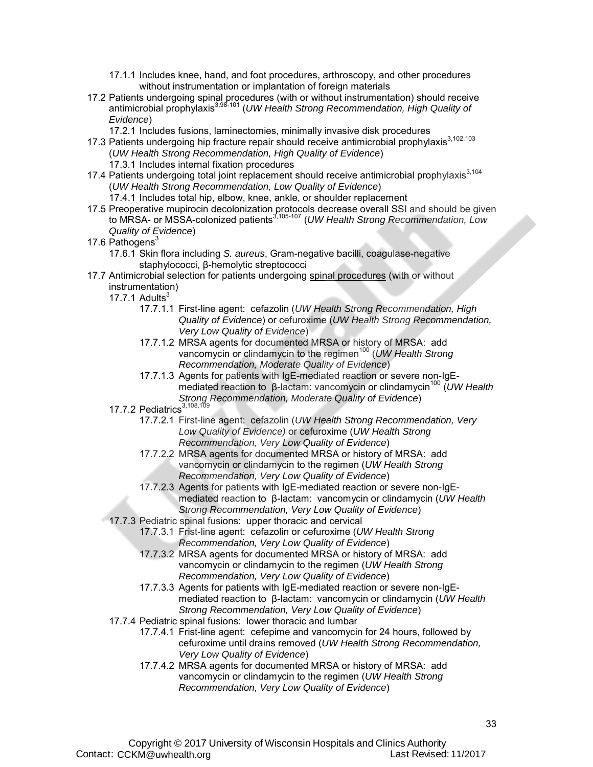- 17.1.1 Includes knee, hand, and foot procedures, arthroscopy, and other procedures without instrumentation or implantation of foreign materials
- 17.2 Patients undergoing spinal procedures (with or without instrumentation) should receive antimicrobial prophylaxis3,98-101 (*UW Health Strong Recommendation, High Quality of Evidence*)
	- 17.2.1 Includes fusions, laminectomies, minimally invasive disk procedures
- 17.3 Patients undergoing hip fracture repair should receive antimicrobial prophylaxis<sup>3,102,103</sup> (*UW Health Strong Recommendation, High Quality of Evidence*)
	- 17.3.1 Includes internal fixation procedures
- 17.4 Patients undergoing total joint replacement should receive antimicrobial prophylaxis $3,104$ (*UW Health Strong Recommendation, Low Quality of Evidence*)
	- 17.4.1 Includes total hip, elbow, knee, ankle, or shoulder replacement
- 17.5 Preoperative mupirocin decolonization protocols decrease overall SSI and should be given to MRSA- or MSSA-colonized patients3,105-107 (*UW Health Strong Recommendation, Low Quality of Evidence*)
- 17.6 Pathogens<sup>3</sup>
	- 17.6.1 Skin flora including *S. aureus*, Gram-negative bacilli, coagulase-negative staphylococci, β-hemolytic streptococci
- 17.7 Antimicrobial selection for patients undergoing spinal procedures (with or without instrumentation)

17.7.1 Adults $3$ 

- 17.7.1.1 First-line agent: cefazolin (*UW Health Strong Recommendation, High Quality of Evidence*) or cefuroxime (*UW Health Strong Recommendation, Very Low Quality of Evidence*)
- 17.7.1.2 MRSA agents for documented MRSA or history of MRSA: add vancomycin or clindamycin to the regimen<sup>100</sup> (*UW Health Strong Recommendation, Moderate Quality of Evidence*)
- 17.7.1.3 Agents for patients with IgE-mediated reaction or severe non-IgEmediated reaction to β-lactam: vancomycin or clindamycin<sup>100</sup> (*UW Health*) *Strong Recommendation, Moderate Quality of Evidence*)
- 17.7.2 Pediatrics<sup>3,108,10</sup>
	- 17.7.2.1 First-line agent: cefazolin (*UW Health Strong Recommendation, Very Low Quality of Evidence)* or cefuroxime (*UW Health Strong Recommendation, Very Low Quality of Evidence*)
	- 17.7.2.2 MRSA agents for documented MRSA or history of MRSA: add vancomycin or clindamycin to the regimen (*UW Health Strong Recommendation, Very Low Quality of Evidence*)
	- 17.7.2.3 Agents for patients with IgE-mediated reaction or severe non-IgEmediated reaction to β-lactam: vancomycin or clindamycin (*UW Health Strong Recommendation, Very Low Quality of Evidence*)
- 17.7.3 Pediatric spinal fusions: upper thoracic and cervical
	- 17.7.3.1 Frist-line agent: cefazolin or cefuroxime (*UW Health Strong Recommendation, Very Low Quality of Evidence*)
	- 17.7.3.2 MRSA agents for documented MRSA or history of MRSA: add vancomycin or clindamycin to the regimen (*UW Health Strong Recommendation, Very Low Quality of Evidence*)
	- 17.7.3.3 Agents for patients with IgE-mediated reaction or severe non-IgEmediated reaction to β-lactam: vancomycin or clindamycin (*UW Health Strong Recommendation, Very Low Quality of Evidence*)
- 17.7.4 Pediatric spinal fusions: lower thoracic and lumbar
	- 17.7.4.1 Frist-line agent: cefepime and vancomycin for 24 hours, followed by cefuroxime until drains removed (*UW Health Strong Recommendation, Very Low Quality of Evidence*)
	- 17.7.4.2 MRSA agents for documented MRSA or history of MRSA: add vancomycin or clindamycin to the regimen (*UW Health Strong Recommendation, Very Low Quality of Evidence*)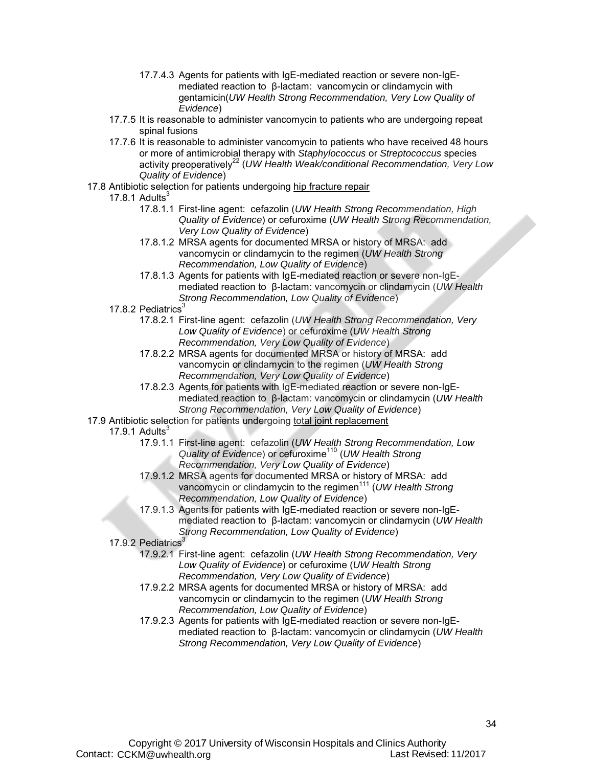- 17.7.4.3 Agents for patients with IgE-mediated reaction or severe non-IgEmediated reaction to β-lactam: vancomycin or clindamycin with gentamicin(*UW Health Strong Recommendation, Very Low Quality of Evidence*)
- 17.7.5 It is reasonable to administer vancomycin to patients who are undergoing repeat spinal fusions
- 17.7.6 It is reasonable to administer vancomycin to patients who have received 48 hours or more of antimicrobial therapy with *Staphylococcus* or *Streptococcus* species activity preoperatively<sup>22</sup> (*UW Health Weak/conditional Recommendation, Very Low Quality of Evidence*)
- 17.8 Antibiotic selection for patients undergoing hip fracture repair

#### 17.8.1 Adults $3$

- 17.8.1.1 First-line agent: cefazolin (*UW Health Strong Recommendation, High Quality of Evidence*) or cefuroxime (*UW Health Strong Recommendation, Very Low Quality of Evidence*)
- 17.8.1.2 MRSA agents for documented MRSA or history of MRSA: add vancomycin or clindamycin to the regimen (*UW Health Strong Recommendation, Low Quality of Evidence*)
- 17.8.1.3 Agents for patients with IgE-mediated reaction or severe non-IgEmediated reaction to β-lactam: vancomycin or clindamycin (*UW Health Strong Recommendation, Low Quality of Evidence*)
- 17.8.2 Pediatrics<sup>3</sup>
	- 17.8.2.1 First-line agent: cefazolin (*UW Health Strong Recommendation, Very Low Quality of Evidence*) or cefuroxime (*UW Health Strong Recommendation, Very Low Quality of Evidence*)
	- 17.8.2.2 MRSA agents for documented MRSA or history of MRSA: add vancomycin or clindamycin to the regimen (*UW Health Strong Recommendation, Very Low Quality of Evidence*)
	- 17.8.2.3 Agents for patients with IgE-mediated reaction or severe non-IgEmediated reaction to β-lactam: vancomycin or clindamycin (*UW Health Strong Recommendation, Very Low Quality of Evidence*)
- 17.9 Antibiotic selection for patients undergoing total joint replacement
	- 17.9.1 Adults $3$ 
		- 17.9.1.1 First-line agent: cefazolin (*UW Health Strong Recommendation, Low Quality of Evidence*) or cefuroxime<sup>110</sup> (*UW Health Strong Recommendation, Very Low Quality of Evidence*)
		- 17.9.1.2 MRSA agents for documented MRSA or history of MRSA: add vancomycin or clindamycin to the regimen<sup>111</sup> (*UW Health Strong Recommendation, Low Quality of Evidence*)
		- 17.9.1.3 Agents for patients with IgE-mediated reaction or severe non-IgEmediated reaction to β-lactam: vancomycin or clindamycin (*UW Health Strong Recommendation, Low Quality of Evidence*)
	- 17.9.2 Pediatrics<sup>3</sup>
		- 17.9.2.1 First-line agent: cefazolin (*UW Health Strong Recommendation, Very Low Quality of Evidence*) or cefuroxime (*UW Health Strong Recommendation, Very Low Quality of Evidence*)
		- 17.9.2.2 MRSA agents for documented MRSA or history of MRSA: add vancomycin or clindamycin to the regimen (*UW Health Strong Recommendation, Low Quality of Evidence*)
		- 17.9.2.3 Agents for patients with IgE-mediated reaction or severe non-IgEmediated reaction to β-lactam: vancomycin or clindamycin (*UW Health Strong Recommendation, Very Low Quality of Evidence*)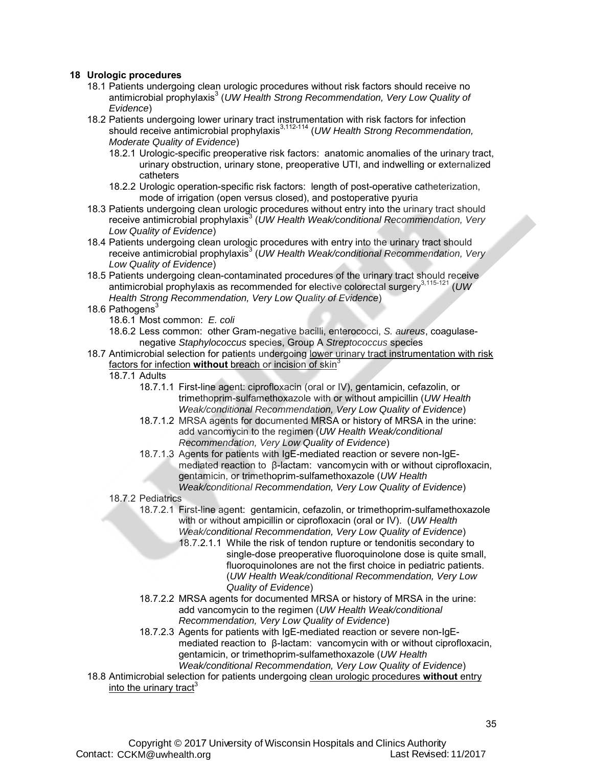#### **18 Urologic procedures**

- 18.1 Patients undergoing clean urologic procedures without risk factors should receive no antimicrobial prophylaxis<sup>3</sup> (UW Health Strong Recommendation, Very Low Quality of *Evidence*)
- 18.2 Patients undergoing lower urinary tract instrumentation with risk factors for infection should receive antimicrobial prophylaxis<sup>3,112-114</sup> (*UW Health Strong Recommendation, Moderate Quality of Evidence*)
	- 18.2.1 Urologic-specific preoperative risk factors: anatomic anomalies of the urinary tract, urinary obstruction, urinary stone, preoperative UTI, and indwelling or externalized catheters
	- 18.2.2 Urologic operation-specific risk factors: length of post-operative catheterization, mode of irrigation (open versus closed), and postoperative pyuria
- 18.3 Patients undergoing clean urologic procedures without entry into the urinary tract should receive antimicrobial prophylaxis<sup>3</sup> (UW Health Weak/conditional Recommendation, Very *Low Quality of Evidence*)
- 18.4 Patients undergoing clean urologic procedures with entry into the urinary tract should receive antimicrobial prophylaxis<sup>3</sup> (UW Health Weak/conditional Recommendation, Very *Low Quality of Evidence*)
- 18.5 Patients undergoing clean-contaminated procedures of the urinary tract should receive antimicrobial prophylaxis as recommended for elective colorectal surgery3,115-121 (*UW Health Strong Recommendation, Very Low Quality of Evidence*)
- 18.6 Pathogens<sup>3</sup>
	- 18.6.1 Most common: *E. coli*
	- 18.6.2 Less common: other Gram-negative bacilli, enterococci, *S. aureus*, coagulasenegative *Staphylococcus* species, Group A *Streptococcus* species
- 18.7 Antimicrobial selection for patients undergoing lower urinary tract instrumentation with risk factors for infection **without** breach or incision of skin<sup>3</sup>
	- 18.7.1 Adults
		- 18.7.1.1 First-line agent: ciprofloxacin (oral or IV), gentamicin, cefazolin, or trimethoprim-sulfamethoxazole with or without ampicillin (*UW Health Weak/conditional Recommendation, Very Low Quality of Evidence*)
		- 18.7.1.2 MRSA agents for documented MRSA or history of MRSA in the urine: add vancomycin to the regimen (*UW Health Weak/conditional Recommendation, Very Low Quality of Evidence*)
		- 18.7.1.3 Agents for patients with IgE-mediated reaction or severe non-IgEmediated reaction to β-lactam: vancomycin with or without ciprofloxacin, gentamicin, or trimethoprim-sulfamethoxazole (*UW Health Weak/conditional Recommendation, Very Low Quality of Evidence*)
	- 18.7.2 Pediatrics
		- 18.7.2.1 First-line agent: gentamicin, cefazolin, or trimethoprim-sulfamethoxazole with or without ampicillin or ciprofloxacin (oral or IV). (*UW Health Weak/conditional Recommendation, Very Low Quality of Evidence*)
			- 18.7.2.1.1 While the risk of tendon rupture or tendonitis secondary to single-dose preoperative fluoroquinolone dose is quite small, fluoroquinolones are not the first choice in pediatric patients. (*UW Health Weak/conditional Recommendation, Very Low Quality of Evidence*)
		- 18.7.2.2 MRSA agents for documented MRSA or history of MRSA in the urine: add vancomycin to the regimen (*UW Health Weak/conditional Recommendation, Very Low Quality of Evidence*)
		- 18.7.2.3 Agents for patients with IgE-mediated reaction or severe non-IgEmediated reaction to β-lactam: vancomycin with or without ciprofloxacin, gentamicin, or trimethoprim-sulfamethoxazole (*UW Health Weak/conditional Recommendation, Very Low Quality of Evidence*)
- 18.8 Antimicrobial selection for patients undergoing clean urologic procedures **without** entry into the urinary tract<sup>3</sup>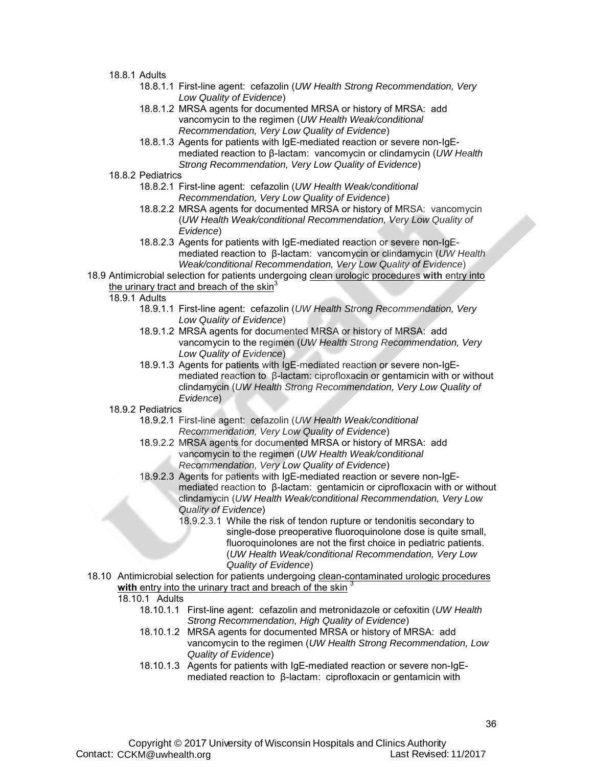#### 18.8.1 Adults

- 18.8.1.1 First-line agent: cefazolin (*UW Health Strong Recommendation, Very Low Quality of Evidence*)
- 18.8.1.2 MRSA agents for documented MRSA or history of MRSA: add vancomycin to the regimen (*UW Health Weak/conditional Recommendation, Very Low Quality of Evidence*)
- 18.8.1.3 Agents for patients with IgE-mediated reaction or severe non-IgEmediated reaction to β-lactam: vancomycin or clindamycin (*UW Health Strong Recommendation, Very Low Quality of Evidence*)
- 18.8.2 Pediatrics
	- 18.8.2.1 First-line agent: cefazolin (*UW Health Weak/conditional Recommendation, Very Low Quality of Evidence*)
	- 18.8.2.2 MRSA agents for documented MRSA or history of MRSA: vancomycin (*UW Health Weak/conditional Recommendation, Very Low Quality of Evidence*)
	- 18.8.2.3 Agents for patients with IgE-mediated reaction or severe non-IgEmediated reaction to β-lactam: vancomycin or clindamycin (*UW Health Weak/conditional Recommendation, Very Low Quality of Evidence*)
- 18.9 Antimicrobial selection for patients undergoing clean urologic procedures **with** entry into the urinary tract and breach of the skin<sup>3</sup>

18.9.1 Adults

- 18.9.1.1 First-line agent: cefazolin (*UW Health Strong Recommendation, Very Low Quality of Evidence*)
- 18.9.1.2 MRSA agents for documented MRSA or history of MRSA: add vancomycin to the regimen (*UW Health Strong Recommendation, Very Low Quality of Evidence*)
- 18.9.1.3 Agents for patients with IgE-mediated reaction or severe non-IgEmediated reaction to β-lactam: ciprofloxacin or gentamicin with or without clindamycin (*UW Health Strong Recommendation, Very Low Quality of Evidence*)

#### 18.9.2 Pediatrics

- 18.9.2.1 First-line agent: cefazolin (*UW Health Weak/conditional Recommendation, Very Low Quality of Evidence*)
- 18.9.2.2 MRSA agents for documented MRSA or history of MRSA: add vancomycin to the regimen (*UW Health Weak/conditional Recommendation, Very Low Quality of Evidence*)
- 18.9.2.3 Agents for patients with IgE-mediated reaction or severe non-IgEmediated reaction to β-lactam: gentamicin or ciprofloxacin with or without clindamycin (*UW Health Weak/conditional Recommendation, Very Low Quality of Evidence*)
	- 18.9.2.3.1 While the risk of tendon rupture or tendonitis secondary to single-dose preoperative fluoroquinolone dose is quite small, fluoroquinolones are not the first choice in pediatric patients. (*UW Health Weak/conditional Recommendation, Very Low Quality of Evidence*)
- 18.10 Antimicrobial selection for patients undergoing clean-contaminated urologic procedures with entry into the urinary tract and breach of the skin<sup>3</sup>

#### 18.10.1 Adults

- 18.10.1.1 First-line agent: cefazolin and metronidazole or cefoxitin (*UW Health Strong Recommendation, High Quality of Evidence*)
- 18.10.1.2 MRSA agents for documented MRSA or history of MRSA: add vancomycin to the regimen (*UW Health Strong Recommendation, Low Quality of Evidence*)
- 18.10.1.3 Agents for patients with IgE-mediated reaction or severe non-IgEmediated reaction to β-lactam: ciprofloxacin or gentamicin with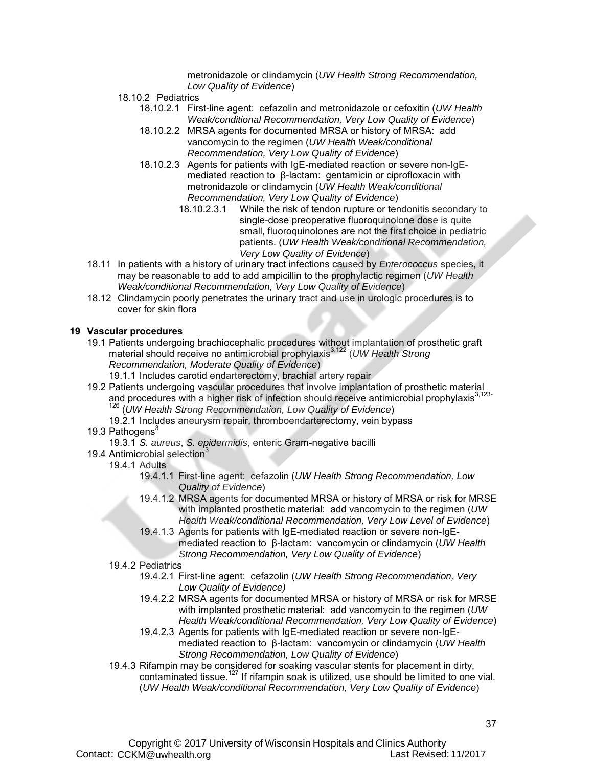metronidazole or clindamycin (*UW Health Strong Recommendation, Low Quality of Evidence*)

- 18.10.2 Pediatrics
	- 18.10.2.1 First-line agent: cefazolin and metronidazole or cefoxitin (*UW Health Weak/conditional Recommendation, Very Low Quality of Evidence*)
	- 18.10.2.2 MRSA agents for documented MRSA or history of MRSA: add vancomycin to the regimen (*UW Health Weak/conditional Recommendation, Very Low Quality of Evidence*)
	- 18.10.2.3 Agents for patients with IgE-mediated reaction or severe non-IgEmediated reaction to β-lactam: gentamicin or ciprofloxacin with metronidazole or clindamycin (*UW Health Weak/conditional* 
		- *Recommendation, Very Low Quality of Evidence*) While the risk of tendon rupture or tendonitis secondary to single-dose preoperative fluoroquinolone dose is quite small, fluoroquinolones are not the first choice in pediatric patients. (*UW Health Weak/conditional Recommendation, Very Low Quality of Evidence*)
- 18.11 In patients with a history of urinary tract infections caused by *Enterococcus* species, it may be reasonable to add to add ampicillin to the prophylactic regimen (*UW Health Weak/conditional Recommendation, Very Low Quality of Evidence*)
- 18.12 Clindamycin poorly penetrates the urinary tract and use in urologic procedures is to cover for skin flora

#### **19 Vascular procedures**

- 19.1 Patients undergoing brachiocephalic procedures without implantation of prosthetic graft material should receive no antimicrobial prophylaxis3,122 (*UW Health Strong Recommendation, Moderate Quality of Evidence*)
	- 19.1.1 Includes carotid endarterectomy, brachial artery repair
- 19.2 Patients undergoing vascular procedures that involve implantation of prosthetic material and procedures with a higher risk of infection should receive antimicrobial prophylaxis<sup>3,123-</sup> 126 (*UW Health Strong Recommendation, Low Quality of Evidence*)
	- 19.2.1 Includes aneurysm repair, thromboendarterectomy, vein bypass

#### 19.3 Pathogens<sup>3</sup>

- 19.3.1 *S. aureus*, *S. epidermidis*, enteric Gram-negative bacilli
- 19.4 Antimicrobial selection<sup>3</sup>

#### 19.4.1 Adults

- 19.4.1.1 First-line agent: cefazolin (*UW Health Strong Recommendation, Low Quality of Evidence*)
- 19.4.1.2 MRSA agents for documented MRSA or history of MRSA or risk for MRSE with implanted prosthetic material: add vancomycin to the regimen (*UW Health Weak/conditional Recommendation, Very Low Level of Evidence*)
- 19.4.1.3 Agents for patients with IgE-mediated reaction or severe non-IgEmediated reaction to β-lactam: vancomycin or clindamycin (*UW Health Strong Recommendation, Very Low Quality of Evidence*)
- 19.4.2 Pediatrics
	- 19.4.2.1 First-line agent: cefazolin (*UW Health Strong Recommendation, Very Low Quality of Evidence)*
	- 19.4.2.2 MRSA agents for documented MRSA or history of MRSA or risk for MRSE with implanted prosthetic material: add vancomycin to the regimen (*UW Health Weak/conditional Recommendation, Very Low Quality of Evidence*)
	- 19.4.2.3 Agents for patients with IgE-mediated reaction or severe non-IgEmediated reaction to β-lactam: vancomycin or clindamycin (*UW Health Strong Recommendation, Low Quality of Evidence*)
- 19.4.3 Rifampin may be considered for soaking vascular stents for placement in dirty, contaminated tissue.<sup>127</sup> If rifampin soak is utilized, use should be limited to one vial. (*UW Health Weak/conditional Recommendation, Very Low Quality of Evidence*)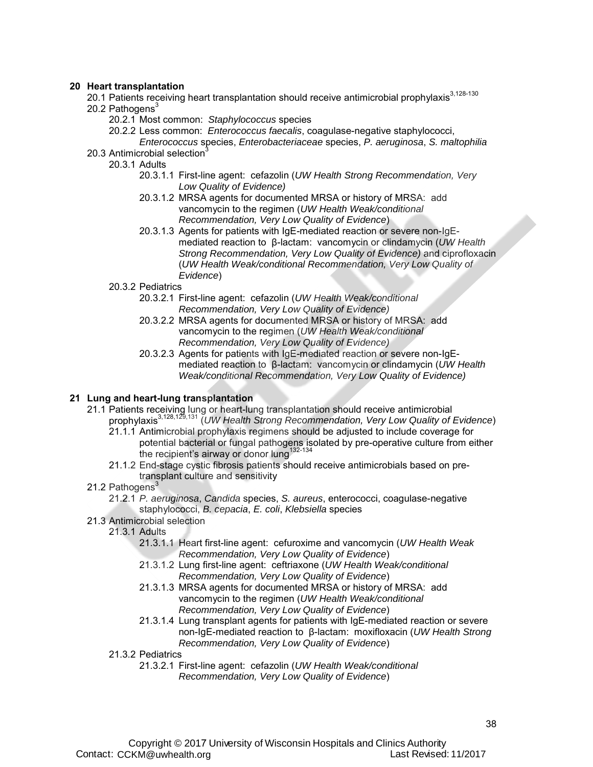#### **20 Heart transplantation**

- 20.1 Patients receiving heart transplantation should receive antimicrobial prophylaxis $3,128-130$ 20.2 Pathogens $3$ 
	- 20.2.1 Most common: *Staphylococcus* species
		- 20.2.2 Less common: *Enterococcus faecalis*, coagulase-negative staphylococci,
- *Enterococcus* species, *Enterobacteriaceae* species, *P. aeruginosa*, *S. maltophilia* 20.3 Antimicrobial selection<sup>3</sup>
	- 20.3.1 Adults
		- 20.3.1.1 First-line agent: cefazolin (*UW Health Strong Recommendation, Very Low Quality of Evidence)*
		- 20.3.1.2 MRSA agents for documented MRSA or history of MRSA: add vancomycin to the regimen (*UW Health Weak/conditional Recommendation, Very Low Quality of Evidence*)
		- 20.3.1.3 Agents for patients with IgE-mediated reaction or severe non-IgEmediated reaction to β-lactam: vancomycin or clindamycin (*UW Health Strong Recommendation, Very Low Quality of Evidence)* and ciprofloxacin (*UW Health Weak/conditional Recommendation, Very Low Quality of Evidence*)
		- 20.3.2 Pediatrics
			- 20.3.2.1 First-line agent: cefazolin (*UW Health Weak/conditional Recommendation, Very Low Quality of Evidence)*
			- 20.3.2.2 MRSA agents for documented MRSA or history of MRSA: add vancomycin to the regimen (*UW Health Weak/conditional Recommendation, Very Low Quality of Evidence)*
			- 20.3.2.3 Agents for patients with IgE-mediated reaction or severe non-IgEmediated reaction to β-lactam: vancomycin or clindamycin (*UW Health Weak/conditional Recommendation, Very Low Quality of Evidence)*

#### **21 Lung and heart-lung transplantation**

- 21.1 Patients receiving lung or heart-lung transplantation should receive antimicrobial prophylaxis3,128,129,131 (*UW Health Strong Recommendation, Very Low Quality of Evidence*)
	- 21.1.1 Antimicrobial prophylaxis regimens should be adjusted to include coverage for potential bacterial or fungal pathogens isolated by pre-operative culture from either the recipient's airway or donor lung<sup>132-134</sup>
	- 21.1.2 End-stage cystic fibrosis patients should receive antimicrobials based on pretransplant culture and sensitivity
- 21.2 Pathogens<sup>3</sup>
	- 21.2.1 *P. aeruginosa*, *Candida* species, *S. aureus*, enterococci, coagulase-negative staphylococci, *B. cepacia*, *E. coli*, *Klebsiella* species
- 21.3 Antimicrobial selection
	- 21.3.1 Adults
		- 21.3.1.1 Heart first-line agent: cefuroxime and vancomycin (*UW Health Weak Recommendation, Very Low Quality of Evidence*)
		- 21.3.1.2 Lung first-line agent: ceftriaxone (*UW Health Weak/conditional Recommendation, Very Low Quality of Evidence*)
		- 21.3.1.3 MRSA agents for documented MRSA or history of MRSA: add vancomycin to the regimen (*UW Health Weak/conditional Recommendation, Very Low Quality of Evidence*)
		- 21.3.1.4 Lung transplant agents for patients with IgE-mediated reaction or severe non-IgE-mediated reaction to β-lactam: moxifloxacin (*UW Health Strong Recommendation, Very Low Quality of Evidence*)
	- 21.3.2 Pediatrics
		- 21.3.2.1 First-line agent: cefazolin (*UW Health Weak/conditional Recommendation, Very Low Quality of Evidence*)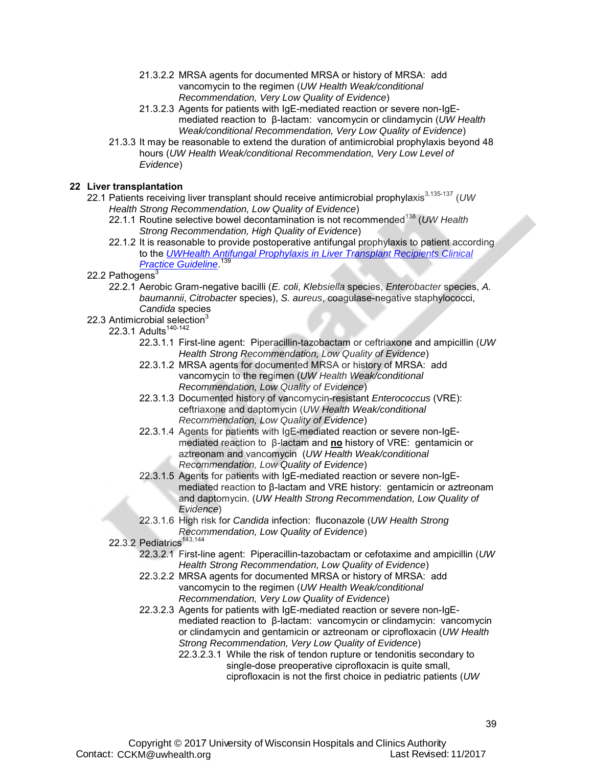- 21.3.2.2 MRSA agents for documented MRSA or history of MRSA: add vancomycin to the regimen (*UW Health Weak/conditional Recommendation, Very Low Quality of Evidence*)
- 21.3.2.3 Agents for patients with IgE-mediated reaction or severe non-IgEmediated reaction to β-lactam: vancomycin or clindamycin (*UW Health Weak/conditional Recommendation, Very Low Quality of Evidence*)
- 21.3.3 It may be reasonable to extend the duration of antimicrobial prophylaxis beyond 48 hours (*UW Health Weak/conditional Recommendation, Very Low Level of Evidence*)

#### **22 Liver transplantation**

- 22.1 Patients receiving liver transplant should receive antimicrobial prophylaxis<sup>3,135-137</sup> (UW *Health Strong Recommendation, Low Quality of Evidence*)
	- 22.1.1 Routine selective bowel decontamination is not recommended<sup>138</sup> (UW Health *Strong Recommendation, High Quality of Evidence*)
	- 22.1.2 It is reasonable to provide postoperative antifungal prophylaxis to patient according to the *UWHealth Antifungal Prophylaxis in Liver Transplant Recipients Clinical Practice Guideline*. 139
- 22.2 Pathogens $3$ 
	- 22.2.1 Aerobic Gram-negative bacilli (*E. coli*, *Klebsiella* species, *Enterobacter* species, *A. baumannii*, *Citrobacter* species), *S. aureus*, coagulase-negative staphylococci, *Candida* species
- 22.3 Antimicrobial selection $3$

#### 22.3.1 Adults<sup>140-142</sup>

- 22.3.1.1 First-line agent: Piperacillin-tazobactam or ceftriaxone and ampicillin (*UW Health Strong Recommendation, Low Quality of Evidence*)
- 22.3.1.2 MRSA agents for documented MRSA or history of MRSA: add vancomycin to the regimen (*UW Health Weak/conditional Recommendation, Low Quality of Evidence*)
- 22.3.1.3 Documented history of vancomycin-resistant *Enterococcus* (VRE): ceftriaxone and daptomycin (*UW Health Weak/conditional Recommendation, Low Quality of Evidence*)
- 22.3.1.4 Agents for patients with IgE-mediated reaction or severe non-IgEmediated reaction to β-lactam and **no** history of VRE: gentamicin or aztreonam and vancomycin (*UW Health Weak/conditional Recommendation, Low Quality of Evidence*)
- 22.3.1.5 Agents for patients with IgE-mediated reaction or severe non-IgEmediated reaction to β-lactam and VRE history: gentamicin or aztreonam and daptomycin. (*UW Health Strong Recommendation, Low Quality of Evidence*)
- 22.3.1.6 High risk for *Candida* infection: fluconazole (*UW Health Strong Recommendation, Low Quality of Evidence*)
- 22.3.2 Pediatrics<sup>143,144</sup>
	- 22.3.2.1 First-line agent: Piperacillin-tazobactam or cefotaxime and ampicillin (*UW Health Strong Recommendation, Low Quality of Evidence*)
	- 22.3.2.2 MRSA agents for documented MRSA or history of MRSA: add vancomycin to the regimen (*UW Health Weak/conditional Recommendation, Very Low Quality of Evidence*)
	- 22.3.2.3 Agents for patients with IgE-mediated reaction or severe non-IgEmediated reaction to β-lactam: vancomycin or clindamycin: vancomycin or clindamycin and gentamicin or aztreonam or ciprofloxacin (*UW Health Strong Recommendation, Very Low Quality of Evidence*)
		- 22.3.2.3.1 While the risk of tendon rupture or tendonitis secondary to single-dose preoperative ciprofloxacin is quite small, ciprofloxacin is not the first choice in pediatric patients (*UW*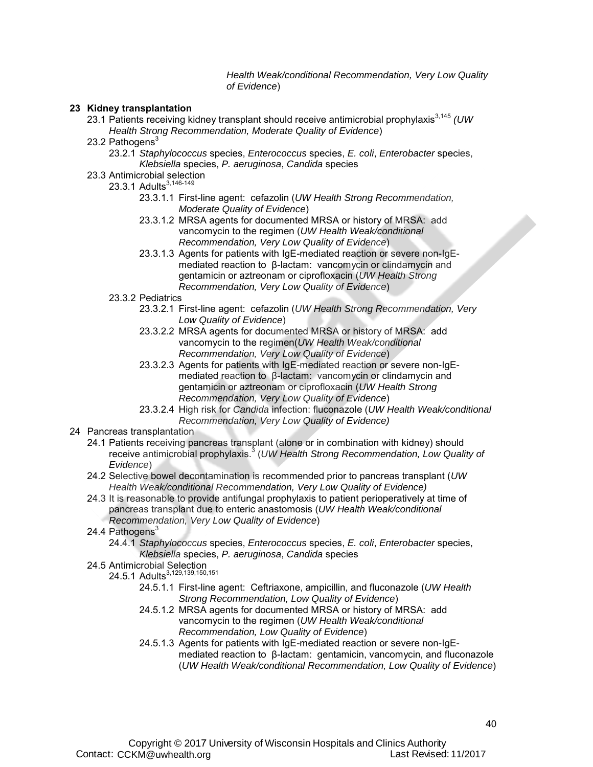*Health Weak/conditional Recommendation, Very Low Quality of Evidence*)

#### **23 Kidney transplantation**

- 23.1 Patients receiving kidney transplant should receive antimicrobial prophylaxis3,145 *(UW Health Strong Recommendation, Moderate Quality of Evidence*)
- 23.2 Pathogens<sup>3</sup>
	- 23.2.1 *Staphylococcus* species, *Enterococcus* species, *E. coli*, *Enterobacter* species, *Klebsiella* species, *P. aeruginosa*, *Candida* species
- 23.3 Antimicrobial selection
	- 23.3.1 Adults<sup>3,146-149</sup>
		- 23.3.1.1 First-line agent: cefazolin (*UW Health Strong Recommendation, Moderate Quality of Evidence*)
		- 23.3.1.2 MRSA agents for documented MRSA or history of MRSA: add vancomycin to the regimen (*UW Health Weak/conditional Recommendation, Very Low Quality of Evidence*)
		- 23.3.1.3 Agents for patients with IgE-mediated reaction or severe non-IgEmediated reaction to β-lactam: vancomycin or clindamycin and gentamicin or aztreonam or ciprofloxacin (*UW Health Strong Recommendation, Very Low Quality of Evidence*)
	- 23.3.2 Pediatrics
		- 23.3.2.1 First-line agent: cefazolin (*UW Health Strong Recommendation, Very Low Quality of Evidence*)
		- 23.3.2.2 MRSA agents for documented MRSA or history of MRSA: add vancomycin to the regimen(*UW Health Weak/conditional Recommendation, Very Low Quality of Evidence*)
		- 23.3.2.3 Agents for patients with IgE-mediated reaction or severe non-IgEmediated reaction to β-lactam: vancomycin or clindamycin and gentamicin or aztreonam or ciprofloxacin (*UW Health Strong Recommendation, Very Low Quality of Evidence*)
		- 23.3.2.4 High risk for *Candida* infection: fluconazole (*UW Health Weak/conditional Recommendation, Very Low Quality of Evidence)*
- 24 Pancreas transplantation
	- 24.1 Patients receiving pancreas transplant (alone or in combination with kidney) should receive antimicrobial prophylaxis.<sup>3</sup> (UW Health Strong Recommendation, Low Quality of *Evidence*)
	- 24.2 Selective bowel decontamination is recommended prior to pancreas transplant (*UW Health Weak/conditional Recommendation, Very Low Quality of Evidence)*
	- 24.3 It is reasonable to provide antifungal prophylaxis to patient perioperatively at time of pancreas transplant due to enteric anastomosis (*UW Health Weak/conditional* 
		- *Recommendation, Very Low Quality of Evidence*)
	- 24.4 Pathogens $3$ 
		- 24.4.1 *Staphylococcus* species, *Enterococcus* species, *E. coli*, *Enterobacter* species, *Klebsiella* species, *P. aeruginosa*, *Candida* species
	- 24.5 Antimicrobial Selection
		- 24.5.1 Adults<sup>3,129,139,150,151</sup>
			- 24.5.1.1 First-line agent: Ceftriaxone, ampicillin, and fluconazole (*UW Health Strong Recommendation, Low Quality of Evidence*)
			- 24.5.1.2 MRSA agents for documented MRSA or history of MRSA: add vancomycin to the regimen (*UW Health Weak/conditional Recommendation, Low Quality of Evidence*)
			- 24.5.1.3 Agents for patients with IgE-mediated reaction or severe non-IgEmediated reaction to β-lactam: gentamicin, vancomycin, and fluconazole (*UW Health Weak/conditional Recommendation, Low Quality of Evidence*)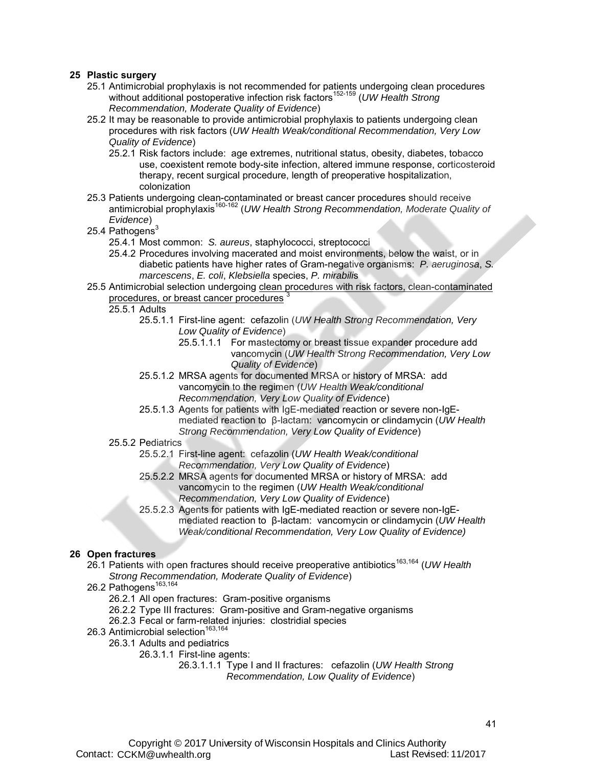#### **25 Plastic surgery**

- 25.1 Antimicrobial prophylaxis is not recommended for patients undergoing clean procedures without additional postoperative infection risk factors<sup>152-159</sup> (*UW Health Strong Recommendation, Moderate Quality of Evidence*)
- 25.2 It may be reasonable to provide antimicrobial prophylaxis to patients undergoing clean procedures with risk factors (*UW Health Weak/conditional Recommendation, Very Low Quality of Evidence*)
	- 25.2.1 Risk factors include: age extremes, nutritional status, obesity, diabetes, tobacco use, coexistent remote body-site infection, altered immune response, corticosteroid therapy, recent surgical procedure, length of preoperative hospitalization, colonization
- 25.3 Patients undergoing clean-contaminated or breast cancer procedures should receive antimicrobial prophylaxis160-162 (*UW Health Strong Recommendation, Moderate Quality of Evidence*)

#### 25.4 Pathogens $^3$

- 25.4.1 Most common: *S. aureus*, staphylococci, streptococci
- 25.4.2 Procedures involving macerated and moist environments, below the waist, or in diabetic patients have higher rates of Gram-negative organisms: *P. aeruginosa*, *S. marcescens*, *E. coli*, *Klebsiella* species, *P. mirabili*s
- 25.5 Antimicrobial selection undergoing clean procedures with risk factors, clean-contaminated procedures, or breast cancer procedures
	- 25.5.1 Adults
		- 25.5.1.1 First-line agent: cefazolin (*UW Health Strong Recommendation, Very Low Quality of Evidence*)
			- 25.5.1.1.1 For mastectomy or breast tissue expander procedure add vancomycin (*UW Health Strong Recommendation, Very Low Quality of Evidence*)
		- 25.5.1.2 MRSA agents for documented MRSA or history of MRSA: add vancomycin to the regimen (*UW Health Weak/conditional Recommendation, Very Low Quality of Evidence*)
		- 25.5.1.3 Agents for patients with IgE-mediated reaction or severe non-IgEmediated reaction to β-lactam: vancomycin or clindamycin (*UW Health Strong Recommendation, Very Low Quality of Evidence*)

#### 25.5.2 Pediatrics

- 25.5.2.1 First-line agent: cefazolin (*UW Health Weak/conditional Recommendation, Very Low Quality of Evidence*)
- 25.5.2.2 MRSA agents for documented MRSA or history of MRSA: add vancomycin to the regimen (*UW Health Weak/conditional Recommendation, Very Low Quality of Evidence*)
- 25.5.2.3 Agents for patients with IgE-mediated reaction or severe non-IgEmediated reaction to β-lactam: vancomycin or clindamycin (*UW Health Weak/conditional Recommendation, Very Low Quality of Evidence)*

#### **26 Open fractures**

26.1 Patients with open fractures should receive preoperative antibiotics<sup>163,164</sup> (UW Health *Strong Recommendation, Moderate Quality of Evidence*)

- 26.2 Pathogens<sup>163,164</sup>
	- 26.2.1 All open fractures: Gram-positive organisms
	- 26.2.2 Type III fractures: Gram-positive and Gram-negative organisms
	- 26.2.3 Fecal or farm-related injuries: clostridial species
- 26.3 Antimicrobial selection<sup>163</sup>
	- 26.3.1 Adults and pediatrics
		- 26.3.1.1 First-line agents:
			- 26.3.1.1.1 Type I and II fractures: cefazolin (*UW Health Strong Recommendation, Low Quality of Evidence*)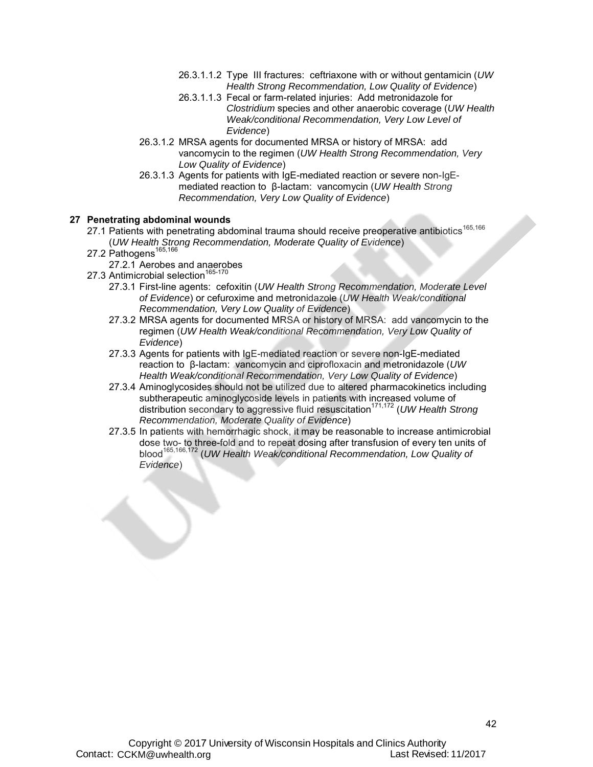- 26.3.1.1.2 Type III fractures: ceftriaxone with or without gentamicin (*UW Health Strong Recommendation, Low Quality of Evidence*)
- 26.3.1.1.3 Fecal or farm-related injuries: Add metronidazole for *Clostridium* species and other anaerobic coverage (*UW Health Weak/conditional Recommendation, Very Low Level of Evidence*)
- 26.3.1.2 MRSA agents for documented MRSA or history of MRSA: add vancomycin to the regimen (*UW Health Strong Recommendation, Very Low Quality of Evidence*)
- 26.3.1.3 Agents for patients with IgE-mediated reaction or severe non-IgEmediated reaction to β-lactam: vancomycin (*UW Health Strong Recommendation, Very Low Quality of Evidence*)

#### **27 Penetrating abdominal wounds**

- 27.1 Patients with penetrating abdominal trauma should receive preoperative antibiotics<sup>165,166</sup> (*UW Health Strong Recommendation, Moderate Quality of Evidence*)
- 27.2 Pathogens<sup>165,166</sup>
	- 27.2.1 Aerobes and anaerobes
- 27.3 Antimicrobial selection<sup>165-170</sup>
	- 27.3.1 First-line agents: cefoxitin (*UW Health Strong Recommendation, Moderate Level of Evidence*) or cefuroxime and metronidazole (*UW Health Weak/conditional Recommendation, Very Low Quality of Evidence*)
	- 27.3.2 MRSA agents for documented MRSA or history of MRSA: add vancomycin to the regimen (*UW Health Weak/conditional Recommendation, Very Low Quality of Evidence*)
	- 27.3.3 Agents for patients with IgE-mediated reaction or severe non-IgE-mediated reaction to β-lactam: vancomycin and ciprofloxacin and metronidazole (*UW Health Weak/conditional Recommendation, Very Low Quality of Evidence*)
	- 27.3.4 Aminoglycosides should not be utilized due to altered pharmacokinetics including subtherapeutic aminoglycoside levels in patients with increased volume of distribution secondary to aggressive fluid resuscitation<sup>171,172</sup> (UW Health Strong *Recommendation, Moderate Quality of Evidence*)
	- 27.3.5 In patients with hemorrhagic shock, it may be reasonable to increase antimicrobial dose two- to three-fold and to repeat dosing after transfusion of every ten units of blood165,166,172 (*UW Health Weak/conditional Recommendation, Low Quality of Evidence*)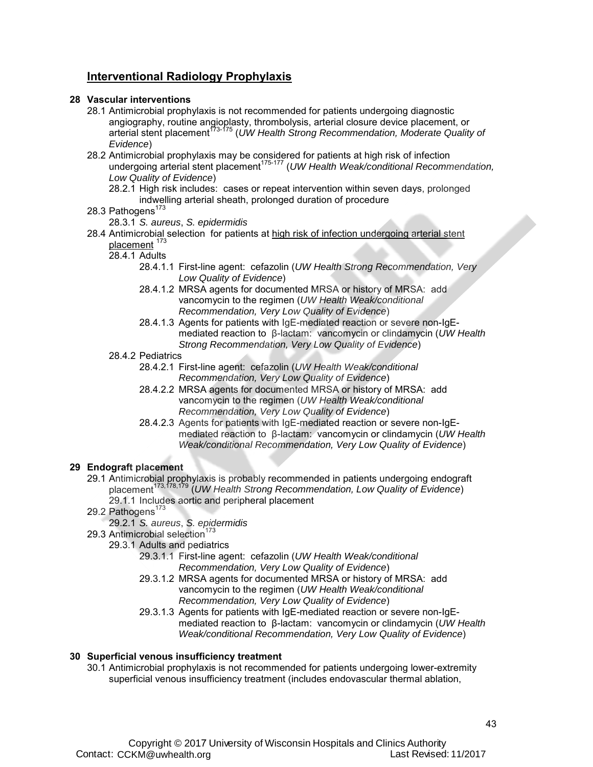### **Interventional Radiology Prophylaxis**

#### **28 Vascular interventions**

- 28.1 Antimicrobial prophylaxis is not recommended for patients undergoing diagnostic angiography, routine angioplasty, thrombolysis, arterial closure device placement, or arterial stent placement173-175 (*UW Health Strong Recommendation, Moderate Quality of Evidence*)
- 28.2 Antimicrobial prophylaxis may be considered for patients at high risk of infection undergoing arterial stent placement<sup>175-177</sup> (*UW Health Weak/conditional Recommendation, Low Quality of Evidence*)
	- 28.2.1 High risk includes: cases or repeat intervention within seven days, prolonged indwelling arterial sheath, prolonged duration of procedure

#### 28.3 Pathogens<sup>173</sup>

28.3.1 *S. aureus*, *S. epidermidis*

#### 28.4 Antimicrobial selection for patients at high risk of infection undergoing arterial stent placement<sup>173</sup>

- 28.4.1 Adults
	- 28.4.1.1 First-line agent: cefazolin (*UW Health Strong Recommendation, Very Low Quality of Evidence*)
	- 28.4.1.2 MRSA agents for documented MRSA or history of MRSA: add vancomycin to the regimen (*UW Health Weak/conditional Recommendation, Very Low Quality of Evidence*)
	- 28.4.1.3 Agents for patients with IgE-mediated reaction or severe non-IgEmediated reaction to β-lactam: vancomycin or clindamycin (*UW Health Strong Recommendation, Very Low Quality of Evidence*)
- 28.4.2 Pediatrics
	- 28.4.2.1 First-line agent: cefazolin (*UW Health Weak/conditional Recommendation, Very Low Quality of Evidence*)
	- 28.4.2.2 MRSA agents for documented MRSA or history of MRSA: add vancomycin to the regimen (*UW Health Weak/conditional Recommendation, Very Low Quality of Evidence*)
	- 28.4.2.3 Agents for patients with IgE-mediated reaction or severe non-IgEmediated reaction to β-lactam: vancomycin or clindamycin (*UW Health Weak/conditional Recommendation, Very Low Quality of Evidence*)

#### **29 Endograft placement**

- 29.1 Antimicrobial prophylaxis is probably recommended in patients undergoing endograft placement<sup>173,178,179</sup> (UW Health Strong Recommendation, Low Quality of Evidence) 29.1.1 Includes aortic and peripheral placement
- 29.2 Pathogens<sup>173</sup>
	- 29.2.1 *S. aureus*, *S. epidermidis*
- 29.3 Antimicrobial selection<sup>173</sup>
	- 29.3.1 Adults and pediatrics
		- 29.3.1.1 First-line agent: cefazolin (*UW Health Weak/conditional Recommendation, Very Low Quality of Evidence*)
		- 29.3.1.2 MRSA agents for documented MRSA or history of MRSA: add vancomycin to the regimen (*UW Health Weak/conditional Recommendation, Very Low Quality of Evidence*)
		- 29.3.1.3 Agents for patients with IgE-mediated reaction or severe non-IgEmediated reaction to β-lactam: vancomycin or clindamycin (*UW Health Weak/conditional Recommendation, Very Low Quality of Evidence*)

#### **30 Superficial venous insufficiency treatment**

30.1 Antimicrobial prophylaxis is not recommended for patients undergoing lower-extremity superficial venous insufficiency treatment (includes endovascular thermal ablation,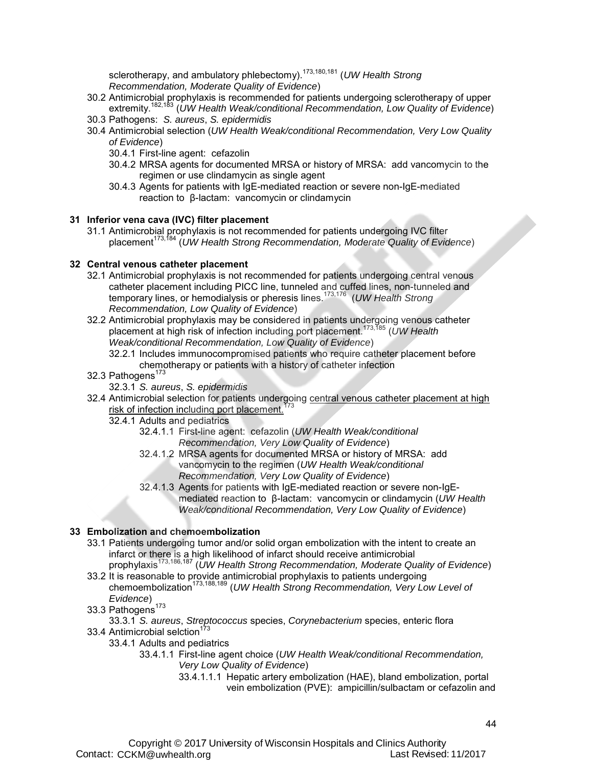sclerotherapy, and ambulatory phlebectomy).<sup>173,180,181</sup> (UW Health Strong *Recommendation, Moderate Quality of Evidence*)

- 30.2 Antimicrobial prophylaxis is recommended for patients undergoing sclerotherapy of upper extremity.182,183 (*UW Health Weak/conditional Recommendation, Low Quality of Evidence*)
- 30.3 Pathogens: *S. aureus*, *S. epidermidis*
- 30.4 Antimicrobial selection (*UW Health Weak/conditional Recommendation, Very Low Quality of Evidence*)
	- 30.4.1 First-line agent: cefazolin
	- 30.4.2 MRSA agents for documented MRSA or history of MRSA: add vancomycin to the regimen or use clindamycin as single agent
	- 30.4.3 Agents for patients with IgE-mediated reaction or severe non-IgE-mediated reaction to β-lactam: vancomycin or clindamycin

#### **31 Inferior vena cava (IVC) filter placement**

31.1 Antimicrobial prophylaxis is not recommended for patients undergoing IVC filter placement 173,184 (*UW Health Strong Recommendation, Moderate Quality of Evidence*)

#### **32 Central venous catheter placement**

- 32.1 Antimicrobial prophylaxis is not recommended for patients undergoing central venous catheter placement including PICC line, tunneled and cuffed lines, non-tunneled and temporary lines, or hemodialysis or pheresis lines.173,176 (*UW Health Strong Recommendation, Low Quality of Evidence*)
- 32.2 Antimicrobial prophylaxis may be considered in patients undergoing venous catheter placement at high risk of infection including port placement.173,185 (*UW Health Weak/conditional Recommendation, Low Quality of Evidence*)
	- 32.2.1 Includes immunocompromised patients who require catheter placement before chemotherapy or patients with a history of catheter infection
- 32.3 Pathogens<sup>173</sup>
	- 32.3.1 *S. aureus*, *S. epidermidis*
- 32.4 Antimicrobial selection for patients undergoing central venous catheter placement at high risk of infection including port placement.<sup>1</sup>
	- 32.4.1 Adults and pediatrics
		- 32.4.1.1 First-line agent: cefazolin (*UW Health Weak/conditional Recommendation, Very Low Quality of Evidence*)
		- 32.4.1.2 MRSA agents for documented MRSA or history of MRSA: add vancomycin to the regimen (*UW Health Weak/conditional Recommendation, Very Low Quality of Evidence*)
		- 32.4.1.3 Agents for patients with IgE-mediated reaction or severe non-IgEmediated reaction to β-lactam: vancomycin or clindamycin (*UW Health Weak/conditional Recommendation, Very Low Quality of Evidence*)

#### **33 Embolization and chemoembolization**

- 33.1 Patients undergoing tumor and/or solid organ embolization with the intent to create an infarct or there is a high likelihood of infarct should receive antimicrobial prophylaxis173,186,187 (*UW Health Strong Recommendation, Moderate Quality of Evidence*)
- 33.2 It is reasonable to provide antimicrobial prophylaxis to patients undergoing chemoembolization173,188,189 (*UW Health Strong Recommendation, Very Low Level of Evidence*)
- $33.3$  Pathogens<sup>173</sup>
	- 33.3.1 *S. aureus*, *Streptococcus* species, *Corynebacterium* species, enteric flora
- 33.4 Antimicrobial selction<sup>173</sup>
	- 33.4.1 Adults and pediatrics
		- 33.4.1.1 First-line agent choice (*UW Health Weak/conditional Recommendation, Very Low Quality of Evidence*)
			- 33.4.1.1.1 Hepatic artery embolization (HAE), bland embolization, portal vein embolization (PVE): ampicillin/sulbactam or cefazolin and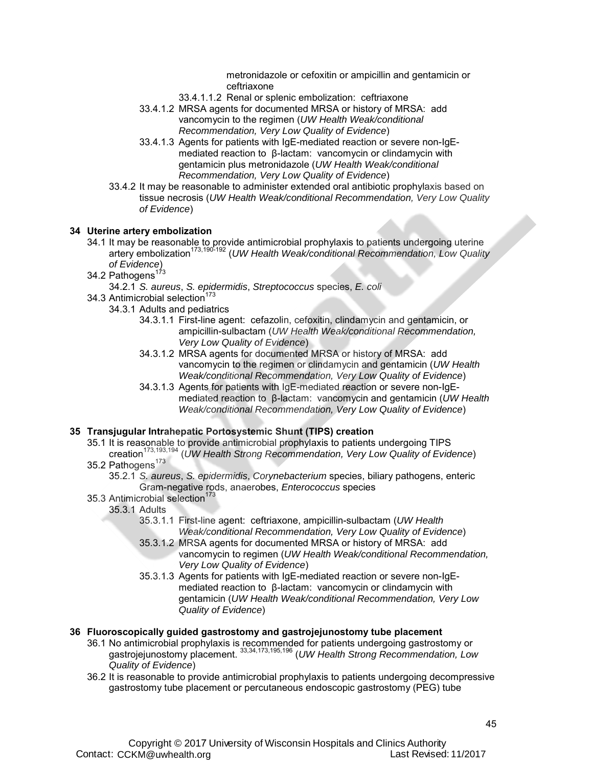metronidazole or cefoxitin or ampicillin and gentamicin or ceftriaxone

- 33.4.1.1.2 Renal or splenic embolization: ceftriaxone
- 33.4.1.2 MRSA agents for documented MRSA or history of MRSA: add vancomycin to the regimen (*UW Health Weak/conditional Recommendation, Very Low Quality of Evidence*)
- 33.4.1.3 Agents for patients with IgE-mediated reaction or severe non-IgEmediated reaction to β-lactam: vancomycin or clindamycin with gentamicin plus metronidazole (*UW Health Weak/conditional Recommendation, Very Low Quality of Evidence*)
- 33.4.2 It may be reasonable to administer extended oral antibiotic prophylaxis based on tissue necrosis (*UW Health Weak/conditional Recommendation, Very Low Quality of Evidence*)

#### **34 Uterine artery embolization**

- 34.1 It may be reasonable to provide antimicrobial prophylaxis to patients undergoing uterine artery embolization<sup>173,190-192</sup> (*UW Health Weak/conditional Recommendation, Low Quality of Evidence*)
- 34.2 Pathogens<sup>173</sup>
	- 34.2.1 *S. aureus*, *S. epidermidis*, *Streptococcus* species, *E. coli*
- 34.3 Antimicrobial selection<sup>1</sup>
	- 34.3.1 Adults and pediatrics
		- 34.3.1.1 First-line agent: cefazolin, cefoxitin, clindamycin and gentamicin, or ampicillin-sulbactam (*UW Health Weak/conditional Recommendation, Very Low Quality of Evidence*)
		- 34.3.1.2 MRSA agents for documented MRSA or history of MRSA: add vancomycin to the regimen or clindamycin and gentamicin (*UW Health Weak/conditional Recommendation, Very Low Quality of Evidence*)
		- 34.3.1.3 Agents for patients with IgE-mediated reaction or severe non-IgEmediated reaction to β-lactam: vancomycin and gentamicin (*UW Health Weak/conditional Recommendation, Very Low Quality of Evidence*)

#### **35 Transjugular Intrahepatic Portosystemic Shunt (TIPS) creation**

- 35.1 It is reasonable to provide antimicrobial prophylaxis to patients undergoing TIPS creation173,193,194 (*UW Health Strong Recommendation, Very Low Quality of Evidence*)
- 35.2 Pathogens<sup>173</sup>
	- 35.2.1 *S. aureus*, *S. epidermidis*, *Corynebacterium* species, biliary pathogens, enteric Gram-negative rods, anaerobes, *Enterococcus* species
- 35.3 Antimicrobial selection<sup>1</sup>
	- 35.3.1 Adults
		- 35.3.1.1 First-line agent: ceftriaxone, ampicillin-sulbactam (*UW Health Weak/conditional Recommendation, Very Low Quality of Evidence*)
		- 35.3.1.2 MRSA agents for documented MRSA or history of MRSA: add vancomycin to regimen (*UW Health Weak/conditional Recommendation, Very Low Quality of Evidence*)
		- 35.3.1.3 Agents for patients with IgE-mediated reaction or severe non-IgEmediated reaction to β-lactam: vancomycin or clindamycin with gentamicin (*UW Health Weak/conditional Recommendation, Very Low Quality of Evidence*)

#### **36 Fluoroscopically guided gastrostomy and gastrojejunostomy tube placement**

- 36.1 No antimicrobial prophylaxis is recommended for patients undergoing gastrostomy or gastrojejunostomy placement. 33,34,173,195,196 (*UW Health Strong Recommendation, Low Quality of Evidence*)
- 36.2 It is reasonable to provide antimicrobial prophylaxis to patients undergoing decompressive gastrostomy tube placement or percutaneous endoscopic gastrostomy (PEG) tube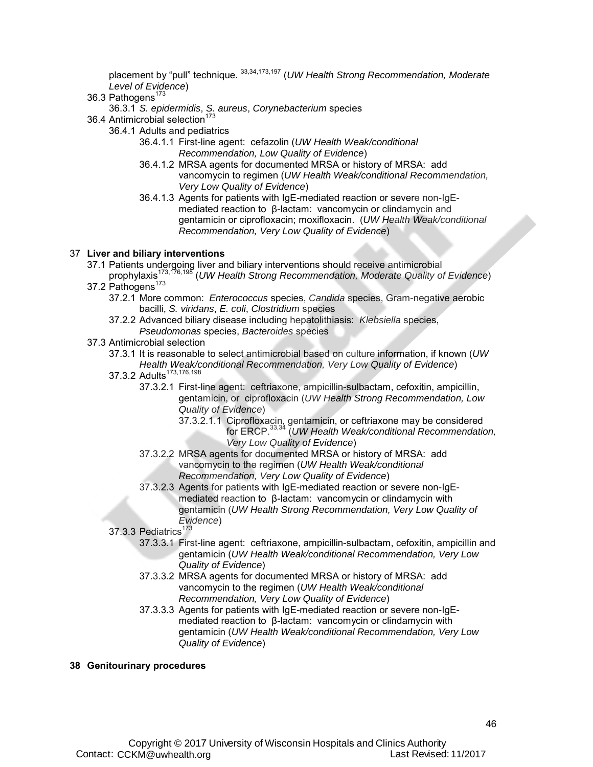placement by "pull" technique. 33,34,173,197 (*UW Health Strong Recommendation, Moderate Level of Evidence*)

36.3 Pathogens<sup>173</sup>

36.3.1 *S. epidermidis*, *S. aureus*, *Corynebacterium* species

- 36.4 Antimicrobial selection<sup>173</sup>
	- 36.4.1 Adults and pediatrics
		- 36.4.1.1 First-line agent: cefazolin (*UW Health Weak/conditional Recommendation, Low Quality of Evidence*)
		- 36.4.1.2 MRSA agents for documented MRSA or history of MRSA: add vancomycin to regimen (*UW Health Weak/conditional Recommendation, Very Low Quality of Evidence*)
		- 36.4.1.3 Agents for patients with IgE-mediated reaction or severe non-IgEmediated reaction to β-lactam: vancomycin or clindamycin and gentamicin or ciprofloxacin; moxifloxacin. (*UW Health Weak/conditional Recommendation, Very Low Quality of Evidence*)

#### 37 **Liver and biliary interventions**

- 37.1 Patients undergoing liver and biliary interventions should receive antimicrobial prophylaxis173,176,198 (*UW Health Strong Recommendation, Moderate Quality of Evidence*)
- 37.2 Pathogens<sup>173</sup>
	- 37.2.1 More common: *Enterococcus* species, *Candida* species, Gram-negative aerobic bacilli, *S. viridans*, *E. coli*, *Clostridium* species
	- 37.2.2 Advanced biliary disease including hepatolithiasis: *Klebsiella* species, *Pseudomonas* species, *Bacteroides* species
- 37.3 Antimicrobial selection
	- 37.3.1 It is reasonable to select antimicrobial based on culture information, if known (*UW Health Weak/conditional Recommendation, Very Low Quality of Evidence*)
	- 37.3.2 Adults<sup>173,176,198</sup>
		- 37.3.2.1 First-line agent: ceftriaxone, ampicillin-sulbactam, cefoxitin, ampicillin, gentamicin, or ciprofloxacin (*UW Health Strong Recommendation, Low Quality of Evidence*)
			- 37.3.2.1.1 Ciprofloxacin, gentamicin, or ceftriaxone may be considered for ERCP. 33,34 (*UW Health Weak/conditional Recommendation, Very Low Quality of Evidence*)
		- 37.3.2.2 MRSA agents for documented MRSA or history of MRSA: add vancomycin to the regimen (*UW Health Weak/conditional Recommendation, Very Low Quality of Evidence*)
		- 37.3.2.3 Agents for patients with IgE-mediated reaction or severe non-IgEmediated reaction to β-lactam: vancomycin or clindamycin with gentamicin (*UW Health Strong Recommendation, Very Low Quality of Evidence*)
	- $37.3.3$  Pediatrics<sup>173</sup>
		- 37.3.3.1 First-line agent: ceftriaxone, ampicillin-sulbactam, cefoxitin, ampicillin and gentamicin (*UW Health Weak/conditional Recommendation, Very Low Quality of Evidence*)
		- 37.3.3.2 MRSA agents for documented MRSA or history of MRSA: add vancomycin to the regimen (*UW Health Weak/conditional Recommendation, Very Low Quality of Evidence*)
		- 37.3.3.3 Agents for patients with IgE-mediated reaction or severe non-IgEmediated reaction to β-lactam: vancomycin or clindamycin with gentamicin (*UW Health Weak/conditional Recommendation, Very Low Quality of Evidence*)

#### **38 Genitourinary procedures**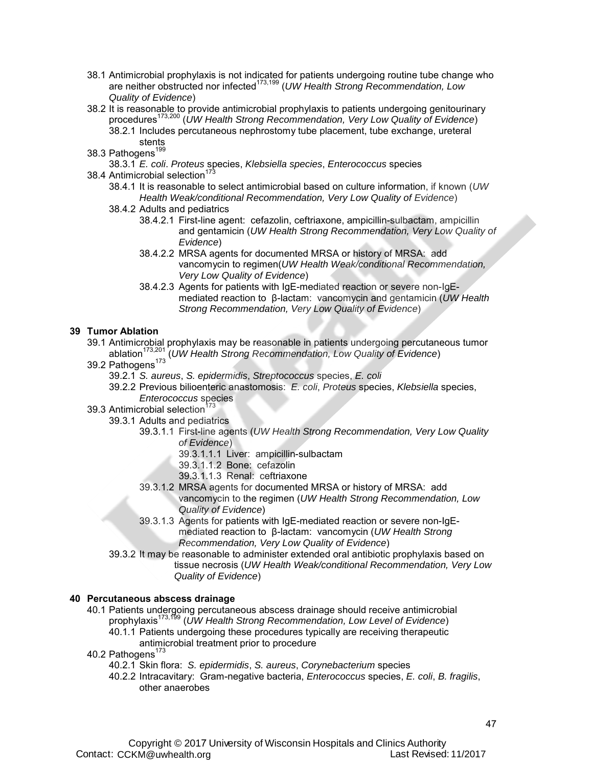- 38.1 Antimicrobial prophylaxis is not indicated for patients undergoing routine tube change who are neither obstructed nor infected<sup>173,199</sup> (*UW Health Strong Recommendation, Low Quality of Evidence*)
- 38.2 It is reasonable to provide antimicrobial prophylaxis to patients undergoing genitourinary procedures173,200 (*UW Health Strong Recommendation, Very Low Quality of Evidence*)
	- 38.2.1 Includes percutaneous nephrostomy tube placement, tube exchange, ureteral stents
- 38.3 Pathogens<sup>199</sup>
	- 38.3.1 *E. coli*. *Proteus* species, *Klebsiella species*, *Enterococcus* species
- 38.4 Antimicrobial selection<sup>17</sup>
	- 38.4.1 It is reasonable to select antimicrobial based on culture information, if known (*UW Health Weak/conditional Recommendation, Very Low Quality of Evidence*)
	- 38.4.2 Adults and pediatrics
		- 38.4.2.1 First-line agent: cefazolin, ceftriaxone, ampicillin-sulbactam, ampicillin and gentamicin (*UW Health Strong Recommendation, Very Low Quality of Evidence*)
		- 38.4.2.2 MRSA agents for documented MRSA or history of MRSA: add vancomycin to regimen(*UW Health Weak/conditional Recommendation, Very Low Quality of Evidence*)
		- 38.4.2.3 Agents for patients with IgE-mediated reaction or severe non-IgEmediated reaction to β-lactam: vancomycin and gentamicin (*UW Health Strong Recommendation, Very Low Quality of Evidence*)

- **39 Tumor Ablation** 39.1 Antimicrobial prophylaxis may be reasonable in patients undergoing percutaneous tumor ablation173,201 (*UW Health Strong Recommendation, Low Quality of Evidence*)
	- 39.2 Pathogens<sup>173</sup>
		- 39.2.1 *S. aureus*, *S. epidermidis*, *Streptococcus* species, *E. coli*
		- 39.2.2 Previous bilioenteric anastomosis: *E. coli*, *Proteus* species, *Klebsiella* species, *Enterococcus* species
	- 39.3 Antimicrobial selection<sup>173</sup>
		- 39.3.1 Adults and pediatrics
			- 39.3.1.1 First-line agents (*UW Health Strong Recommendation, Very Low Quality of Evidence*)
				- 39.3.1.1.1 Liver: ampicillin-sulbactam
				- 39.3.1.1.2 Bone: cefazolin
				- 39.3.1.1.3 Renal: ceftriaxone
			- 39.3.1.2 MRSA agents for documented MRSA or history of MRSA: add vancomycin to the regimen (*UW Health Strong Recommendation, Low Quality of Evidence*)
			- 39.3.1.3 Agents for patients with IgE-mediated reaction or severe non-IgEmediated reaction to β-lactam: vancomycin (*UW Health Strong Recommendation, Very Low Quality of Evidence*)
			- 39.3.2 It may be reasonable to administer extended oral antibiotic prophylaxis based on tissue necrosis (*UW Health Weak/conditional Recommendation, Very Low Quality of Evidence*)

#### **40 Percutaneous abscess drainage**

- 40.1 Patients undergoing percutaneous abscess drainage should receive antimicrobial prophylaxis173,199 (*UW Health Strong Recommendation, Low Level of Evidence*) 40.1.1 Patients undergoing these procedures typically are receiving therapeutic
	- antimicrobial treatment prior to procedure
- 40.2 Pathogens<sup>173</sup>
	- 40.2.1 Skin flora: *S. epidermidis*, *S. aureus*, *Corynebacterium* species
	- 40.2.2 Intracavitary: Gram-negative bacteria, *Enterococcus* species, *E. coli*, *B. fragilis*, other anaerobes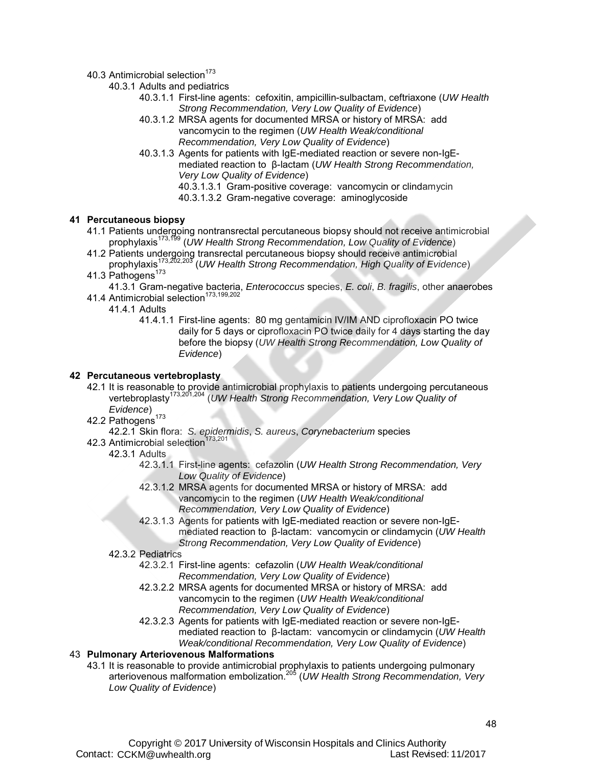40.3 Antimicrobial selection<sup>173</sup>

40.3.1 Adults and pediatrics

- 40.3.1.1 First-line agents: cefoxitin, ampicillin-sulbactam, ceftriaxone (*UW Health Strong Recommendation, Very Low Quality of Evidence*)
- 40.3.1.2 MRSA agents for documented MRSA or history of MRSA: add vancomycin to the regimen (*UW Health Weak/conditional Recommendation, Very Low Quality of Evidence*)
- 40.3.1.3 Agents for patients with IgE-mediated reaction or severe non-IgEmediated reaction to β-lactam (*UW Health Strong Recommendation, Very Low Quality of Evidence*)
	- 40.3.1.3.1 Gram-positive coverage: vancomycin or clindamycin
	- 40.3.1.3.2 Gram-negative coverage: aminoglycoside

#### **41 Percutaneous biopsy**

- 41.1 Patients undergoing nontransrectal percutaneous biopsy should not receive antimicrobial prophylaxis173,199 (*UW Health Strong Recommendation, Low Quality of Evidence*)
- 41.2 Patients undergoing transrectal percutaneous biopsy should receive antimicrobial prophylaxis173,202,203 (*UW Health Strong Recommendation, High Quality of Evidence*)
- 41.3 Pathogens<sup>173</sup>

41.3.1 Gram-negative bacteria, *Enterococcus* species, *E. coli*, *B. fragilis*, other anaerobes 41.4 Antimicrobial selection<sup>173,199,202</sup>

- 41.4.1 Adults
	- 41.4.1.1 First-line agents: 80 mg gentamicin IV/IM AND ciprofloxacin PO twice daily for 5 days or ciprofloxacin PO twice daily for 4 days starting the day before the biopsy (*UW Health Strong Recommendation, Low Quality of Evidence*)

#### **42 Percutaneous vertebroplasty**

- 42.1 It is reasonable to provide antimicrobial prophylaxis to patients undergoing percutaneous vertebroplasty<sup>173,201,204</sup> (*UW Health Strong Recommendation, Very Low Quality of Evidence*)
- 42.2 Pathogens $173$

42.2.1 Skin flora: *S. epidermidis*, *S. aureus*, *Corynebacterium* species

42.3 Antimicrobial selection<sup>173,201</sup>

#### 42.3.1 Adults

- 42.3.1.1 First-line agents: cefazolin (*UW Health Strong Recommendation, Very Low Quality of Evidence*)
- 42.3.1.2 MRSA agents for documented MRSA or history of MRSA: add vancomycin to the regimen (*UW Health Weak/conditional Recommendation, Very Low Quality of Evidence*)
- 42.3.1.3 Agents for patients with IgE-mediated reaction or severe non-IgEmediated reaction to β-lactam: vancomycin or clindamycin (*UW Health Strong Recommendation, Very Low Quality of Evidence*)

#### 42.3.2 Pediatrics

- 42.3.2.1 First-line agents: cefazolin (*UW Health Weak/conditional Recommendation, Very Low Quality of Evidence*)
- 42.3.2.2 MRSA agents for documented MRSA or history of MRSA: add vancomycin to the regimen (*UW Health Weak/conditional Recommendation, Very Low Quality of Evidence*)
- 42.3.2.3 Agents for patients with IgE-mediated reaction or severe non-IgEmediated reaction to β-lactam: vancomycin or clindamycin (*UW Health Weak/conditional Recommendation, Very Low Quality of Evidence*)

#### 43 **Pulmonary Arteriovenous Malformations**

43.1 It is reasonable to provide antimicrobial prophylaxis to patients undergoing pulmonary arteriovenous malformation embolization.205 (*UW Health Strong Recommendation, Very Low Quality of Evidence*)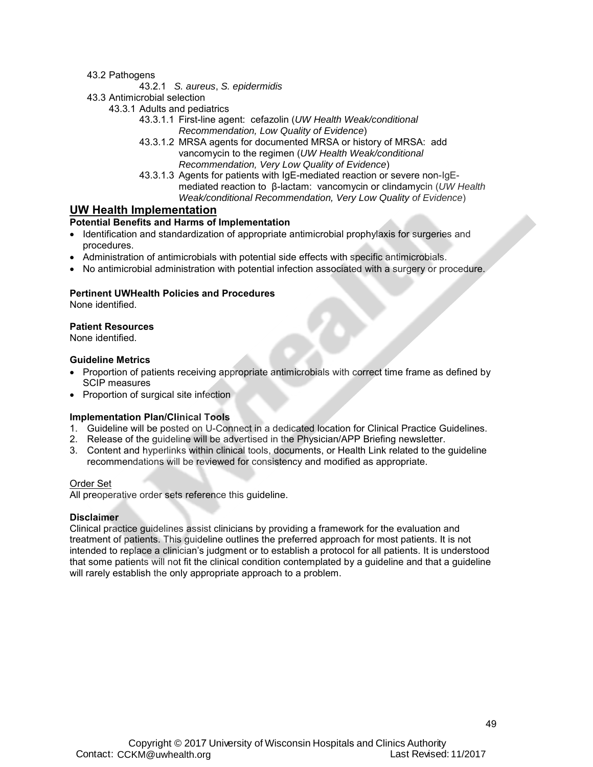43.2 Pathogens

#### 43.2.1 *S. aureus*, *S. epidermidis*

43.3 Antimicrobial selection

- 43.3.1 Adults and pediatrics
	- 43.3.1.1 First-line agent: cefazolin (*UW Health Weak/conditional Recommendation, Low Quality of Evidence*)
	- 43.3.1.2 MRSA agents for documented MRSA or history of MRSA: add vancomycin to the regimen (*UW Health Weak/conditional Recommendation, Very Low Quality of Evidence*)
	- 43.3.1.3 Agents for patients with IgE-mediated reaction or severe non-IgEmediated reaction to β-lactam: vancomycin or clindamycin (*UW Health Weak/conditional Recommendation, Very Low Quality of Evidence*)

#### <span id="page-48-0"></span>**UW Health Implementation**

#### **Potential Benefits and Harms of Implementation**

- Identification and standardization of appropriate antimicrobial prophylaxis for surgeries and procedures.
- Administration of antimicrobials with potential side effects with specific antimicrobials.
- No antimicrobial administration with potential infection associated with a surgery or procedure.

#### **Pertinent UWHealth Policies and Procedures**

None identified.

#### **Patient Resources**

None identified.

#### **Guideline Metrics**

- Proportion of patients receiving appropriate antimicrobials with correct time frame as defined by SCIP measures
- Proportion of surgical site infection

#### **Implementation Plan/Clinical Tools**

- 1. Guideline will be posted on U-Connect in a dedicated location for Clinical Practice Guidelines.
- 2. Release of the guideline will be advertised in the Physician/APP Briefing newsletter.
- 3. Content and hyperlinks within clinical tools, documents, or Health Link related to the guideline recommendations will be reviewed for consistency and modified as appropriate.

#### Order Set

All preoperative order sets reference this guideline.

#### **Disclaimer**

Clinical practice guidelines assist clinicians by providing a framework for the evaluation and treatment of patients. This guideline outlines the preferred approach for most patients. It is not intended to replace a clinician's judgment or to establish a protocol for all patients. It is understood that some patients will not fit the clinical condition contemplated by a guideline and that a guideline will rarely establish the only appropriate approach to a problem.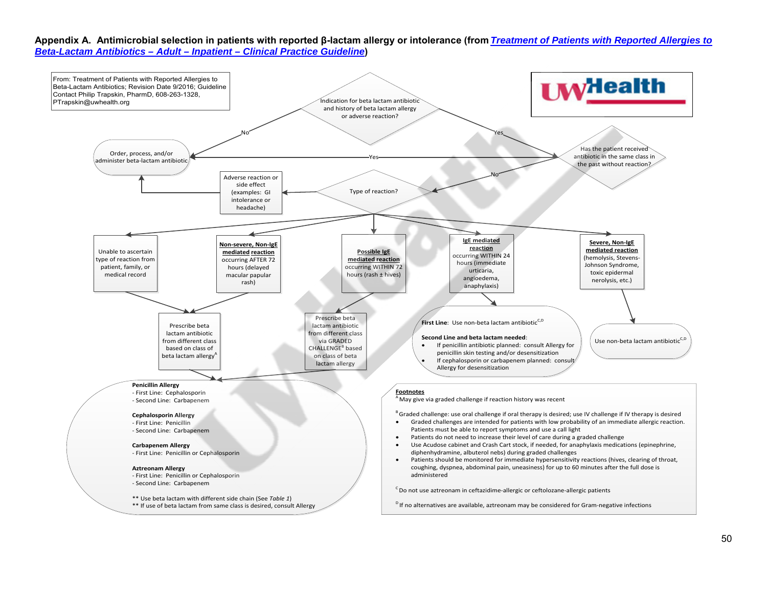**Appendix A. Antimicrobial selection in patients with reported β-lactam allergy or intolerance (from** *Treatment of Patients with Reported Allergies to Beta-Lactam Antibiotics – Adult – Inpatient – Clinical Practice Guideline***)** 

<span id="page-49-0"></span>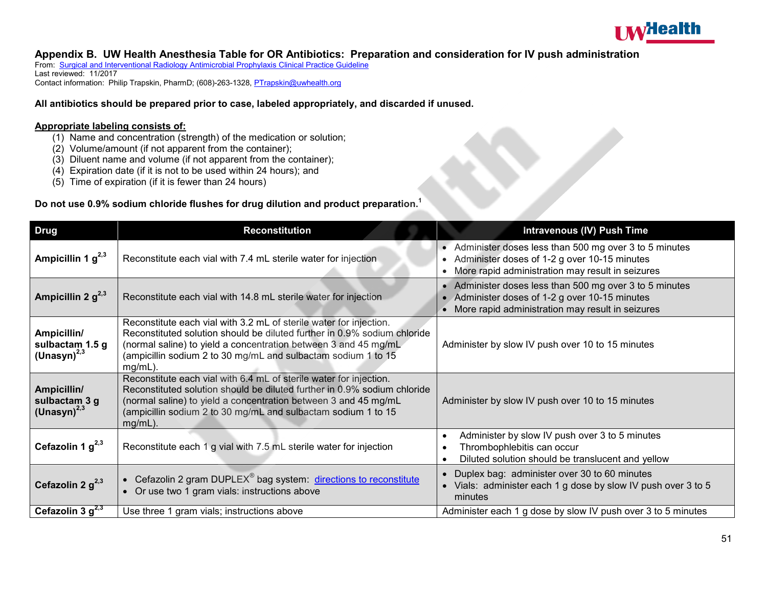

#### **Appendix B. UW Health Anesthesia Table for OR Antibiotics: Preparation and consideration for IV push administration**

From: Surgical and Interventional Radiology Antimicrobial Prophylaxis Clinical Practice Guideline Last reviewed: 11/2017 Contact information: Philip Trapskin, PharmD; (608)-263-1328, PTrapskin@uwhealth.org

#### **All antibiotics should be prepared prior to case, labeled appropriately, and discarded if unused.**

#### **Appropriate labeling consists of:**

- (1) Name and concentration (strength) of the medication or solution;
- (2) Volume/amount (if not apparent from the container);
- (3) Diluent name and volume (if not apparent from the container);
- (4) Expiration date (if it is not to be used within 24 hours); and
- (5) Time of expiration (if it is fewer than 24 hours)

#### **Do not use 0.9% sodium chloride flushes for drug dilution and product preparation. 1**

<span id="page-50-0"></span>

| <b>Drug</b>                                         | <b>Reconstitution</b>                                                                                                                                                                                                                                                                            | <b>Intravenous (IV) Push Time</b>                                                                                                                             |
|-----------------------------------------------------|--------------------------------------------------------------------------------------------------------------------------------------------------------------------------------------------------------------------------------------------------------------------------------------------------|---------------------------------------------------------------------------------------------------------------------------------------------------------------|
| Ampicillin 1 $g^{2,3}$                              | Reconstitute each vial with 7.4 mL sterile water for injection                                                                                                                                                                                                                                   | • Administer doses less than 500 mg over 3 to 5 minutes<br>Administer doses of 1-2 g over 10-15 minutes<br>More rapid administration may result in seizures   |
| Ampicillin 2 $g^{2,3}$                              | Reconstitute each vial with 14.8 mL sterile water for injection                                                                                                                                                                                                                                  | • Administer doses less than 500 mg over 3 to 5 minutes<br>Administer doses of 1-2 g over 10-15 minutes<br>• More rapid administration may result in seizures |
| Ampicillin/<br>sulbactam 1.5 g<br>(Unasyn) $^{2,3}$ | Reconstitute each vial with 3.2 mL of sterile water for injection.<br>Reconstituted solution should be diluted further in 0.9% sodium chloride<br>(normal saline) to yield a concentration between 3 and 45 mg/mL<br>(ampicillin sodium 2 to 30 mg/mL and sulbactam sodium 1 to 15<br>$mg/mL$ ). | Administer by slow IV push over 10 to 15 minutes                                                                                                              |
| Ampicillin/<br>sulbactam 3 g<br>$(Unasyn)^{2,3}$    | Reconstitute each vial with 6.4 mL of sterile water for injection.<br>Reconstituted solution should be diluted further in 0.9% sodium chloride<br>(normal saline) to yield a concentration between 3 and 45 mg/mL<br>(ampicillin sodium 2 to 30 mg/mL and sulbactam sodium 1 to 15<br>$mg/mL$ ). | Administer by slow IV push over 10 to 15 minutes                                                                                                              |
| Cefazolin 1 $q^{2,3}$                               | Reconstitute each 1 g vial with 7.5 mL sterile water for injection                                                                                                                                                                                                                               | Administer by slow IV push over 3 to 5 minutes<br>Thrombophlebitis can occur<br>Diluted solution should be translucent and yellow                             |
| Cefazolin 2 $g^{2,3}$                               | Cefazolin 2 gram DUPLEX <sup>®</sup> bag system: directions to reconstitute<br>Or use two 1 gram vials: instructions above                                                                                                                                                                       | • Duplex bag: administer over 30 to 60 minutes<br>• Vials: administer each 1 g dose by slow IV push over 3 to 5<br>minutes                                    |
| Cefazolin 3 $g^{2,3}$                               | Use three 1 gram vials; instructions above                                                                                                                                                                                                                                                       | Administer each 1 g dose by slow IV push over 3 to 5 minutes                                                                                                  |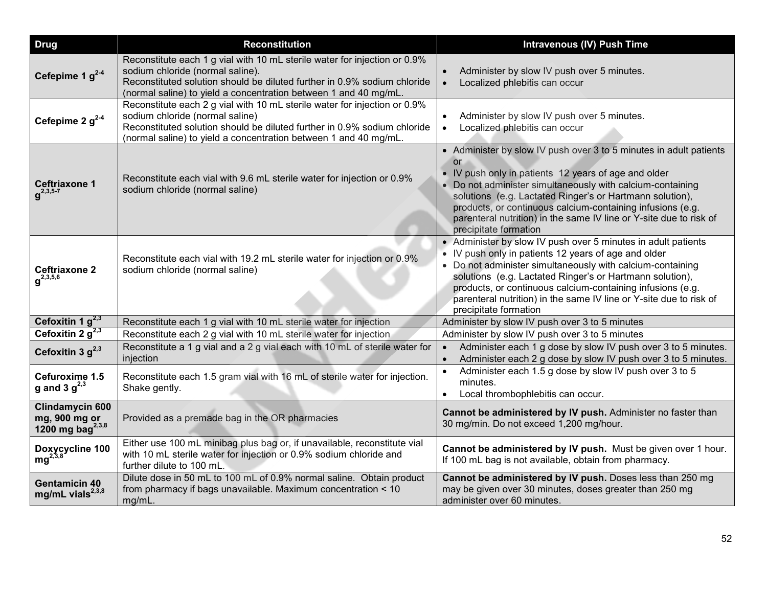| <b>Drug</b>                                                             | <b>Reconstitution</b>                                                                                                                                                                                                                                         | <b>Intravenous (IV) Push Time</b>                                                                                                                                                                                                                                                                                                                                                                                       |
|-------------------------------------------------------------------------|---------------------------------------------------------------------------------------------------------------------------------------------------------------------------------------------------------------------------------------------------------------|-------------------------------------------------------------------------------------------------------------------------------------------------------------------------------------------------------------------------------------------------------------------------------------------------------------------------------------------------------------------------------------------------------------------------|
| Cefepime 1 $g^{2-4}$                                                    | Reconstitute each 1 g vial with 10 mL sterile water for injection or 0.9%<br>sodium chloride (normal saline).<br>Reconstituted solution should be diluted further in 0.9% sodium chloride<br>(normal saline) to yield a concentration between 1 and 40 mg/mL. | Administer by slow IV push over 5 minutes.<br>Localized phlebitis can occur<br>$\bullet$                                                                                                                                                                                                                                                                                                                                |
| Cefepime 2 $g^{2-4}$                                                    | Reconstitute each 2 g vial with 10 mL sterile water for injection or 0.9%<br>sodium chloride (normal saline)<br>Reconstituted solution should be diluted further in 0.9% sodium chloride<br>(normal saline) to yield a concentration between 1 and 40 mg/mL.  | Administer by slow IV push over 5 minutes.<br>$\bullet$<br>Localized phlebitis can occur<br>$\bullet$                                                                                                                                                                                                                                                                                                                   |
| Ceftriaxone 1<br>$q^{2,3,5-7}$                                          | Reconstitute each vial with 9.6 mL sterile water for injection or 0.9%<br>sodium chloride (normal saline)                                                                                                                                                     | • Administer by slow IV push over 3 to 5 minutes in adult patients<br>or<br>• IV push only in patients 12 years of age and older<br>• Do not administer simultaneously with calcium-containing<br>solutions (e.g. Lactated Ringer's or Hartmann solution),<br>products, or continuous calcium-containing infusions (e.g.<br>parenteral nutrition) in the same IV line or Y-site due to risk of<br>precipitate formation |
| <b>Ceftriaxone 2</b><br>$q^{2,3,5,6}$                                   | Reconstitute each vial with 19.2 mL sterile water for injection or 0.9%<br>sodium chloride (normal saline)                                                                                                                                                    | • Administer by slow IV push over 5 minutes in adult patients<br>• IV push only in patients 12 years of age and older<br>• Do not administer simultaneously with calcium-containing<br>solutions (e.g. Lactated Ringer's or Hartmann solution),<br>products, or continuous calcium-containing infusions (e.g.<br>parenteral nutrition) in the same IV line or Y-site due to risk of<br>precipitate formation            |
| Cefoxitin 1 $g^{2,3}$                                                   | Reconstitute each 1 g vial with 10 mL sterile water for injection                                                                                                                                                                                             | Administer by slow IV push over 3 to 5 minutes                                                                                                                                                                                                                                                                                                                                                                          |
| Cefoxitin 2 $g^{2,3}$                                                   | Reconstitute each 2 g vial with 10 mL sterile water for injection                                                                                                                                                                                             | Administer by slow IV push over 3 to 5 minutes                                                                                                                                                                                                                                                                                                                                                                          |
| Cefoxitin 3 $g^{2,3}$                                                   | Reconstitute a 1 g vial and a 2 g vial each with 10 mL of sterile water for<br>injection                                                                                                                                                                      | Administer each 1 g dose by slow IV push over 3 to 5 minutes.<br>$\bullet$<br>Administer each 2 g dose by slow IV push over 3 to 5 minutes.<br>$\bullet$                                                                                                                                                                                                                                                                |
| Cefuroxime 1.5<br>g and 3 $g^{2,3}$                                     | Reconstitute each 1.5 gram vial with 16 mL of sterile water for injection.<br>Shake gently.                                                                                                                                                                   | Administer each 1.5 g dose by slow IV push over 3 to 5<br>$\bullet$<br>minutes.<br>Local thrombophlebitis can occur.<br>$\bullet$                                                                                                                                                                                                                                                                                       |
| <b>Clindamycin 600</b><br>mg, 900 mg or<br>1200 mg bag <sup>2,3,8</sup> | Provided as a premade bag in the OR pharmacies                                                                                                                                                                                                                | Cannot be administered by IV push. Administer no faster than<br>30 mg/min. Do not exceed 1,200 mg/hour.                                                                                                                                                                                                                                                                                                                 |
| Doxycycline 100<br>$mg^{2,3,8}$                                         | Either use 100 mL minibag plus bag or, if unavailable, reconstitute vial<br>with 10 mL sterile water for injection or 0.9% sodium chloride and<br>further dilute to 100 mL.                                                                                   | Cannot be administered by IV push. Must be given over 1 hour.<br>If 100 mL bag is not available, obtain from pharmacy.                                                                                                                                                                                                                                                                                                  |
| <b>Gentamicin 40</b><br>mg/mL vials <sup>2,3,8</sup>                    | Dilute dose in 50 mL to 100 mL of 0.9% normal saline. Obtain product<br>from pharmacy if bags unavailable. Maximum concentration < 10<br>mg/mL.                                                                                                               | Cannot be administered by IV push. Doses less than 250 mg<br>may be given over 30 minutes, doses greater than 250 mg<br>administer over 60 minutes.                                                                                                                                                                                                                                                                     |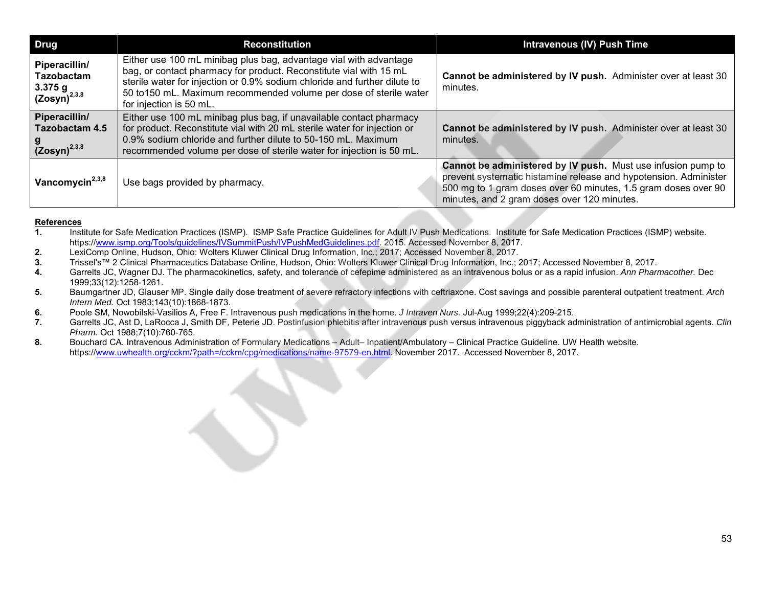| <b>Drug</b>                                                        | <b>Reconstitution</b>                                                                                                                                                                                                                                                                                                 | <b>Intravenous (IV) Push Time</b>                                                                                                                                                                                                                 |
|--------------------------------------------------------------------|-----------------------------------------------------------------------------------------------------------------------------------------------------------------------------------------------------------------------------------------------------------------------------------------------------------------------|---------------------------------------------------------------------------------------------------------------------------------------------------------------------------------------------------------------------------------------------------|
| Piperacillin/<br><b>Tazobactam</b><br>3.375 g<br>$(Zosyn)^{2,3,8}$ | Either use 100 mL minibag plus bag, advantage vial with advantage<br>bag, or contact pharmacy for product. Reconstitute vial with 15 mL<br>sterile water for injection or 0.9% sodium chloride and further dilute to<br>50 to 150 mL. Maximum recommended volume per dose of sterile water<br>for injection is 50 mL. | Cannot be administered by IV push. Administer over at least 30<br>minutes.                                                                                                                                                                        |
| Piperacillin/<br><b>Tazobactam 4.5</b><br>$(Zosyn)^{2,3,8}$        | Either use 100 mL minibag plus bag, if unavailable contact pharmacy<br>for product. Reconstitute vial with 20 mL sterile water for injection or<br>0.9% sodium chloride and further dilute to 50-150 mL. Maximum<br>recommended volume per dose of sterile water for injection is 50 mL.                              | Cannot be administered by IV push. Administer over at least 30<br>minutes.                                                                                                                                                                        |
| Vancomycin <sup>2,3,8</sup>                                        | Use bags provided by pharmacy.                                                                                                                                                                                                                                                                                        | Cannot be administered by IV push. Must use infusion pump to<br>prevent systematic histamine release and hypotension. Administer<br>500 mg to 1 gram doses over 60 minutes, 1.5 gram doses over 90<br>minutes, and 2 gram doses over 120 minutes. |

## **References**

- **1.** Institute for Safe Medication Practices (ISMP). ISMP Safe Practice Guidelines for Adult IV Push Medications. Institute for Safe Medication Practices (ISMP) website. https://www.ismp.org/Tools/guidelines/IVSummitPush/IVPushMedGuidelines.pdf. 2015. Accessed November 8, 2017.
- **2.** LexiComp Online, Hudson, Ohio: Wolters Kluwer Clinical Drug Information, Inc.; 2017; Accessed November 8, 2017.
- **3.** Trissel's™ 2 Clinical Pharmaceutics Database Online, Hudson, Ohio: Wolters Kluwer Clinical Drug Information, Inc.; 2017; Accessed November 8, 2017.
- **4.** Garrelts JC, Wagner DJ. The pharmacokinetics, safety, and tolerance of cefepime administered as an intravenous bolus or as a rapid infusion. *Ann Pharmacother.* Dec 1999;33(12):1258-1261.
- **5.** Baumgartner JD, Glauser MP. Single daily dose treatment of severe refractory infections with ceftriaxone. Cost savings and possible parenteral outpatient treatment. *Arch Intern Med.* Oct 1983;143(10):1868-1873.
- **6.** Poole SM, Nowobilski-Vasilios A, Free F. Intravenous push medications in the home. *J Intraven Nurs.* Jul-Aug 1999;22(4):209-215.
- **7.** Garrelts JC, Ast D, LaRocca J, Smith DF, Peterie JD. Postinfusion phlebitis after intravenous push versus intravenous piggyback administration of antimicrobial agents. *Clin Pharm.* Oct 1988;7(10):760-765.
- **8.** Bouchard CA. Intravenous Administration of Formulary Medications Adult– Inpatient/Ambulatory Clinical Practice Guideline. UW Health website. https://www.uwhealth.org/cckm/?path=/cckm/cpg/medications/name-97579-en.html. November 2017. Accessed November 8, 2017.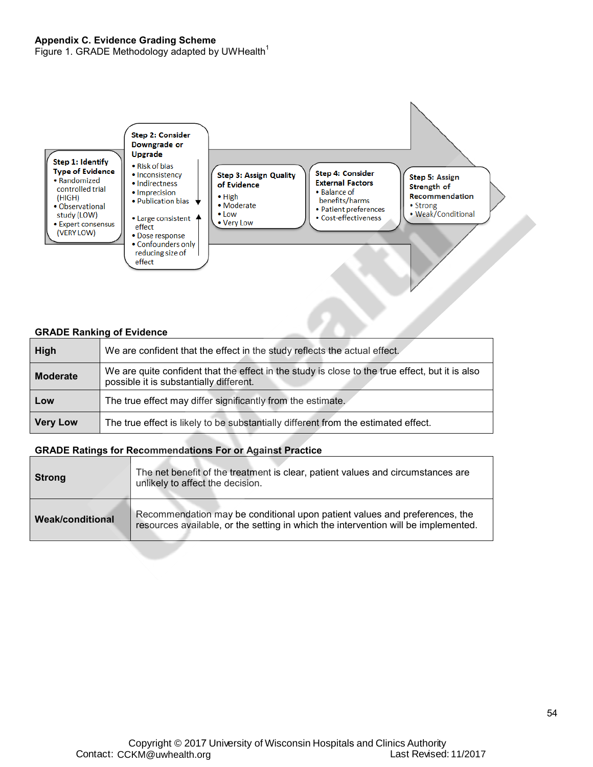<span id="page-53-0"></span>Figure 1. GRADE Methodology adapted by UWHealth<sup>1</sup>



#### **GRADE Ranking of Evidence**

| High            | We are confident that the effect in the study reflects the actual effect.                                                                  |
|-----------------|--------------------------------------------------------------------------------------------------------------------------------------------|
| <b>Moderate</b> | We are quite confident that the effect in the study is close to the true effect, but it is also<br>possible it is substantially different. |
| Low             | The true effect may differ significantly from the estimate.                                                                                |
| <b>Very Low</b> | The true effect is likely to be substantially different from the estimated effect.                                                         |

#### **GRADE Ratings for Recommendations For or Against Practice**

| <b>Strong</b>           | The net benefit of the treatment is clear, patient values and circumstances are<br>unlikely to affect the decision.                                              |
|-------------------------|------------------------------------------------------------------------------------------------------------------------------------------------------------------|
| <b>Weak/conditional</b> | Recommendation may be conditional upon patient values and preferences, the<br>resources available, or the setting in which the intervention will be implemented. |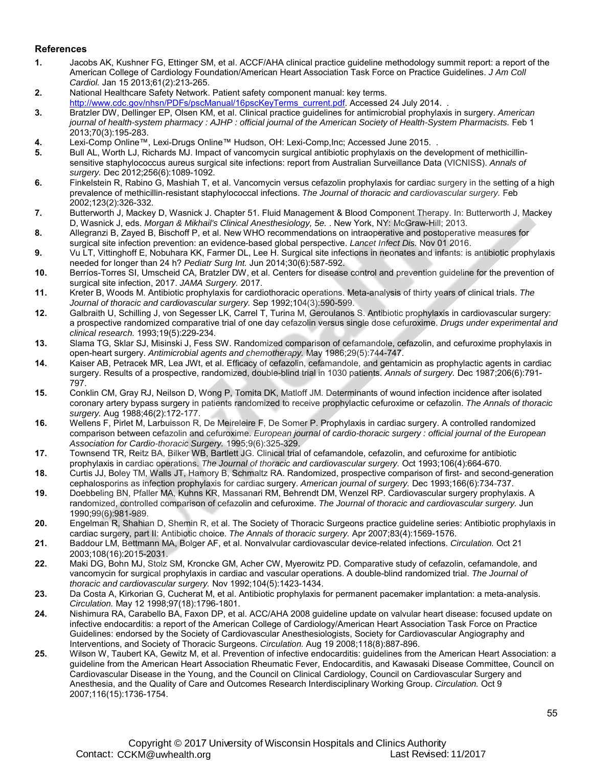#### <span id="page-54-0"></span>**References**

- **1.** Jacobs AK, Kushner FG, Ettinger SM, et al. ACCF/AHA clinical practice guideline methodology summit report: a report of the American College of Cardiology Foundation/American Heart Association Task Force on Practice Guidelines. *J Am Coll Cardiol.* Jan 15 2013;61(2):213-265.
- **2.** National Healthcare Safety Network. Patient safety component manual: key terms.
- http://www.cdc.gov/nhsn/PDFs/pscManual/16pscKeyTerms\_current.pdf. Accessed 24 July 2014.
- **3.** Bratzler DW, Dellinger EP, Olsen KM, et al. Clinical practice guidelines for antimicrobial prophylaxis in surgery. *American journal of health-system pharmacy : AJHP : official journal of the American Society of Health-System Pharmacists.* Feb 1 2013;70(3):195-283.
- **4.** Lexi-Comp Online™, Lexi-Drugs Online™ Hudson, OH: Lexi-Comp,Inc; Accessed June 2015. .
- **5.** Bull AL, Worth LJ, Richards MJ. Impact of vancomycin surgical antibiotic prophylaxis on the development of methicillinsensitive staphylococcus aureus surgical site infections: report from Australian Surveillance Data (VICNISS). *Annals of surgery.* Dec 2012;256(6):1089-1092.
- **6.** Finkelstein R, Rabino G, Mashiah T, et al. Vancomycin versus cefazolin prophylaxis for cardiac surgery in the setting of a high prevalence of methicillin-resistant staphylococcal infections. *The Journal of thoracic and cardiovascular surgery.* Feb 2002;123(2):326-332.
- **7.** Butterworth J, Mackey D, Wasnick J. Chapter 51. Fluid Management & Blood Component Therapy. In: Butterworth J, Mackey D, Wasnick J, eds. *Morgan & Mikhail's Clinical Anesthesiology, 5e.* . New York, NY: McGraw-Hill; 2013.
- **8.** Allegranzi B, Zayed B, Bischoff P, et al. New WHO recommendations on intraoperative and postoperative measures for surgical site infection prevention: an evidence-based global perspective. *Lancet Infect Dis.* Nov 01 2016.
- **9.** Vu LT, Vittinghoff E, Nobuhara KK, Farmer DL, Lee H. Surgical site infections in neonates and infants: is antibiotic prophylaxis needed for longer than 24 h? *Pediatr Surg Int.* Jun 2014;30(6):587-592.
- **10.** Berríos-Torres SI, Umscheid CA, Bratzler DW, et al. Centers for disease control and prevention guideline for the prevention of surgical site infection, 2017. *JAMA Surgery.* 2017.
- **11.** Kreter B, Woods M. Antibiotic prophylaxis for cardiothoracic operations. Meta-analysis of thirty years of clinical trials. *The Journal of thoracic and cardiovascular surgery.* Sep 1992;104(3):590-599.
- **12.** Galbraith U, Schilling J, von Segesser LK, Carrel T, Turina M, Geroulanos S. Antibiotic prophylaxis in cardiovascular surgery: a prospective randomized comparative trial of one day cefazolin versus single dose cefuroxime. *Drugs under experimental and clinical research.* 1993;19(5):229-234.
- **13.** Slama TG, Sklar SJ, Misinski J, Fess SW. Randomized comparison of cefamandole, cefazolin, and cefuroxime prophylaxis in open-heart surgery. *Antimicrobial agents and chemotherapy.* May 1986;29(5):744-747.
- **14.** Kaiser AB, Petracek MR, Lea JWt, et al. Efficacy of cefazolin, cefamandole, and gentamicin as prophylactic agents in cardiac surgery. Results of a prospective, randomized, double-blind trial in 1030 patients. *Annals of surgery.* Dec 1987;206(6):791- 797.
- **15.** Conklin CM, Gray RJ, Neilson D, Wong P, Tomita DK, Matloff JM. Determinants of wound infection incidence after isolated coronary artery bypass surgery in patients randomized to receive prophylactic cefuroxime or cefazolin. *The Annals of thoracic surgery.* Aug 1988;46(2):172-177.
- **16.** Wellens F, Pirlet M, Larbuisson R, De Meireleire F, De Somer P. Prophylaxis in cardiac surgery. A controlled randomized comparison between cefazolin and cefuroxime. *European journal of cardio-thoracic surgery : official journal of the European Association for Cardio-thoracic Surgery.* 1995;9(6):325-329.
- **17.** Townsend TR, Reitz BA, Bilker WB, Bartlett JG. Clinical trial of cefamandole, cefazolin, and cefuroxime for antibiotic prophylaxis in cardiac operations. *The Journal of thoracic and cardiovascular surgery.* Oct 1993;106(4):664-670.
- **18.** Curtis JJ, Boley TM, Walls JT, Hamory B, Schmaltz RA. Randomized, prospective comparison of first- and second-generation cephalosporins as infection prophylaxis for cardiac surgery. *American journal of surgery.* Dec 1993;166(6):734-737.
- **19.** Doebbeling BN, Pfaller MA, Kuhns KR, Massanari RM, Behrendt DM, Wenzel RP. Cardiovascular surgery prophylaxis. A randomized, controlled comparison of cefazolin and cefuroxime. *The Journal of thoracic and cardiovascular surgery.* Jun 1990;99(6):981-989.
- **20.** Engelman R, Shahian D, Shemin R, et al. The Society of Thoracic Surgeons practice guideline series: Antibiotic prophylaxis in cardiac surgery, part II: Antibiotic choice. *The Annals of thoracic surgery.* Apr 2007;83(4):1569-1576.
- **21.** Baddour LM, Bettmann MA, Bolger AF, et al. Nonvalvular cardiovascular device-related infections. *Circulation.* Oct 21 2003;108(16):2015-2031.
- **22.** Maki DG, Bohn MJ, Stolz SM, Kroncke GM, Acher CW, Myerowitz PD. Comparative study of cefazolin, cefamandole, and vancomycin for surgical prophylaxis in cardiac and vascular operations. A double-blind randomized trial. *The Journal of thoracic and cardiovascular surgery.* Nov 1992;104(5):1423-1434.
- **23.** Da Costa A, Kirkorian G, Cucherat M, et al. Antibiotic prophylaxis for permanent pacemaker implantation: a meta-analysis. *Circulation.* May 12 1998;97(18):1796-1801.
- **24.** Nishimura RA, Carabello BA, Faxon DP, et al. ACC/AHA 2008 guideline update on valvular heart disease: focused update on infective endocarditis: a report of the American College of Cardiology/American Heart Association Task Force on Practice Guidelines: endorsed by the Society of Cardiovascular Anesthesiologists, Society for Cardiovascular Angiography and Interventions, and Society of Thoracic Surgeons. *Circulation.* Aug 19 2008;118(8):887-896.
- **25.** Wilson W, Taubert KA, Gewitz M, et al. Prevention of infective endocarditis: guidelines from the American Heart Association: a guideline from the American Heart Association Rheumatic Fever, Endocarditis, and Kawasaki Disease Committee, Council on Cardiovascular Disease in the Young, and the Council on Clinical Cardiology, Council on Cardiovascular Surgery and Anesthesia, and the Quality of Care and Outcomes Research Interdisciplinary Working Group. *Circulation.* Oct 9 2007;116(15):1736-1754.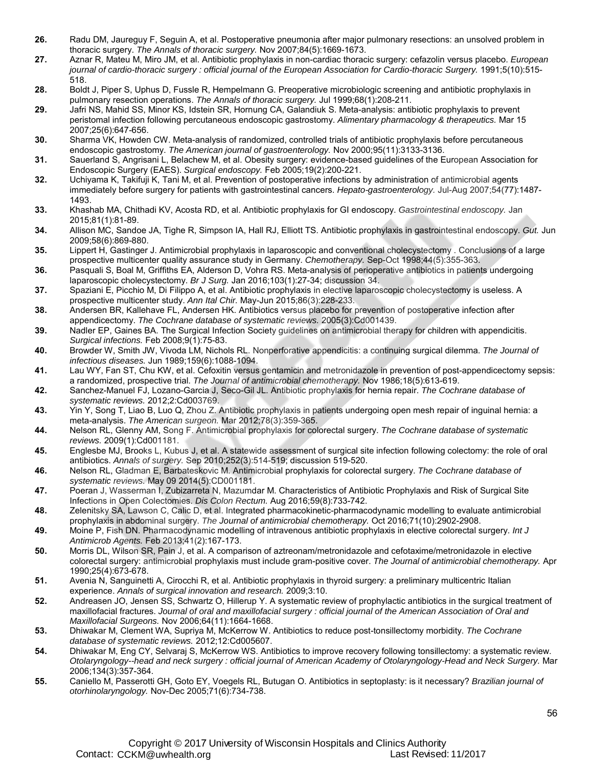- **26.** Radu DM, Jaureguy F, Seguin A, et al. Postoperative pneumonia after major pulmonary resections: an unsolved problem in thoracic surgery. *The Annals of thoracic surgery.* Nov 2007;84(5):1669-1673.
- **27.** Aznar R, Mateu M, Miro JM, et al. Antibiotic prophylaxis in non-cardiac thoracic surgery: cefazolin versus placebo. *European*  journal of cardio-thoracic surgery : official journal of the European Association for Cardio-thoracic Surgery. 1991;5(10):515-518.
- **28.** Boldt J, Piper S, Uphus D, Fussle R, Hempelmann G. Preoperative microbiologic screening and antibiotic prophylaxis in pulmonary resection operations. *The Annals of thoracic surgery.* Jul 1999;68(1):208-211.
- **29.** Jafri NS, Mahid SS, Minor KS, Idstein SR, Hornung CA, Galandiuk S. Meta-analysis: antibiotic prophylaxis to prevent peristomal infection following percutaneous endoscopic gastrostomy. *Alimentary pharmacology & therapeutics.* Mar 15 2007;25(6):647-656.
- **30.** Sharma VK, Howden CW. Meta-analysis of randomized, controlled trials of antibiotic prophylaxis before percutaneous endoscopic gastrostomy. *The American journal of gastroenterology.* Nov 2000;95(11):3133-3136.
- **31.** Sauerland S, Angrisani L, Belachew M, et al. Obesity surgery: evidence-based guidelines of the European Association for Endoscopic Surgery (EAES). *Surgical endoscopy.* Feb 2005;19(2):200-221.
- **32.** Uchiyama K, Takifuji K, Tani M, et al. Prevention of postoperative infections by administration of antimicrobial agents immediately before surgery for patients with gastrointestinal cancers. *Hepato-gastroenterology.* Jul-Aug 2007;54(77):1487- 1493.
- **33.** Khashab MA, Chithadi KV, Acosta RD, et al. Antibiotic prophylaxis for GI endoscopy. *Gastrointestinal endoscopy.* Jan 2015;81(1):81-89.
- **34.** Allison MC, Sandoe JA, Tighe R, Simpson IA, Hall RJ, Elliott TS. Antibiotic prophylaxis in gastrointestinal endoscopy. *Gut.* Jun 2009;58(6):869-880.
- **35.** Lippert H, Gastinger J. Antimicrobial prophylaxis in laparoscopic and conventional cholecystectomy . Conclusions of a large prospective multicenter quality assurance study in Germany. *Chemotherapy.* Sep-Oct 1998;44(5):355-363.
- **36.** Pasquali S, Boal M, Griffiths EA, Alderson D, Vohra RS. Meta-analysis of perioperative antibiotics in patients undergoing laparoscopic cholecystectomy. *Br J Surg.* Jan 2016;103(1):27-34; discussion 34.
- **37.** Spaziani E, Picchio M, Di Filippo A, et al. Antibiotic prophylaxis in elective laparoscopic cholecystectomy is useless. A prospective multicenter study. *Ann Ital Chir.* May-Jun 2015;86(3):228-233.
- **38.** Andersen BR, Kallehave FL, Andersen HK. Antibiotics versus placebo for prevention of postoperative infection after appendicectomy. *The Cochrane database of systematic reviews.* 2005(3):Cd001439.
- **39.** Nadler EP, Gaines BA. The Surgical Infection Society guidelines on antimicrobial therapy for children with appendicitis. *Surgical infections.* Feb 2008;9(1):75-83.
- **40.** Browder W, Smith JW, Vivoda LM, Nichols RL. Nonperforative appendicitis: a continuing surgical dilemma. *The Journal of infectious diseases.* Jun 1989;159(6):1088-1094.
- **41.** Lau WY, Fan ST, Chu KW, et al. Cefoxitin versus gentamicin and metronidazole in prevention of post-appendicectomy sepsis: a randomized, prospective trial. *The Journal of antimicrobial chemotherapy.* Nov 1986;18(5):613-619.
- **42.** Sanchez-Manuel FJ, Lozano-Garcia J, Seco-Gil JL. Antibiotic prophylaxis for hernia repair. *The Cochrane database of systematic reviews.* 2012;2:Cd003769.
- **43.** Yin Y, Song T, Liao B, Luo Q, Zhou Z. Antibiotic prophylaxis in patients undergoing open mesh repair of inguinal hernia: a meta-analysis. *The American surgeon.* Mar 2012;78(3):359-365.
- **44.** Nelson RL, Glenny AM, Song F. Antimicrobial prophylaxis for colorectal surgery. *The Cochrane database of systematic reviews.* 2009(1):Cd001181.
- **45.** Englesbe MJ, Brooks L, Kubus J, et al. A statewide assessment of surgical site infection following colectomy: the role of oral antibiotics. *Annals of surgery.* Sep 2010;252(3):514-519; discussion 519-520.
- **46.** Nelson RL, Gladman E, Barbateskovic M. Antimicrobial prophylaxis for colorectal surgery. *The Cochrane database of systematic reviews.* May 09 2014(5):CD001181.
- **47.** Poeran J, Wasserman I, Zubizarreta N, Mazumdar M. Characteristics of Antibiotic Prophylaxis and Risk of Surgical Site Infections in Open Colectomies. *Dis Colon Rectum.* Aug 2016;59(8):733-742.
- **48.** Zelenitsky SA, Lawson C, Calic D, et al. Integrated pharmacokinetic-pharmacodynamic modelling to evaluate antimicrobial prophylaxis in abdominal surgery. *The Journal of antimicrobial chemotherapy.* Oct 2016;71(10):2902-2908.
- **49.** Moine P, Fish DN. Pharmacodynamic modelling of intravenous antibiotic prophylaxis in elective colorectal surgery. *Int J Antimicrob Agents.* Feb 2013;41(2):167-173.
- **50.** Morris DL, Wilson SR, Pain J, et al. A comparison of aztreonam/metronidazole and cefotaxime/metronidazole in elective colorectal surgery: antimicrobial prophylaxis must include gram-positive cover. *The Journal of antimicrobial chemotherapy.* Apr 1990;25(4):673-678.
- **51.** Avenia N, Sanguinetti A, Cirocchi R, et al. Antibiotic prophylaxis in thyroid surgery: a preliminary multicentric Italian experience. *Annals of surgical innovation and research.* 2009;3:10.
- **52.** Andreasen JO, Jensen SS, Schwartz O, Hillerup Y. A systematic review of prophylactic antibiotics in the surgical treatment of maxillofacial fractures. *Journal of oral and maxillofacial surgery : official journal of the American Association of Oral and Maxillofacial Surgeons.* Nov 2006;64(11):1664-1668.
- **53.** Dhiwakar M, Clement WA, Supriya M, McKerrow W. Antibiotics to reduce post-tonsillectomy morbidity. *The Cochrane database of systematic reviews.* 2012;12:Cd005607.
- **54.** Dhiwakar M, Eng CY, Selvaraj S, McKerrow WS. Antibiotics to improve recovery following tonsillectomy: a systematic review. *Otolaryngology--head and neck surgery : official journal of American Academy of Otolaryngology-Head and Neck Surgery.* Mar 2006;134(3):357-364.
- **55.** Caniello M, Passerotti GH, Goto EY, Voegels RL, Butugan O. Antibiotics in septoplasty: is it necessary? *Brazilian journal of otorhinolaryngology.* Nov-Dec 2005;71(6):734-738.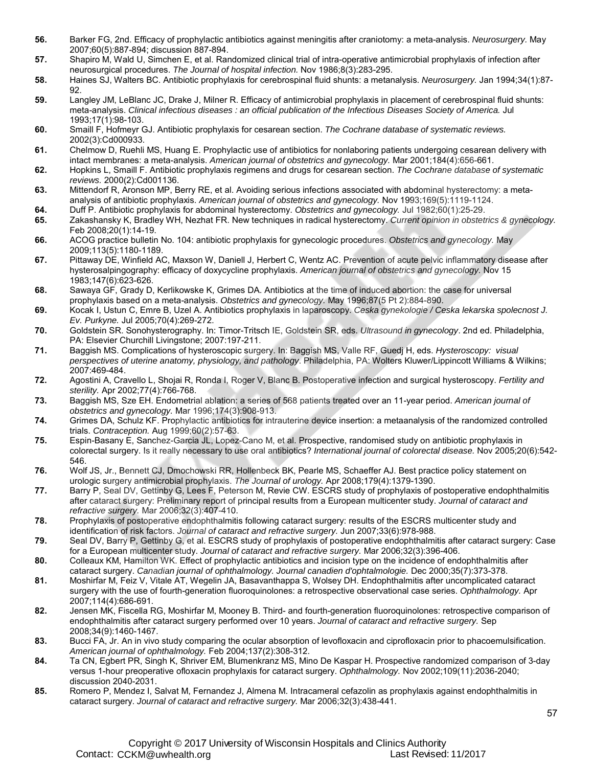- **56.** Barker FG, 2nd. Efficacy of prophylactic antibiotics against meningitis after craniotomy: a meta-analysis. *Neurosurgery.* May 2007;60(5):887-894; discussion 887-894.
- **57.** Shapiro M, Wald U, Simchen E, et al. Randomized clinical trial of intra-operative antimicrobial prophylaxis of infection after neurosurgical procedures. *The Journal of hospital infection.* Nov 1986;8(3):283-295.
- **58.** Haines SJ, Walters BC. Antibiotic prophylaxis for cerebrospinal fluid shunts: a metanalysis. *Neurosurgery.* Jan 1994;34(1):87- 92.
- **59.** Langley JM, LeBlanc JC, Drake J, Milner R. Efficacy of antimicrobial prophylaxis in placement of cerebrospinal fluid shunts: meta-analysis. *Clinical infectious diseases : an official publication of the Infectious Diseases Society of America.* Jul 1993;17(1):98-103.
- **60.** Smaill F, Hofmeyr GJ. Antibiotic prophylaxis for cesarean section. *The Cochrane database of systematic reviews.*  2002(3):Cd000933.
- **61.** Chelmow D, Ruehli MS, Huang E. Prophylactic use of antibiotics for nonlaboring patients undergoing cesarean delivery with intact membranes: a meta-analysis. *American journal of obstetrics and gynecology.* Mar 2001;184(4):656-661.
- **62.** Hopkins L, Smaill F. Antibiotic prophylaxis regimens and drugs for cesarean section. *The Cochrane database of systematic reviews.* 2000(2):Cd001136.
- **63.** Mittendorf R, Aronson MP, Berry RE, et al. Avoiding serious infections associated with abdominal hysterectomy: a metaanalysis of antibiotic prophylaxis. *American journal of obstetrics and gynecology.* Nov 1993;169(5):1119-1124.
- **64.** Duff P. Antibiotic prophylaxis for abdominal hysterectomy. *Obstetrics and gynecology.* Jul 1982;60(1):25-29.
- **65.** Zakashansky K, Bradley WH, Nezhat FR. New techniques in radical hysterectomy. *Current opinion in obstetrics & gynecology.*  Feb 2008;20(1):14-19.
- **66.** ACOG practice bulletin No. 104: antibiotic prophylaxis for gynecologic procedures. *Obstetrics and gynecology.* May 2009;113(5):1180-1189.
- **67.** Pittaway DE, Winfield AC, Maxson W, Daniell J, Herbert C, Wentz AC. Prevention of acute pelvic inflammatory disease after hysterosalpingography: efficacy of doxycycline prophylaxis. *American journal of obstetrics and gynecology.* Nov 15 1983;147(6):623-626.
- **68.** Sawaya GF, Grady D, Kerlikowske K, Grimes DA. Antibiotics at the time of induced abortion: the case for universal prophylaxis based on a meta-analysis. *Obstetrics and gynecology.* May 1996;87(5 Pt 2):884-890.
- **69.** Kocak I, Ustun C, Emre B, Uzel A. Antibiotics prophylaxis in laparoscopy. *Ceska gynekologie / Ceska lekarska spolecnost J. Ev. Purkyne.* Jul 2005;70(4):269-272.
- **70.** Goldstein SR. Sonohysterography. In: Timor-Tritsch IE, Goldstein SR, eds. *Ultrasound in gynecology*. 2nd ed. Philadelphia, PA: Elsevier Churchill Livingstone; 2007:197-211.
- **71.** Baggish MS. Complications of hysteroscopic surgery. In: Baggish MS, Valle RF, Guedj H, eds. *Hysteroscopy: visual perspectives of uterine anatomy, physiology, and pathology*. Philadelphia, PA: Wolters Kluwer/Lippincott Williams & Wilkins; 2007:469-484.
- **72.** Agostini A, Cravello L, Shojai R, Ronda I, Roger V, Blanc B. Postoperative infection and surgical hysteroscopy. *Fertility and sterility.* Apr 2002;77(4):766-768.
- **73.** Baggish MS, Sze EH. Endometrial ablation: a series of 568 patients treated over an 11-year period. *American journal of obstetrics and gynecology.* Mar 1996;174(3):908-913.
- **74.** Grimes DA, Schulz KF. Prophylactic antibiotics for intrauterine device insertion: a metaanalysis of the randomized controlled trials. *Contraception.* Aug 1999;60(2):57-63.
- **75.** Espin-Basany E, Sanchez-Garcia JL, Lopez-Cano M, et al. Prospective, randomised study on antibiotic prophylaxis in colorectal surgery. Is it really necessary to use oral antibiotics? *International journal of colorectal disease.* Nov 2005;20(6):542- 546.
- **76.** Wolf JS, Jr., Bennett CJ, Dmochowski RR, Hollenbeck BK, Pearle MS, Schaeffer AJ. Best practice policy statement on urologic surgery antimicrobial prophylaxis. *The Journal of urology.* Apr 2008;179(4):1379-1390.
- **77.** Barry P, Seal DV, Gettinby G, Lees F, Peterson M, Revie CW. ESCRS study of prophylaxis of postoperative endophthalmitis after cataract surgery: Preliminary report of principal results from a European multicenter study. *Journal of cataract and refractive surgery.* Mar 2006;32(3):407-410.
- **78.** Prophylaxis of postoperative endophthalmitis following cataract surgery: results of the ESCRS multicenter study and identification of risk factors. *Journal of cataract and refractive surgery.* Jun 2007;33(6):978-988.
- **79.** Seal DV, Barry P, Gettinby G, et al. ESCRS study of prophylaxis of postoperative endophthalmitis after cataract surgery: Case for a European multicenter study. *Journal of cataract and refractive surgery.* Mar 2006;32(3):396-406.
- **80.** Colleaux KM, Hamilton WK. Effect of prophylactic antibiotics and incision type on the incidence of endophthalmitis after cataract surgery. *Canadian journal of ophthalmology. Journal canadien d'ophtalmologie.* Dec 2000;35(7):373-378.
- **81.** Moshirfar M, Feiz V, Vitale AT, Wegelin JA, Basavanthappa S, Wolsey DH. Endophthalmitis after uncomplicated cataract surgery with the use of fourth-generation fluoroquinolones: a retrospective observational case series. *Ophthalmology.* Apr 2007;114(4):686-691.
- **82.** Jensen MK, Fiscella RG, Moshirfar M, Mooney B. Third- and fourth-generation fluoroquinolones: retrospective comparison of endophthalmitis after cataract surgery performed over 10 years. *Journal of cataract and refractive surgery.* Sep 2008;34(9):1460-1467.
- **83.** Bucci FA, Jr. An in vivo study comparing the ocular absorption of levofloxacin and ciprofloxacin prior to phacoemulsification. *American journal of ophthalmology.* Feb 2004;137(2):308-312.
- **84.** Ta CN, Egbert PR, Singh K, Shriver EM, Blumenkranz MS, Mino De Kaspar H. Prospective randomized comparison of 3-day versus 1-hour preoperative ofloxacin prophylaxis for cataract surgery. *Ophthalmology.* Nov 2002;109(11):2036-2040; discussion 2040-2031.
- **85.** Romero P, Mendez I, Salvat M, Fernandez J, Almena M. Intracameral cefazolin as prophylaxis against endophthalmitis in cataract surgery. *Journal of cataract and refractive surgery.* Mar 2006;32(3):438-441.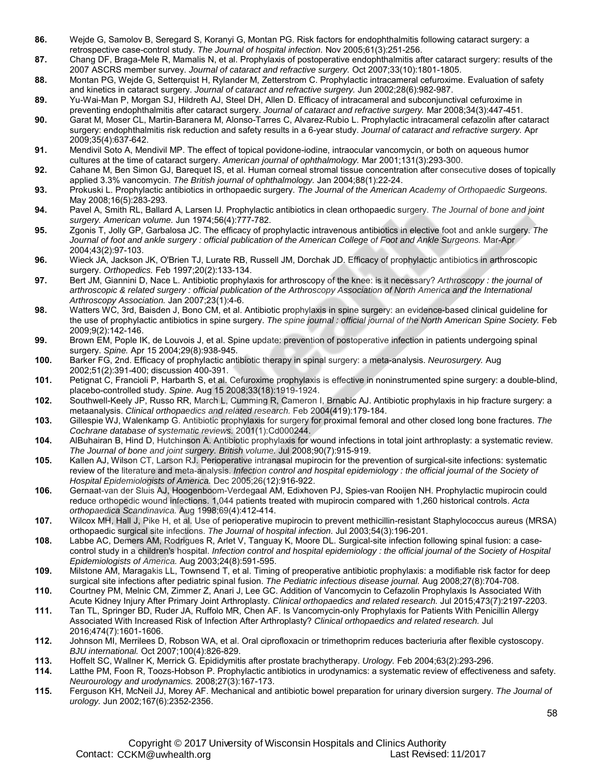- **86.** Wejde G, Samolov B, Seregard S, Koranyi G, Montan PG. Risk factors for endophthalmitis following cataract surgery: a retrospective case-control study. *The Journal of hospital infection.* Nov 2005;61(3):251-256.
- **87.** Chang DF, Braga-Mele R, Mamalis N, et al. Prophylaxis of postoperative endophthalmitis after cataract surgery: results of the 2007 ASCRS member survey. *Journal of cataract and refractive surgery.* Oct 2007;33(10):1801-1805.
- **88.** Montan PG, Wejde G, Setterquist H, Rylander M, Zetterstrom C. Prophylactic intracameral cefuroxime. Evaluation of safety and kinetics in cataract surgery. *Journal of cataract and refractive surgery.* Jun 2002;28(6):982-987.
- **89.** Yu-Wai-Man P, Morgan SJ, Hildreth AJ, Steel DH, Allen D. Efficacy of intracameral and subconjunctival cefuroxime in preventing endophthalmitis after cataract surgery. *Journal of cataract and refractive surgery.* Mar 2008;34(3):447-451.
- **90.** Garat M, Moser CL, Martin-Baranera M, Alonso-Tarres C, Alvarez-Rubio L. Prophylactic intracameral cefazolin after cataract surgery: endophthalmitis risk reduction and safety results in a 6-year study. *Journal of cataract and refractive surgery.* Apr 2009;35(4):637-642.
- **91.** Mendivil Soto A, Mendivil MP. The effect of topical povidone-iodine, intraocular vancomycin, or both on aqueous humor cultures at the time of cataract surgery. *American journal of ophthalmology.* Mar 2001;131(3):293-300.
- **92.** Cahane M, Ben Simon GJ, Barequet IS, et al. Human corneal stromal tissue concentration after consecutive doses of topically applied 3.3% vancomycin. *The British journal of ophthalmology.* Jan 2004;88(1):22-24.
- **93.** Prokuski L. Prophylactic antibiotics in orthopaedic surgery. *The Journal of the American Academy of Orthopaedic Surgeons.*  May 2008;16(5):283-293.
- **94.** Pavel A, Smith RL, Ballard A, Larsen IJ. Prophylactic antibiotics in clean orthopaedic surgery. *The Journal of bone and joint surgery. American volume.* Jun 1974;56(4):777-782.
- **95.** Zgonis T, Jolly GP, Garbalosa JC. The efficacy of prophylactic intravenous antibiotics in elective foot and ankle surgery. *The*  Journal of foot and ankle surgery : official publication of the American College of Foot and Ankle Surgeons. Mar-Apr 2004;43(2):97-103.
- **96.** Wieck JA, Jackson JK, O'Brien TJ, Lurate RB, Russell JM, Dorchak JD. Efficacy of prophylactic antibiotics in arthroscopic surgery. *Orthopedics.* Feb 1997;20(2):133-134.
- **97.** Bert JM, Giannini D, Nace L. Antibiotic prophylaxis for arthroscopy of the knee: is it necessary? *Arthroscopy : the journal of arthroscopic & related surgery : official publication of the Arthroscopy Association of North America and the International Arthroscopy Association.* Jan 2007;23(1):4-6.
- **98.** Watters WC, 3rd, Baisden J, Bono CM, et al. Antibiotic prophylaxis in spine surgery: an evidence-based clinical guideline for the use of prophylactic antibiotics in spine surgery. The spine journal : official journal of the North American Spine Society. Feb 2009;9(2):142-146.
- **99.** Brown EM, Pople IK, de Louvois J, et al. Spine update: prevention of postoperative infection in patients undergoing spinal surgery. *Spine.* Apr 15 2004;29(8):938-945.
- **100.** Barker FG, 2nd. Efficacy of prophylactic antibiotic therapy in spinal surgery: a meta-analysis. *Neurosurgery.* Aug 2002;51(2):391-400; discussion 400-391.
- **101.** Petignat C, Francioli P, Harbarth S, et al. Cefuroxime prophylaxis is effective in noninstrumented spine surgery: a double-blind, placebo-controlled study. *Spine.* Aug 15 2008;33(18):1919-1924.
- **102.** Southwell-Keely JP, Russo RR, March L, Cumming R, Cameron I, Brnabic AJ. Antibiotic prophylaxis in hip fracture surgery: a metaanalysis. *Clinical orthopaedics and related research.* Feb 2004(419):179-184.
- **103.** Gillespie WJ, Walenkamp G. Antibiotic prophylaxis for surgery for proximal femoral and other closed long bone fractures. *The Cochrane database of systematic reviews.* 2001(1):Cd000244.
- **104.** AlBuhairan B, Hind D, Hutchinson A. Antibiotic prophylaxis for wound infections in total joint arthroplasty: a systematic review. *The Journal of bone and joint surgery. British volume.* Jul 2008;90(7):915-919.
- **105.** Kallen AJ, Wilson CT, Larson RJ. Perioperative intranasal mupirocin for the prevention of surgical-site infections: systematic review of the literature and meta-analysis. *Infection control and hospital epidemiology : the official journal of the Society of Hospital Epidemiologists of America.* Dec 2005;26(12):916-922.
- **106.** Gernaat-van der Sluis AJ, Hoogenboom-Verdegaal AM, Edixhoven PJ, Spies-van Rooijen NH. Prophylactic mupirocin could reduce orthopedic wound infections. 1,044 patients treated with mupirocin compared with 1,260 historical controls. *Acta orthopaedica Scandinavica.* Aug 1998;69(4):412-414.
- **107.** Wilcox MH, Hall J, Pike H, et al. Use of perioperative mupirocin to prevent methicillin-resistant Staphylococcus aureus (MRSA) orthopaedic surgical site infections. *The Journal of hospital infection.* Jul 2003;54(3):196-201.
- **108.** Labbe AC, Demers AM, Rodrigues R, Arlet V, Tanguay K, Moore DL. Surgical-site infection following spinal fusion: a casecontrol study in a children's hospital. *Infection control and hospital epidemiology : the official journal of the Society of Hospital Epidemiologists of America.* Aug 2003;24(8):591-595.
- **109.** Milstone AM, Maragakis LL, Townsend T, et al. Timing of preoperative antibiotic prophylaxis: a modifiable risk factor for deep surgical site infections after pediatric spinal fusion. *The Pediatric infectious disease journal.* Aug 2008;27(8):704-708.
- **110.** Courtney PM, Melnic CM, Zimmer Z, Anari J, Lee GC. Addition of Vancomycin to Cefazolin Prophylaxis Is Associated With Acute Kidney Injury After Primary Joint Arthroplasty. *Clinical orthopaedics and related research.* Jul 2015;473(7):2197-2203.
- **111.** Tan TL, Springer BD, Ruder JA, Ruffolo MR, Chen AF. Is Vancomycin-only Prophylaxis for Patients With Penicillin Allergy Associated With Increased Risk of Infection After Arthroplasty? *Clinical orthopaedics and related research.* Jul 2016;474(7):1601-1606.
- **112.** Johnson MI, Merrilees D, Robson WA, et al. Oral ciprofloxacin or trimethoprim reduces bacteriuria after flexible cystoscopy. *BJU international.* Oct 2007;100(4):826-829.
- **113.** Hoffelt SC, Wallner K, Merrick G. Epididymitis after prostate brachytherapy. *Urology.* Feb 2004;63(2):293-296.
- **114.** Latthe PM, Foon R, Toozs-Hobson P. Prophylactic antibiotics in urodynamics: a systematic review of effectiveness and safety. *Neurourology and urodynamics.* 2008;27(3):167-173.
- **115.** Ferguson KH, McNeil JJ, Morey AF. Mechanical and antibiotic bowel preparation for urinary diversion surgery. *The Journal of urology.* Jun 2002;167(6):2352-2356.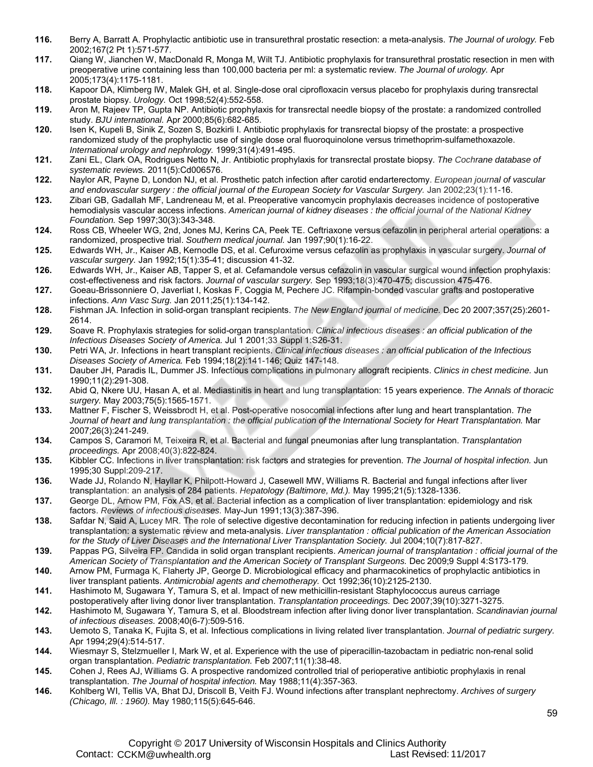- **116.** Berry A, Barratt A. Prophylactic antibiotic use in transurethral prostatic resection: a meta-analysis. *The Journal of urology.* Feb 2002;167(2 Pt 1):571-577.
- **117.** Qiang W, Jianchen W, MacDonald R, Monga M, Wilt TJ. Antibiotic prophylaxis for transurethral prostatic resection in men with preoperative urine containing less than 100,000 bacteria per ml: a systematic review. *The Journal of urology.* Apr 2005;173(4):1175-1181.
- **118.** Kapoor DA, Klimberg IW, Malek GH, et al. Single-dose oral ciprofloxacin versus placebo for prophylaxis during transrectal prostate biopsy. *Urology.* Oct 1998;52(4):552-558.
- **119.** Aron M, Rajeev TP, Gupta NP. Antibiotic prophylaxis for transrectal needle biopsy of the prostate: a randomized controlled study. *BJU international.* Apr 2000;85(6):682-685.
- **120.** Isen K, Kupeli B, Sinik Z, Sozen S, Bozkirli I. Antibiotic prophylaxis for transrectal biopsy of the prostate: a prospective randomized study of the prophylactic use of single dose oral fluoroquinolone versus trimethoprim-sulfamethoxazole. *International urology and nephrology.* 1999;31(4):491-495.
- **121.** Zani EL, Clark OA, Rodrigues Netto N, Jr. Antibiotic prophylaxis for transrectal prostate biopsy. *The Cochrane database of systematic reviews.* 2011(5):Cd006576.
- **122.** Naylor AR, Payne D, London NJ, et al. Prosthetic patch infection after carotid endarterectomy. *European journal of vascular*  and endovascular surgery : the official journal of the European Society for Vascular Surgery. Jan 2002;23(1):11-16.
- **123.** Zibari GB, Gadallah MF, Landreneau M, et al. Preoperative vancomycin prophylaxis decreases incidence of postoperative hemodialysis vascular access infections. *American journal of kidney diseases : the official journal of the National Kidney Foundation.* Sep 1997;30(3):343-348.
- **124.** Ross CB, Wheeler WG, 2nd, Jones MJ, Kerins CA, Peek TE. Ceftriaxone versus cefazolin in peripheral arterial operations: a randomized, prospective trial. *Southern medical journal.* Jan 1997;90(1):16-22.
- **125.** Edwards WH, Jr., Kaiser AB, Kernodle DS, et al. Cefuroxime versus cefazolin as prophylaxis in vascular surgery. *Journal of vascular surgery.* Jan 1992;15(1):35-41; discussion 41-32.
- **126.** Edwards WH, Jr., Kaiser AB, Tapper S, et al. Cefamandole versus cefazolin in vascular surgical wound infection prophylaxis: cost-effectiveness and risk factors. *Journal of vascular surgery.* Sep 1993;18(3):470-475; discussion 475-476.
- **127.** Goeau-Brissonniere O, Javerliat I, Koskas F, Coggia M, Pechere JC. Rifampin-bonded vascular grafts and postoperative infections. *Ann Vasc Surg.* Jan 2011;25(1):134-142.
- **128.** Fishman JA. Infection in solid-organ transplant recipients. *The New England journal of medicine.* Dec 20 2007;357(25):2601- 2614.
- **129.** Soave R. Prophylaxis strategies for solid-organ transplantation. *Clinical infectious diseases : an official publication of the Infectious Diseases Society of America.* Jul 1 2001;33 Suppl 1:S26-31.
- **130.** Petri WA, Jr. Infections in heart transplant recipients. *Clinical infectious diseases : an official publication of the Infectious Diseases Society of America.* Feb 1994;18(2):141-146; Quiz 147-148.
- **131.** Dauber JH, Paradis IL, Dummer JS. Infectious complications in pulmonary allograft recipients. *Clinics in chest medicine.* Jun 1990;11(2):291-308.
- **132.** Abid Q, Nkere UU, Hasan A, et al. Mediastinitis in heart and lung transplantation: 15 years experience. *The Annals of thoracic surgery.* May 2003;75(5):1565-1571.
- **133.** Mattner F, Fischer S, Weissbrodt H, et al. Post-operative nosocomial infections after lung and heart transplantation. *The*  Journal of heart and lung transplantation : the official publication of the International Society for Heart Transplantation. Mar 2007;26(3):241-249.
- **134.** Campos S, Caramori M, Teixeira R, et al. Bacterial and fungal pneumonias after lung transplantation. *Transplantation proceedings.* Apr 2008;40(3):822-824.
- **135.** Kibbler CC. Infections in liver transplantation: risk factors and strategies for prevention. *The Journal of hospital infection.* Jun 1995;30 Suppl:209-217.
- **136.** Wade JJ, Rolando N, Hayllar K, Philpott-Howard J, Casewell MW, Williams R. Bacterial and fungal infections after liver transplantation: an analysis of 284 patients. *Hepatology (Baltimore, Md.).* May 1995;21(5):1328-1336.
- **137.** George DL, Arnow PM, Fox AS, et al. Bacterial infection as a complication of liver transplantation: epidemiology and risk factors. *Reviews of infectious diseases.* May-Jun 1991;13(3):387-396.
- **138.** Safdar N, Said A, Lucey MR. The role of selective digestive decontamination for reducing infection in patients undergoing liver transplantation: a systematic review and meta-analysis. *Liver transplantation : official publication of the American Association for the Study of Liver Diseases and the International Liver Transplantation Society.* Jul 2004;10(7):817-827.
- **139.** Pappas PG, Silveira FP. Candida in solid organ transplant recipients. *American journal of transplantation : official journal of the American Society of Transplantation and the American Society of Transplant Surgeons.* Dec 2009;9 Suppl 4:S173-179.
- **140.** Arnow PM, Furmaga K, Flaherty JP, George D. Microbiological efficacy and pharmacokinetics of prophylactic antibiotics in liver transplant patients. *Antimicrobial agents and chemotherapy.* Oct 1992;36(10):2125-2130.
- **141.** Hashimoto M, Sugawara Y, Tamura S, et al. Impact of new methicillin-resistant Staphylococcus aureus carriage postoperatively after living donor liver transplantation. *Transplantation proceedings.* Dec 2007;39(10):3271-3275.
- **142.** Hashimoto M, Sugawara Y, Tamura S, et al. Bloodstream infection after living donor liver transplantation. *Scandinavian journal of infectious diseases.* 2008;40(6-7):509-516.
- **143.** Uemoto S, Tanaka K, Fujita S, et al. Infectious complications in living related liver transplantation. *Journal of pediatric surgery.*  Apr 1994;29(4):514-517.
- **144.** Wiesmayr S, Stelzmueller I, Mark W, et al. Experience with the use of piperacillin-tazobactam in pediatric non-renal solid organ transplantation. *Pediatric transplantation.* Feb 2007;11(1):38-48.
- **145.** Cohen J, Rees AJ, Williams G. A prospective randomized controlled trial of perioperative antibiotic prophylaxis in renal transplantation. *The Journal of hospital infection.* May 1988;11(4):357-363.
- **146.** Kohlberg WI, Tellis VA, Bhat DJ, Driscoll B, Veith FJ. Wound infections after transplant nephrectomy. *Archives of surgery (Chicago, Ill. : 1960).* May 1980;115(5):645-646.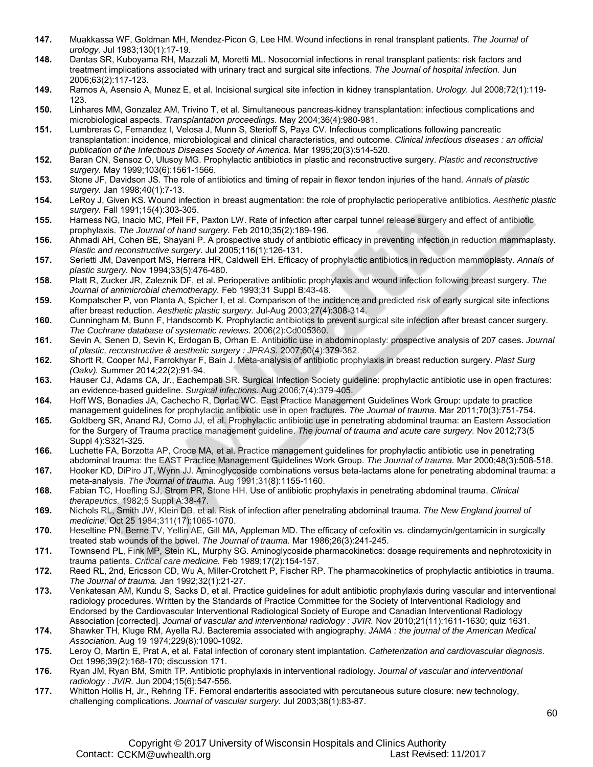- **147.** Muakkassa WF, Goldman MH, Mendez-Picon G, Lee HM. Wound infections in renal transplant patients. *The Journal of urology.* Jul 1983;130(1):17-19.
- **148.** Dantas SR, Kuboyama RH, Mazzali M, Moretti ML. Nosocomial infections in renal transplant patients: risk factors and treatment implications associated with urinary tract and surgical site infections. *The Journal of hospital infection.* Jun 2006;63(2):117-123.
- **149.** Ramos A, Asensio A, Munez E, et al. Incisional surgical site infection in kidney transplantation. *Urology.* Jul 2008;72(1):119- 123.
- **150.** Linhares MM, Gonzalez AM, Trivino T, et al. Simultaneous pancreas-kidney transplantation: infectious complications and microbiological aspects. *Transplantation proceedings.* May 2004;36(4):980-981.
- **151.** Lumbreras C, Fernandez I, Velosa J, Munn S, Sterioff S, Paya CV. Infectious complications following pancreatic transplantation: incidence, microbiological and clinical characteristics, and outcome. *Clinical infectious diseases : an official publication of the Infectious Diseases Society of America.* Mar 1995;20(3):514-520.
- **152.** Baran CN, Sensoz O, Ulusoy MG. Prophylactic antibiotics in plastic and reconstructive surgery. *Plastic and reconstructive surgery.* May 1999;103(6):1561-1566.
- **153.** Stone JF, Davidson JS. The role of antibiotics and timing of repair in flexor tendon injuries of the hand. *Annals of plastic surgery.* Jan 1998;40(1):7-13.
- **154.** LeRoy J, Given KS. Wound infection in breast augmentation: the role of prophylactic perioperative antibiotics. *Aesthetic plastic surgery.* Fall 1991;15(4):303-305.
- **155.** Harness NG, Inacio MC, Pfeil FF, Paxton LW. Rate of infection after carpal tunnel release surgery and effect of antibiotic prophylaxis. *The Journal of hand surgery.* Feb 2010;35(2):189-196.
- **156.** Ahmadi AH, Cohen BE, Shayani P. A prospective study of antibiotic efficacy in preventing infection in reduction mammaplasty. *Plastic and reconstructive surgery.* Jul 2005;116(1):126-131.
- **157.** Serletti JM, Davenport MS, Herrera HR, Caldwell EH. Efficacy of prophylactic antibiotics in reduction mammoplasty. *Annals of plastic surgery.* Nov 1994;33(5):476-480.
- **158.** Platt R, Zucker JR, Zaleznik DF, et al. Perioperative antibiotic prophylaxis and wound infection following breast surgery. *The Journal of antimicrobial chemotherapy.* Feb 1993;31 Suppl B:43-48.
- **159.** Kompatscher P, von Planta A, Spicher I, et al. Comparison of the incidence and predicted risk of early surgical site infections after breast reduction. *Aesthetic plastic surgery.* Jul-Aug 2003;27(4):308-314.
- **160.** Cunningham M, Bunn F, Handscomb K. Prophylactic antibiotics to prevent surgical site infection after breast cancer surgery. *The Cochrane database of systematic reviews.* 2006(2):Cd005360.
- **161.** Sevin A, Senen D, Sevin K, Erdogan B, Orhan E. Antibiotic use in abdominoplasty: prospective analysis of 207 cases. *Journal of plastic, reconstructive & aesthetic surgery : JPRAS.* 2007;60(4):379-382.
- **162.** Shortt R, Cooper MJ, Farrokhyar F, Bain J. Meta-analysis of antibiotic prophylaxis in breast reduction surgery. *Plast Surg (Oakv).* Summer 2014;22(2):91-94.
- **163.** Hauser CJ, Adams CA, Jr., Eachempati SR. Surgical Infection Society guideline: prophylactic antibiotic use in open fractures: an evidence-based guideline. *Surgical infections.* Aug 2006;7(4):379-405.
- **164.** Hoff WS, Bonadies JA, Cachecho R, Dorlac WC. East Practice Management Guidelines Work Group: update to practice management guidelines for prophylactic antibiotic use in open fractures. *The Journal of trauma.* Mar 2011;70(3):751-754.
- **165.** Goldberg SR, Anand RJ, Como JJ, et al. Prophylactic antibiotic use in penetrating abdominal trauma: an Eastern Association for the Surgery of Trauma practice management guideline. *The journal of trauma and acute care surgery.* Nov 2012;73(5 Suppl 4):S321-325.
- **166.** Luchette FA, Borzotta AP, Croce MA, et al. Practice management guidelines for prophylactic antibiotic use in penetrating abdominal trauma: the EAST Practice Management Guidelines Work Group. *The Journal of trauma.* Mar 2000;48(3):508-518.
- **167.** Hooker KD, DiPiro JT, Wynn JJ. Aminoglycoside combinations versus beta-lactams alone for penetrating abdominal trauma: a meta-analysis. *The Journal of trauma.* Aug 1991;31(8):1155-1160.
- **168.** Fabian TC, Hoefling SJ, Strom PR, Stone HH. Use of antibiotic prophylaxis in penetrating abdominal trauma. *Clinical therapeutics.* 1982;5 Suppl A:38-47.
- **169.** Nichols RL, Smith JW, Klein DB, et al. Risk of infection after penetrating abdominal trauma. *The New England journal of medicine.* Oct 25 1984;311(17):1065-1070.
- **170.** Heseltine PN, Berne TV, Yellin AE, Gill MA, Appleman MD. The efficacy of cefoxitin vs. clindamycin/gentamicin in surgically treated stab wounds of the bowel. *The Journal of trauma.* Mar 1986;26(3):241-245.
- **171.** Townsend PL, Fink MP, Stein KL, Murphy SG. Aminoglycoside pharmacokinetics: dosage requirements and nephrotoxicity in trauma patients. *Critical care medicine.* Feb 1989;17(2):154-157.
- **172.** Reed RL, 2nd, Ericsson CD, Wu A, Miller-Crotchett P, Fischer RP. The pharmacokinetics of prophylactic antibiotics in trauma. *The Journal of trauma.* Jan 1992;32(1):21-27.
- **173.** Venkatesan AM, Kundu S, Sacks D, et al. Practice guidelines for adult antibiotic prophylaxis during vascular and interventional radiology procedures. Written by the Standards of Practice Committee for the Society of Interventional Radiology and Endorsed by the Cardiovascular Interventional Radiological Society of Europe and Canadian Interventional Radiology Association [corrected]. *Journal of vascular and interventional radiology : JVIR.* Nov 2010;21(11):1611-1630; quiz 1631.
- **174.** Shawker TH, Kluge RM, Ayella RJ. Bacteremia associated with angiography. *JAMA : the journal of the American Medical Association.* Aug 19 1974;229(8):1090-1092.
- **175.** Leroy O, Martin E, Prat A, et al. Fatal infection of coronary stent implantation. *Catheterization and cardiovascular diagnosis.*  Oct 1996;39(2):168-170; discussion 171.
- **176.** Ryan JM, Ryan BM, Smith TP. Antibiotic prophylaxis in interventional radiology. *Journal of vascular and interventional radiology : JVIR.* Jun 2004;15(6):547-556.
- **177.** Whitton Hollis H, Jr., Rehring TF. Femoral endarteritis associated with percutaneous suture closure: new technology, challenging complications. *Journal of vascular surgery.* Jul 2003;38(1):83-87.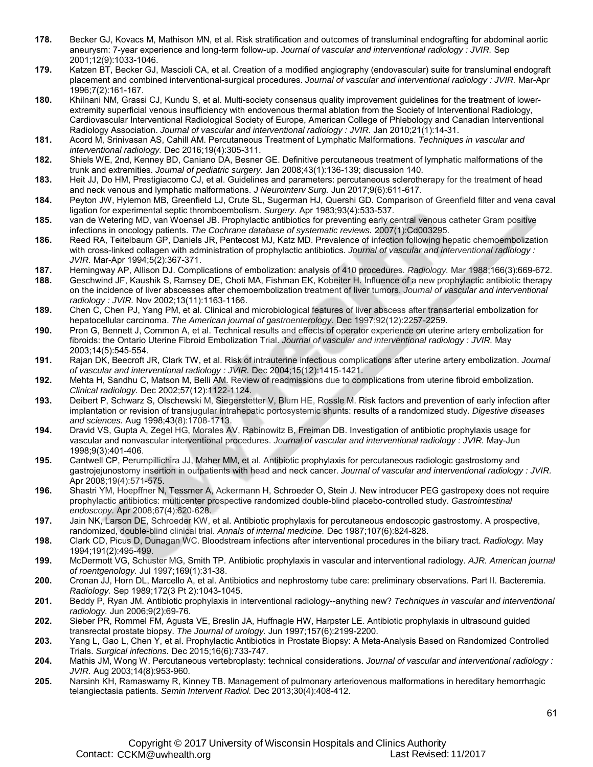- **178.** Becker GJ, Kovacs M, Mathison MN, et al. Risk stratification and outcomes of transluminal endografting for abdominal aortic aneurysm: 7-year experience and long-term follow-up. *Journal of vascular and interventional radiology : JVIR.* Sep 2001;12(9):1033-1046.
- **179.** Katzen BT, Becker GJ, Mascioli CA, et al. Creation of a modified angiography (endovascular) suite for transluminal endograft placement and combined interventional-surgical procedures. *Journal of vascular and interventional radiology : JVIR.* Mar-Apr 1996;7(2):161-167.
- **180.** Khilnani NM, Grassi CJ, Kundu S, et al. Multi-society consensus quality improvement guidelines for the treatment of lowerextremity superficial venous insufficiency with endovenous thermal ablation from the Society of Interventional Radiology, Cardiovascular Interventional Radiological Society of Europe, American College of Phlebology and Canadian Interventional Radiology Association. *Journal of vascular and interventional radiology : JVIR.* Jan 2010;21(1):14-31.
- **181.** Acord M, Srinivasan AS, Cahill AM. Percutaneous Treatment of Lymphatic Malformations. *Techniques in vascular and interventional radiology.* Dec 2016;19(4):305-311.
- **182.** Shiels WE, 2nd, Kenney BD, Caniano DA, Besner GE. Definitive percutaneous treatment of lymphatic malformations of the trunk and extremities. *Journal of pediatric surgery.* Jan 2008;43(1):136-139; discussion 140.
- **183.** Heit JJ, Do HM, Prestigiacomo CJ, et al. Guidelines and parameters: percutaneous sclerotherapy for the treatment of head and neck venous and lymphatic malformations. *J Neurointerv Surg.* Jun 2017;9(6):611-617.
- **184.** Peyton JW, Hylemon MB, Greenfield LJ, Crute SL, Sugerman HJ, Quershi GD. Comparison of Greenfield filter and vena caval ligation for experimental septic thromboembolism. *Surgery.* Apr 1983;93(4):533-537.
- **185.** van de Wetering MD, van Woensel JB. Prophylactic antibiotics for preventing early central venous catheter Gram positive infections in oncology patients. *The Cochrane database of systematic reviews.* 2007(1):Cd003295.
- **186.** Reed RA, Teitelbaum GP, Daniels JR, Pentecost MJ, Katz MD. Prevalence of infection following hepatic chemoembolization with cross-linked collagen with administration of prophylactic antibiotics. *Journal of vascular and interventional radiology : JVIR.* Mar-Apr 1994;5(2):367-371.
- **187.** Hemingway AP, Allison DJ. Complications of embolization: analysis of 410 procedures. *Radiology.* Mar 1988;166(3):669-672.
- **188.** Geschwind JF, Kaushik S, Ramsey DE, Choti MA, Fishman EK, Kobeiter H. Influence of a new prophylactic antibiotic therapy on the incidence of liver abscesses after chemoembolization treatment of liver tumors. *Journal of vascular and interventional radiology : JVIR.* Nov 2002;13(11):1163-1166.
- **189.** Chen C, Chen PJ, Yang PM, et al. Clinical and microbiological features of liver abscess after transarterial embolization for hepatocellular carcinoma. *The American journal of gastroenterology.* Dec 1997;92(12):2257-2259.
- **190.** Pron G, Bennett J, Common A, et al. Technical results and effects of operator experience on uterine artery embolization for fibroids: the Ontario Uterine Fibroid Embolization Trial. *Journal of vascular and interventional radiology : JVIR.* May 2003;14(5):545-554.
- **191.** Rajan DK, Beecroft JR, Clark TW, et al. Risk of intrauterine infectious complications after uterine artery embolization. *Journal of vascular and interventional radiology : JVIR.* Dec 2004;15(12):1415-1421.
- **192.** Mehta H, Sandhu C, Matson M, Belli AM. Review of readmissions due to complications from uterine fibroid embolization. *Clinical radiology.* Dec 2002;57(12):1122-1124.
- **193.** Deibert P, Schwarz S, Olschewski M, Siegerstetter V, Blum HE, Rossle M. Risk factors and prevention of early infection after implantation or revision of transjugular intrahepatic portosystemic shunts: results of a randomized study. *Digestive diseases and sciences.* Aug 1998;43(8):1708-1713.
- **194.** Dravid VS, Gupta A, Zegel HG, Morales AV, Rabinowitz B, Freiman DB. Investigation of antibiotic prophylaxis usage for vascular and nonvascular interventional procedures. *Journal of vascular and interventional radiology : JVIR.* May-Jun 1998;9(3):401-406.
- **195.** Cantwell CP, Perumpillichira JJ, Maher MM, et al. Antibiotic prophylaxis for percutaneous radiologic gastrostomy and gastrojejunostomy insertion in outpatients with head and neck cancer. *Journal of vascular and interventional radiology : JVIR.*  Apr 2008;19(4):571-575.
- **196.** Shastri YM, Hoepffner N, Tessmer A, Ackermann H, Schroeder O, Stein J. New introducer PEG gastropexy does not require prophylactic antibiotics: multicenter prospective randomized double-blind placebo-controlled study. *Gastrointestinal endoscopy.* Apr 2008;67(4):620-628.
- **197.** Jain NK, Larson DE, Schroeder KW, et al. Antibiotic prophylaxis for percutaneous endoscopic gastrostomy. A prospective, randomized, double-blind clinical trial. *Annals of internal medicine.* Dec 1987;107(6):824-828.
- **198.** Clark CD, Picus D, Dunagan WC. Bloodstream infections after interventional procedures in the biliary tract. *Radiology.* May 1994;191(2):495-499.
- **199.** McDermott VG, Schuster MG, Smith TP. Antibiotic prophylaxis in vascular and interventional radiology. *AJR. American journal of roentgenology.* Jul 1997;169(1):31-38.
- **200.** Cronan JJ, Horn DL, Marcello A, et al. Antibiotics and nephrostomy tube care: preliminary observations. Part II. Bacteremia. *Radiology.* Sep 1989;172(3 Pt 2):1043-1045.
- **201.** Beddy P, Ryan JM. Antibiotic prophylaxis in interventional radiology--anything new? *Techniques in vascular and interventional radiology.* Jun 2006;9(2):69-76.
- **202.** Sieber PR, Rommel FM, Agusta VE, Breslin JA, Huffnagle HW, Harpster LE. Antibiotic prophylaxis in ultrasound guided transrectal prostate biopsy. *The Journal of urology.* Jun 1997;157(6):2199-2200.
- **203.** Yang L, Gao L, Chen Y, et al. Prophylactic Antibiotics in Prostate Biopsy: A Meta-Analysis Based on Randomized Controlled Trials. *Surgical infections.* Dec 2015;16(6):733-747.
- **204.** Mathis JM, Wong W. Percutaneous vertebroplasty: technical considerations. *Journal of vascular and interventional radiology : JVIR.* Aug 2003;14(8):953-960.
- **205.** Narsinh KH, Ramaswamy R, Kinney TB. Management of pulmonary arteriovenous malformations in hereditary hemorrhagic telangiectasia patients. *Semin Intervent Radiol.* Dec 2013;30(4):408-412.